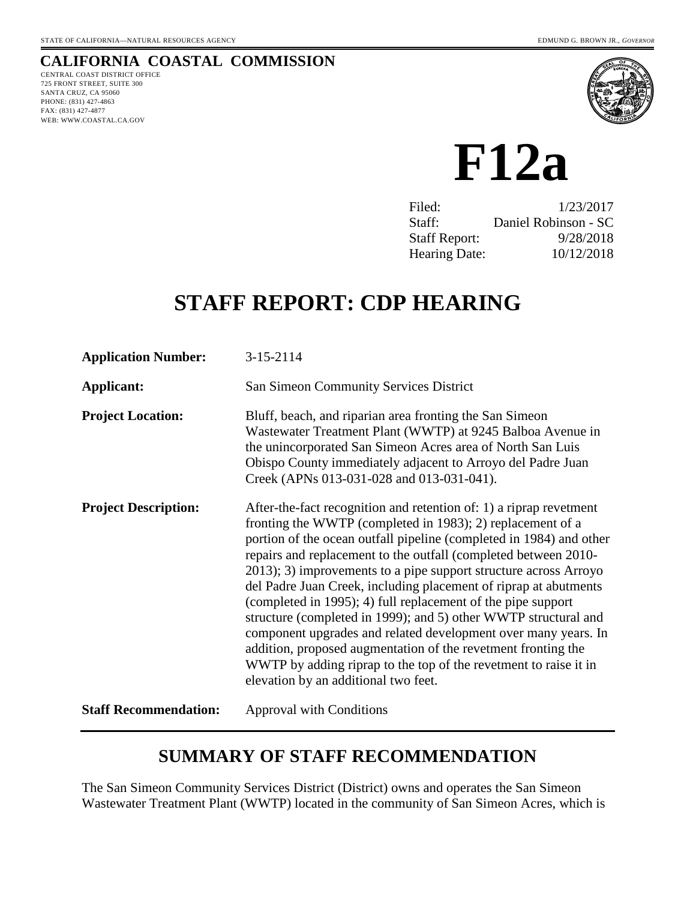# **CALIFORNIA COASTAL COMMISSION**

CENTRAL COAST DISTRICT OFFICE 725 FRONT STREET, SUITE 300 SANTA CRUZ, CA 95060 PHONE: (831) 427-4863 FAX: (831) 427-4877 WEB: WWW.COASTAL.CA.GOV



**F12a**

| Filed:               | 1/23/2017            |
|----------------------|----------------------|
| Staff:               | Daniel Robinson - SC |
| <b>Staff Report:</b> | 9/28/2018            |
| <b>Hearing Date:</b> | 10/12/2018           |

# **STAFF REPORT: CDP HEARING**

| <b>Application Number:</b>   | 3-15-2114                                                                                                                                                                                                                                                                                                                                                                                                                                                                                                                                                                                                                                                                                                                                                                                            |
|------------------------------|------------------------------------------------------------------------------------------------------------------------------------------------------------------------------------------------------------------------------------------------------------------------------------------------------------------------------------------------------------------------------------------------------------------------------------------------------------------------------------------------------------------------------------------------------------------------------------------------------------------------------------------------------------------------------------------------------------------------------------------------------------------------------------------------------|
| Applicant:                   | <b>San Simeon Community Services District</b>                                                                                                                                                                                                                                                                                                                                                                                                                                                                                                                                                                                                                                                                                                                                                        |
| <b>Project Location:</b>     | Bluff, beach, and riparian area fronting the San Simeon<br>Wastewater Treatment Plant (WWTP) at 9245 Balboa Avenue in<br>the unincorporated San Simeon Acres area of North San Luis<br>Obispo County immediately adjacent to Arroyo del Padre Juan<br>Creek (APNs 013-031-028 and 013-031-041).                                                                                                                                                                                                                                                                                                                                                                                                                                                                                                      |
| <b>Project Description:</b>  | After-the-fact recognition and retention of: 1) a riprap revetment<br>fronting the WWTP (completed in 1983); 2) replacement of a<br>portion of the ocean outfall pipeline (completed in 1984) and other<br>repairs and replacement to the outfall (completed between 2010-<br>2013); 3) improvements to a pipe support structure across Arroyo<br>del Padre Juan Creek, including placement of riprap at abutments<br>(completed in 1995); 4) full replacement of the pipe support<br>structure (completed in 1999); and 5) other WWTP structural and<br>component upgrades and related development over many years. In<br>addition, proposed augmentation of the revetment fronting the<br>WWTP by adding riprap to the top of the revetment to raise it in<br>elevation by an additional two feet. |
| <b>Staff Recommendation:</b> | <b>Approval with Conditions</b>                                                                                                                                                                                                                                                                                                                                                                                                                                                                                                                                                                                                                                                                                                                                                                      |

# **SUMMARY OF STAFF RECOMMENDATION**

The San Simeon Community Services District (District) owns and operates the San Simeon Wastewater Treatment Plant (WWTP) located in the community of San Simeon Acres, which is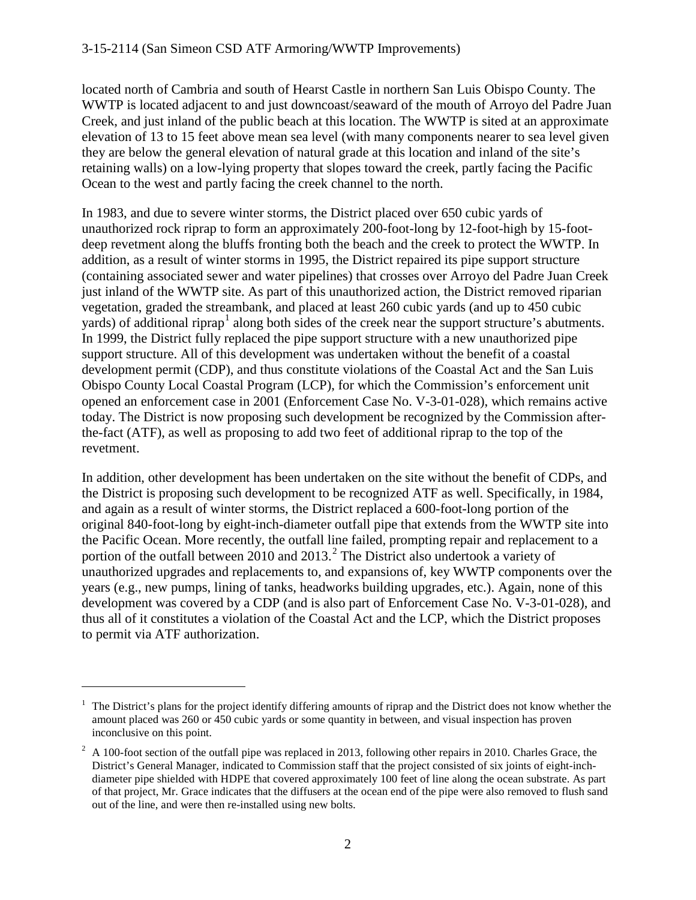located north of Cambria and south of Hearst Castle in northern San Luis Obispo County. The WWTP is located adjacent to and just downcoast/seaward of the mouth of Arroyo del Padre Juan Creek, and just inland of the public beach at this location. The WWTP is sited at an approximate elevation of 13 to 15 feet above mean sea level (with many components nearer to sea level given they are below the general elevation of natural grade at this location and inland of the site's retaining walls) on a low-lying property that slopes toward the creek, partly facing the Pacific Ocean to the west and partly facing the creek channel to the north.

In 1983, and due to severe winter storms, the District placed over 650 cubic yards of unauthorized rock riprap to form an approximately 200-foot-long by 12-foot-high by 15-footdeep revetment along the bluffs fronting both the beach and the creek to protect the WWTP. In addition, as a result of winter storms in 1995, the District repaired its pipe support structure (containing associated sewer and water pipelines) that crosses over Arroyo del Padre Juan Creek just inland of the WWTP site. As part of this unauthorized action, the District removed riparian vegetation, graded the streambank, and placed at least 260 cubic yards (and up to 450 cubic yards) of additional riprap<sup>[1](#page-1-0)</sup> along both sides of the creek near the support structure's abutments. In 1999, the District fully replaced the pipe support structure with a new unauthorized pipe support structure. All of this development was undertaken without the benefit of a coastal development permit (CDP), and thus constitute violations of the Coastal Act and the San Luis Obispo County Local Coastal Program (LCP), for which the Commission's enforcement unit opened an enforcement case in 2001 (Enforcement Case No. V-3-01-028), which remains active today. The District is now proposing such development be recognized by the Commission afterthe-fact (ATF), as well as proposing to add two feet of additional riprap to the top of the revetment.

In addition, other development has been undertaken on the site without the benefit of CDPs, and the District is proposing such development to be recognized ATF as well. Specifically, in 1984, and again as a result of winter storms, the District replaced a 600-foot-long portion of the original 840-foot-long by eight-inch-diameter outfall pipe that extends from the WWTP site into the Pacific Ocean. More recently, the outfall line failed, prompting repair and replacement to a portion of the outfall between  $2010$  $2010$  and  $2013<sup>2</sup>$ . The District also undertook a variety of unauthorized upgrades and replacements to, and expansions of, key WWTP components over the years (e.g., new pumps, lining of tanks, headworks building upgrades, etc.). Again, none of this development was covered by a CDP (and is also part of Enforcement Case No. V-3-01-028), and thus all of it constitutes a violation of the Coastal Act and the LCP, which the District proposes to permit via ATF authorization.

<span id="page-1-0"></span><sup>1</sup> The District's plans for the project identify differing amounts of riprap and the District does not know whether the amount placed was 260 or 450 cubic yards or some quantity in between, and visual inspection has proven inconclusive on this point.

<span id="page-1-1"></span> $2 \text{ A } 100\text{-}$  foot section of the outfall pipe was replaced in 2013, following other repairs in 2010. Charles Grace, the District's General Manager, indicated to Commission staff that the project consisted of six joints of eight-inchdiameter pipe shielded with HDPE that covered approximately 100 feet of line along the ocean substrate. As part of that project, Mr. Grace indicates that the diffusers at the ocean end of the pipe were also removed to flush sand out of the line, and were then re-installed using new bolts.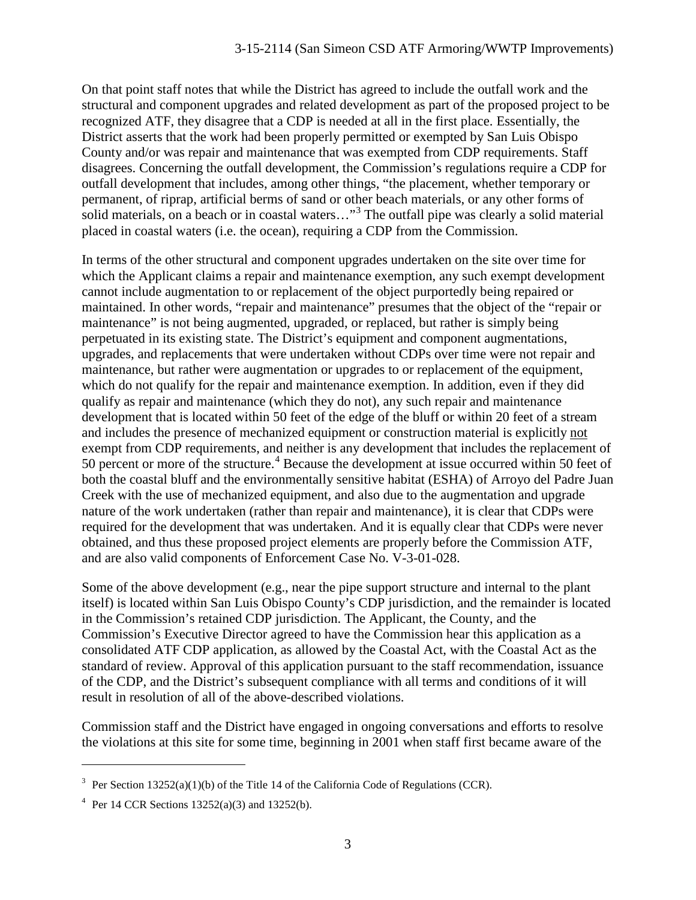On that point staff notes that while the District has agreed to include the outfall work and the structural and component upgrades and related development as part of the proposed project to be recognized ATF, they disagree that a CDP is needed at all in the first place. Essentially, the District asserts that the work had been properly permitted or exempted by San Luis Obispo County and/or was repair and maintenance that was exempted from CDP requirements. Staff disagrees. Concerning the outfall development, the Commission's regulations require a CDP for outfall development that includes, among other things, "the placement, whether temporary or permanent, of riprap, artificial berms of sand or other beach materials, or any other forms of solid materials, on a beach or in coastal waters..."<sup>[3](#page-2-0)</sup> The outfall pipe was clearly a solid material placed in coastal waters (i.e. the ocean), requiring a CDP from the Commission.

In terms of the other structural and component upgrades undertaken on the site over time for which the Applicant claims a repair and maintenance exemption, any such exempt development cannot include augmentation to or replacement of the object purportedly being repaired or maintained. In other words, "repair and maintenance" presumes that the object of the "repair or maintenance" is not being augmented, upgraded, or replaced, but rather is simply being perpetuated in its existing state. The District's equipment and component augmentations, upgrades, and replacements that were undertaken without CDPs over time were not repair and maintenance, but rather were augmentation or upgrades to or replacement of the equipment, which do not qualify for the repair and maintenance exemption. In addition, even if they did qualify as repair and maintenance (which they do not), any such repair and maintenance development that is located within 50 feet of the edge of the bluff or within 20 feet of a stream and includes the presence of mechanized equipment or construction material is explicitly not exempt from CDP requirements, and neither is any development that includes the replacement of 50 percent or more of the structure.<sup>[4](#page-2-1)</sup> Because the development at issue occurred within 50 feet of both the coastal bluff and the environmentally sensitive habitat (ESHA) of Arroyo del Padre Juan Creek with the use of mechanized equipment, and also due to the augmentation and upgrade nature of the work undertaken (rather than repair and maintenance), it is clear that CDPs were required for the development that was undertaken. And it is equally clear that CDPs were never obtained, and thus these proposed project elements are properly before the Commission ATF, and are also valid components of Enforcement Case No. V-3-01-028.

Some of the above development (e.g., near the pipe support structure and internal to the plant itself) is located within San Luis Obispo County's CDP jurisdiction, and the remainder is located in the Commission's retained CDP jurisdiction. The Applicant, the County, and the Commission's Executive Director agreed to have the Commission hear this application as a consolidated ATF CDP application, as allowed by the Coastal Act, with the Coastal Act as the standard of review. Approval of this application pursuant to the staff recommendation, issuance of the CDP, and the District's subsequent compliance with all terms and conditions of it will result in resolution of all of the above-described violations.

Commission staff and the District have engaged in ongoing conversations and efforts to resolve the violations at this site for some time, beginning in 2001 when staff first became aware of the

<span id="page-2-0"></span><sup>&</sup>lt;sup>3</sup> Per Section 13252(a)(1)(b) of the Title 14 of the California Code of Regulations (CCR).

<span id="page-2-1"></span><sup>&</sup>lt;sup>4</sup> Per 14 CCR Sections  $13252(a)(3)$  and  $13252(b)$ .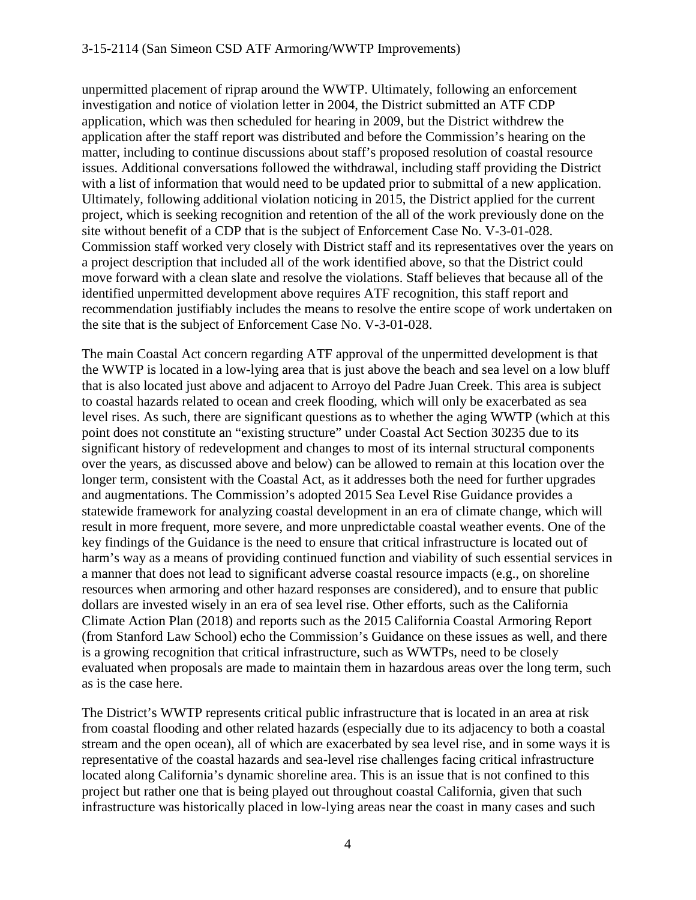unpermitted placement of riprap around the WWTP. Ultimately, following an enforcement investigation and notice of violation letter in 2004, the District submitted an ATF CDP application, which was then scheduled for hearing in 2009, but the District withdrew the application after the staff report was distributed and before the Commission's hearing on the matter, including to continue discussions about staff's proposed resolution of coastal resource issues. Additional conversations followed the withdrawal, including staff providing the District with a list of information that would need to be updated prior to submittal of a new application. Ultimately, following additional violation noticing in 2015, the District applied for the current project, which is seeking recognition and retention of the all of the work previously done on the site without benefit of a CDP that is the subject of Enforcement Case No. V-3-01-028. Commission staff worked very closely with District staff and its representatives over the years on a project description that included all of the work identified above, so that the District could move forward with a clean slate and resolve the violations. Staff believes that because all of the identified unpermitted development above requires ATF recognition, this staff report and recommendation justifiably includes the means to resolve the entire scope of work undertaken on the site that is the subject of Enforcement Case No. V-3-01-028.

The main Coastal Act concern regarding ATF approval of the unpermitted development is that the WWTP is located in a low-lying area that is just above the beach and sea level on a low bluff that is also located just above and adjacent to Arroyo del Padre Juan Creek. This area is subject to coastal hazards related to ocean and creek flooding, which will only be exacerbated as sea level rises. As such, there are significant questions as to whether the aging WWTP (which at this point does not constitute an "existing structure" under Coastal Act Section 30235 due to its significant history of redevelopment and changes to most of its internal structural components over the years, as discussed above and below) can be allowed to remain at this location over the longer term, consistent with the Coastal Act, as it addresses both the need for further upgrades and augmentations. The Commission's adopted 2015 Sea Level Rise Guidance provides a statewide framework for analyzing coastal development in an era of climate change, which will result in more frequent, more severe, and more unpredictable coastal weather events. One of the key findings of the Guidance is the need to ensure that critical infrastructure is located out of harm's way as a means of providing continued function and viability of such essential services in a manner that does not lead to significant adverse coastal resource impacts (e.g., on shoreline resources when armoring and other hazard responses are considered), and to ensure that public dollars are invested wisely in an era of sea level rise. Other efforts, such as the California Climate Action Plan (2018) and reports such as the 2015 California Coastal Armoring Report (from Stanford Law School) echo the Commission's Guidance on these issues as well, and there is a growing recognition that critical infrastructure, such as WWTPs, need to be closely evaluated when proposals are made to maintain them in hazardous areas over the long term, such as is the case here.

The District's WWTP represents critical public infrastructure that is located in an area at risk from coastal flooding and other related hazards (especially due to its adjacency to both a coastal stream and the open ocean), all of which are exacerbated by sea level rise, and in some ways it is representative of the coastal hazards and sea-level rise challenges facing critical infrastructure located along California's dynamic shoreline area. This is an issue that is not confined to this project but rather one that is being played out throughout coastal California, given that such infrastructure was historically placed in low-lying areas near the coast in many cases and such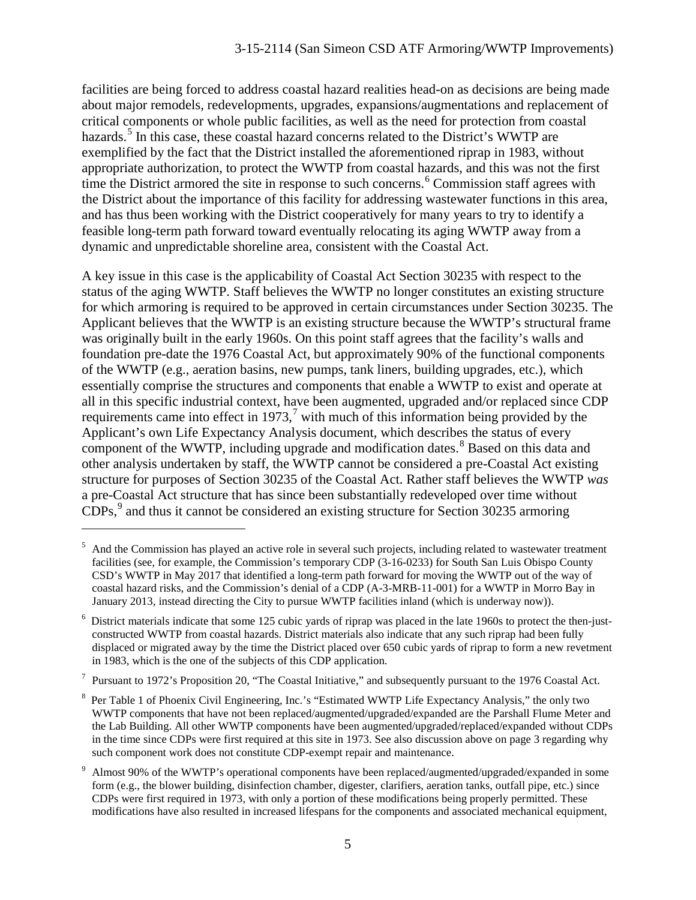facilities are being forced to address coastal hazard realities head-on as decisions are being made about major remodels, redevelopments, upgrades, expansions/augmentations and replacement of critical components or whole public facilities, as well as the need for protection from coastal hazards.<sup>[5](#page-4-0)</sup> In this case, these coastal hazard concerns related to the District's WWTP are exemplified by the fact that the District installed the aforementioned riprap in 1983, without appropriate authorization, to protect the WWTP from coastal hazards, and this was not the first time the District armored the site in response to such concerns.<sup>[6](#page-4-1)</sup> Commission staff agrees with the District about the importance of this facility for addressing wastewater functions in this area, and has thus been working with the District cooperatively for many years to try to identify a feasible long-term path forward toward eventually relocating its aging WWTP away from a dynamic and unpredictable shoreline area, consistent with the Coastal Act.

A key issue in this case is the applicability of Coastal Act Section 30235 with respect to the status of the aging WWTP. Staff believes the WWTP no longer constitutes an existing structure for which armoring is required to be approved in certain circumstances under Section 30235. The Applicant believes that the WWTP is an existing structure because the WWTP's structural frame was originally built in the early 1960s. On this point staff agrees that the facility's walls and foundation pre-date the 1976 Coastal Act, but approximately 90% of the functional components of the WWTP (e.g., aeration basins, new pumps, tank liners, building upgrades, etc.), which essentially comprise the structures and components that enable a WWTP to exist and operate at all in this specific industrial context, have been augmented, upgraded and/or replaced since CDP requirements came into effect in 19[7](#page-4-2)3,<sup>7</sup> with much of this information being provided by the Applicant's own Life Expectancy Analysis document, which describes the status of every component of the WWTP, including upgrade and modification dates.<sup>[8](#page-4-3)</sup> Based on this data and other analysis undertaken by staff, the WWTP cannot be considered a pre-Coastal Act existing structure for purposes of Section 30235 of the Coastal Act. Rather staff believes the WWTP *was* a pre-Coastal Act structure that has since been substantially redeveloped over time without  $CDPs<sub>1</sub><sup>9</sup>$  $CDPs<sub>1</sub><sup>9</sup>$  $CDPs<sub>1</sub><sup>9</sup>$  and thus it cannot be considered an existing structure for Section 30235 armoring

 $\overline{a}$ 

<span id="page-4-2"></span> $7$  Pursuant to 1972's Proposition 20, "The Coastal Initiative," and subsequently pursuant to the 1976 Coastal Act.

<span id="page-4-0"></span> $<sup>5</sup>$  And the Commission has played an active role in several such projects, including related to wastewater treatment</sup> facilities (see, for example, the Commission's temporary CDP (3-16-0233) for South San Luis Obispo County CSD's WWTP in May 2017 that identified a long-term path forward for moving the WWTP out of the way of coastal hazard risks, and the Commission's denial of a CDP (A-3-MRB-11-001) for a WWTP in Morro Bay in January 2013, instead directing the City to pursue WWTP facilities inland (which is underway now)).

<span id="page-4-1"></span><sup>6</sup> District materials indicate that some 125 cubic yards of riprap was placed in the late 1960s to protect the then-justconstructed WWTP from coastal hazards. District materials also indicate that any such riprap had been fully displaced or migrated away by the time the District placed over 650 cubic yards of riprap to form a new revetment in 1983, which is the one of the subjects of this CDP application.

<span id="page-4-3"></span><sup>8</sup> Per Table 1 of Phoenix Civil Engineering, Inc.'s "Estimated WWTP Life Expectancy Analysis," the only two WWTP components that have not been replaced/augmented/upgraded/expanded are the Parshall Flume Meter and the Lab Building. All other WWTP components have been augmented/upgraded/replaced/expanded without CDPs in the time since CDPs were first required at this site in 1973. See also discussion above on page 3 regarding why such component work does not constitute CDP-exempt repair and maintenance.

<span id="page-4-4"></span>Almost 90% of the WWTP's operational components have been replaced/augmented/upgraded/expanded in some form (e.g., the blower building, disinfection chamber, digester, clarifiers, aeration tanks, outfall pipe, etc.) since CDPs were first required in 1973, with only a portion of these modifications being properly permitted. These modifications have also resulted in increased lifespans for the components and associated mechanical equipment,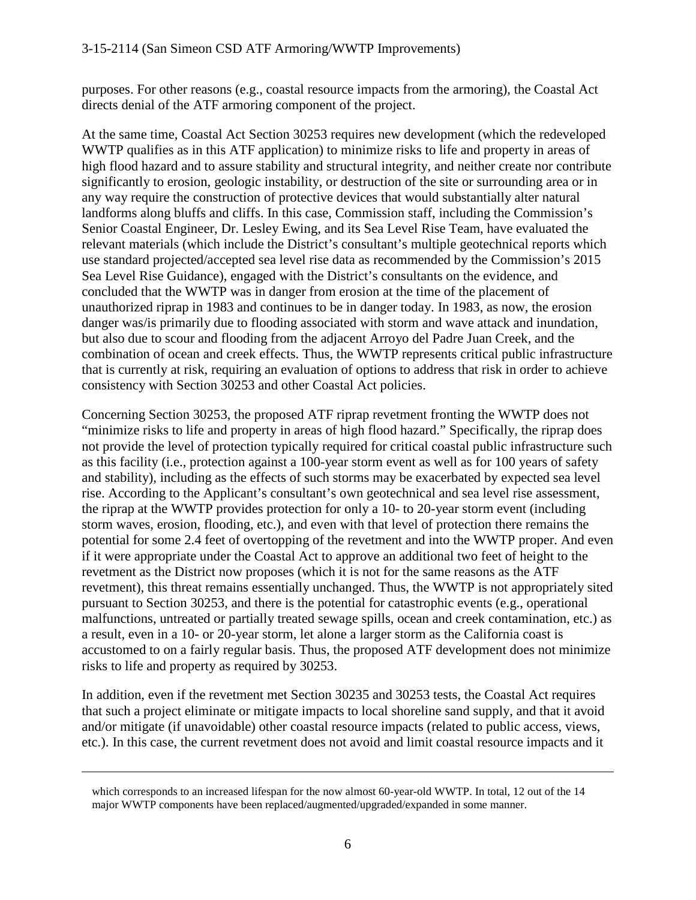purposes. For other reasons (e.g., coastal resource impacts from the armoring), the Coastal Act directs denial of the ATF armoring component of the project.

At the same time, Coastal Act Section 30253 requires new development (which the redeveloped WWTP qualifies as in this ATF application) to minimize risks to life and property in areas of high flood hazard and to assure stability and structural integrity, and neither create nor contribute significantly to erosion, geologic instability, or destruction of the site or surrounding area or in any way require the construction of protective devices that would substantially alter natural landforms along bluffs and cliffs. In this case, Commission staff, including the Commission's Senior Coastal Engineer, Dr. Lesley Ewing, and its Sea Level Rise Team, have evaluated the relevant materials (which include the District's consultant's multiple geotechnical reports which use standard projected/accepted sea level rise data as recommended by the Commission's 2015 Sea Level Rise Guidance), engaged with the District's consultants on the evidence, and concluded that the WWTP was in danger from erosion at the time of the placement of unauthorized riprap in 1983 and continues to be in danger today. In 1983, as now, the erosion danger was/is primarily due to flooding associated with storm and wave attack and inundation, but also due to scour and flooding from the adjacent Arroyo del Padre Juan Creek, and the combination of ocean and creek effects. Thus, the WWTP represents critical public infrastructure that is currently at risk, requiring an evaluation of options to address that risk in order to achieve consistency with Section 30253 and other Coastal Act policies.

Concerning Section 30253, the proposed ATF riprap revetment fronting the WWTP does not "minimize risks to life and property in areas of high flood hazard." Specifically, the riprap does not provide the level of protection typically required for critical coastal public infrastructure such as this facility (i.e., protection against a 100-year storm event as well as for 100 years of safety and stability), including as the effects of such storms may be exacerbated by expected sea level rise. According to the Applicant's consultant's own geotechnical and sea level rise assessment, the riprap at the WWTP provides protection for only a 10- to 20-year storm event (including storm waves, erosion, flooding, etc.), and even with that level of protection there remains the potential for some 2.4 feet of overtopping of the revetment and into the WWTP proper. And even if it were appropriate under the Coastal Act to approve an additional two feet of height to the revetment as the District now proposes (which it is not for the same reasons as the ATF revetment), this threat remains essentially unchanged. Thus, the WWTP is not appropriately sited pursuant to Section 30253, and there is the potential for catastrophic events (e.g., operational malfunctions, untreated or partially treated sewage spills, ocean and creek contamination, etc.) as a result, even in a 10- or 20-year storm, let alone a larger storm as the California coast is accustomed to on a fairly regular basis. Thus, the proposed ATF development does not minimize risks to life and property as required by 30253.

In addition, even if the revetment met Section 30235 and 30253 tests, the Coastal Act requires that such a project eliminate or mitigate impacts to local shoreline sand supply, and that it avoid and/or mitigate (if unavoidable) other coastal resource impacts (related to public access, views, etc.). In this case, the current revetment does not avoid and limit coastal resource impacts and it

which corresponds to an increased lifespan for the now almost 60-year-old WWTP. In total, 12 out of the 14 major WWTP components have been replaced/augmented/upgraded/expanded in some manner.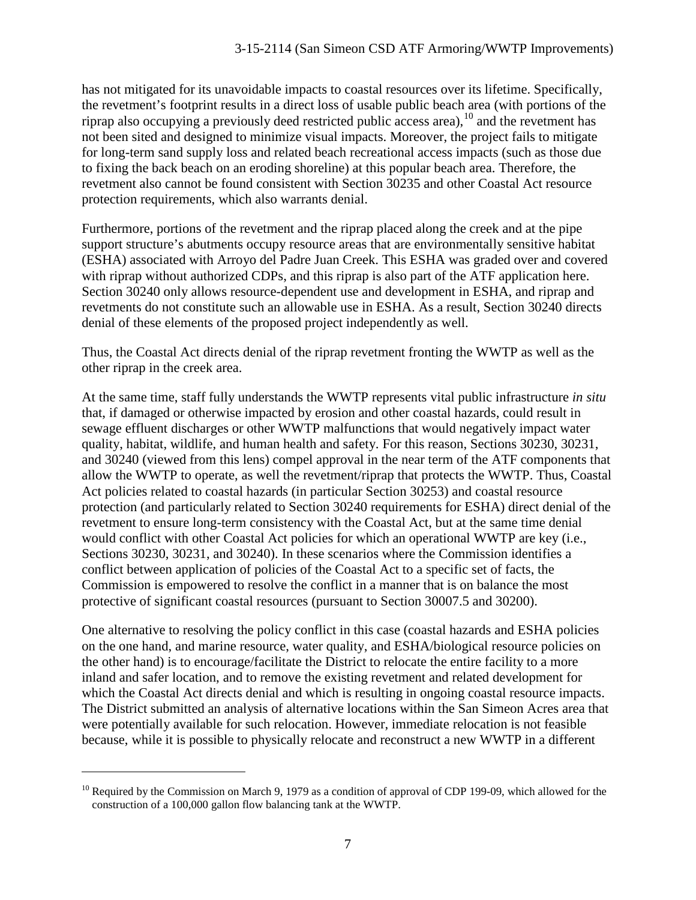has not mitigated for its unavoidable impacts to coastal resources over its lifetime. Specifically, the revetment's footprint results in a direct loss of usable public beach area (with portions of the riprap also occupying a previously deed restricted public access area),  $^{10}$  $^{10}$  $^{10}$  and the revetment has not been sited and designed to minimize visual impacts. Moreover, the project fails to mitigate for long-term sand supply loss and related beach recreational access impacts (such as those due to fixing the back beach on an eroding shoreline) at this popular beach area. Therefore, the revetment also cannot be found consistent with Section 30235 and other Coastal Act resource protection requirements, which also warrants denial.

Furthermore, portions of the revetment and the riprap placed along the creek and at the pipe support structure's abutments occupy resource areas that are environmentally sensitive habitat (ESHA) associated with Arroyo del Padre Juan Creek. This ESHA was graded over and covered with riprap without authorized CDPs, and this riprap is also part of the ATF application here. Section 30240 only allows resource-dependent use and development in ESHA, and riprap and revetments do not constitute such an allowable use in ESHA. As a result, Section 30240 directs denial of these elements of the proposed project independently as well.

Thus, the Coastal Act directs denial of the riprap revetment fronting the WWTP as well as the other riprap in the creek area.

At the same time, staff fully understands the WWTP represents vital public infrastructure *in situ* that, if damaged or otherwise impacted by erosion and other coastal hazards, could result in sewage effluent discharges or other WWTP malfunctions that would negatively impact water quality, habitat, wildlife, and human health and safety. For this reason, Sections 30230, 30231, and 30240 (viewed from this lens) compel approval in the near term of the ATF components that allow the WWTP to operate, as well the revetment/riprap that protects the WWTP. Thus, Coastal Act policies related to coastal hazards (in particular Section 30253) and coastal resource protection (and particularly related to Section 30240 requirements for ESHA) direct denial of the revetment to ensure long-term consistency with the Coastal Act, but at the same time denial would conflict with other Coastal Act policies for which an operational WWTP are key (i.e., Sections 30230, 30231, and 30240). In these scenarios where the Commission identifies a conflict between application of policies of the Coastal Act to a specific set of facts, the Commission is empowered to resolve the conflict in a manner that is on balance the most protective of significant coastal resources (pursuant to Section 30007.5 and 30200).

One alternative to resolving the policy conflict in this case (coastal hazards and ESHA policies on the one hand, and marine resource, water quality, and ESHA/biological resource policies on the other hand) is to encourage/facilitate the District to relocate the entire facility to a more inland and safer location, and to remove the existing revetment and related development for which the Coastal Act directs denial and which is resulting in ongoing coastal resource impacts. The District submitted an analysis of alternative locations within the San Simeon Acres area that were potentially available for such relocation. However, immediate relocation is not feasible because, while it is possible to physically relocate and reconstruct a new WWTP in a different

<span id="page-6-0"></span> $^{10}$  Required by the Commission on March 9, 1979 as a condition of approval of CDP 199-09, which allowed for the construction of a 100,000 gallon flow balancing tank at the WWTP.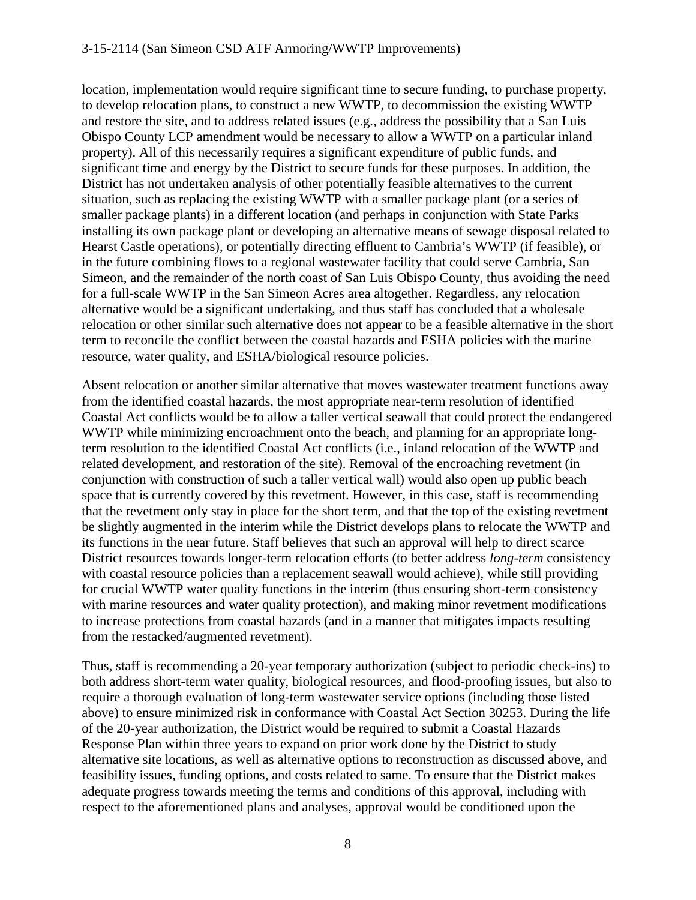#### 3-15-2114 (San Simeon CSD ATF Armoring/WWTP Improvements)

location, implementation would require significant time to secure funding, to purchase property, to develop relocation plans, to construct a new WWTP, to decommission the existing WWTP and restore the site, and to address related issues (e.g., address the possibility that a San Luis Obispo County LCP amendment would be necessary to allow a WWTP on a particular inland property). All of this necessarily requires a significant expenditure of public funds, and significant time and energy by the District to secure funds for these purposes. In addition, the District has not undertaken analysis of other potentially feasible alternatives to the current situation, such as replacing the existing WWTP with a smaller package plant (or a series of smaller package plants) in a different location (and perhaps in conjunction with State Parks installing its own package plant or developing an alternative means of sewage disposal related to Hearst Castle operations), or potentially directing effluent to Cambria's WWTP (if feasible), or in the future combining flows to a regional wastewater facility that could serve Cambria, San Simeon, and the remainder of the north coast of San Luis Obispo County, thus avoiding the need for a full-scale WWTP in the San Simeon Acres area altogether. Regardless, any relocation alternative would be a significant undertaking, and thus staff has concluded that a wholesale relocation or other similar such alternative does not appear to be a feasible alternative in the short term to reconcile the conflict between the coastal hazards and ESHA policies with the marine resource, water quality, and ESHA/biological resource policies.

Absent relocation or another similar alternative that moves wastewater treatment functions away from the identified coastal hazards, the most appropriate near-term resolution of identified Coastal Act conflicts would be to allow a taller vertical seawall that could protect the endangered WWTP while minimizing encroachment onto the beach, and planning for an appropriate longterm resolution to the identified Coastal Act conflicts (i.e., inland relocation of the WWTP and related development, and restoration of the site). Removal of the encroaching revetment (in conjunction with construction of such a taller vertical wall) would also open up public beach space that is currently covered by this revetment. However, in this case, staff is recommending that the revetment only stay in place for the short term, and that the top of the existing revetment be slightly augmented in the interim while the District develops plans to relocate the WWTP and its functions in the near future. Staff believes that such an approval will help to direct scarce District resources towards longer-term relocation efforts (to better address *long-term* consistency with coastal resource policies than a replacement seawall would achieve), while still providing for crucial WWTP water quality functions in the interim (thus ensuring short-term consistency with marine resources and water quality protection), and making minor revetment modifications to increase protections from coastal hazards (and in a manner that mitigates impacts resulting from the restacked/augmented revetment).

Thus, staff is recommending a 20-year temporary authorization (subject to periodic check-ins) to both address short-term water quality, biological resources, and flood-proofing issues, but also to require a thorough evaluation of long-term wastewater service options (including those listed above) to ensure minimized risk in conformance with Coastal Act Section 30253. During the life of the 20-year authorization, the District would be required to submit a Coastal Hazards Response Plan within three years to expand on prior work done by the District to study alternative site locations, as well as alternative options to reconstruction as discussed above, and feasibility issues, funding options, and costs related to same. To ensure that the District makes adequate progress towards meeting the terms and conditions of this approval, including with respect to the aforementioned plans and analyses, approval would be conditioned upon the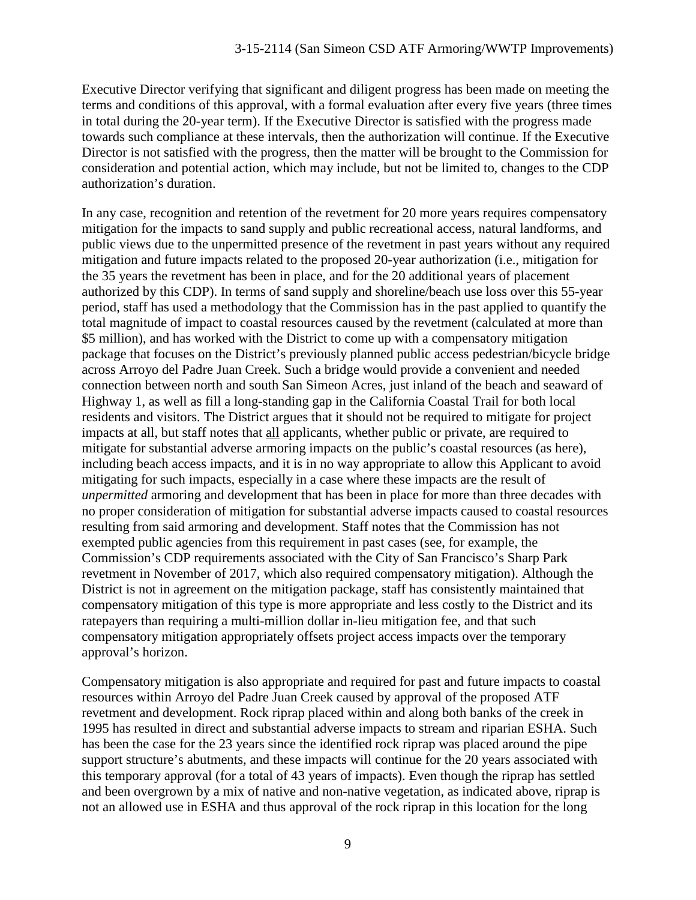Executive Director verifying that significant and diligent progress has been made on meeting the terms and conditions of this approval, with a formal evaluation after every five years (three times in total during the 20-year term). If the Executive Director is satisfied with the progress made towards such compliance at these intervals, then the authorization will continue. If the Executive Director is not satisfied with the progress, then the matter will be brought to the Commission for consideration and potential action, which may include, but not be limited to, changes to the CDP authorization's duration.

In any case, recognition and retention of the revetment for 20 more years requires compensatory mitigation for the impacts to sand supply and public recreational access, natural landforms, and public views due to the unpermitted presence of the revetment in past years without any required mitigation and future impacts related to the proposed 20-year authorization (i.e., mitigation for the 35 years the revetment has been in place, and for the 20 additional years of placement authorized by this CDP). In terms of sand supply and shoreline/beach use loss over this 55-year period, staff has used a methodology that the Commission has in the past applied to quantify the total magnitude of impact to coastal resources caused by the revetment (calculated at more than \$5 million), and has worked with the District to come up with a compensatory mitigation package that focuses on the District's previously planned public access pedestrian/bicycle bridge across Arroyo del Padre Juan Creek. Such a bridge would provide a convenient and needed connection between north and south San Simeon Acres, just inland of the beach and seaward of Highway 1, as well as fill a long-standing gap in the California Coastal Trail for both local residents and visitors. The District argues that it should not be required to mitigate for project impacts at all, but staff notes that all applicants, whether public or private, are required to mitigate for substantial adverse armoring impacts on the public's coastal resources (as here), including beach access impacts, and it is in no way appropriate to allow this Applicant to avoid mitigating for such impacts, especially in a case where these impacts are the result of *unpermitted* armoring and development that has been in place for more than three decades with no proper consideration of mitigation for substantial adverse impacts caused to coastal resources resulting from said armoring and development. Staff notes that the Commission has not exempted public agencies from this requirement in past cases (see, for example, the Commission's CDP requirements associated with the City of San Francisco's Sharp Park revetment in November of 2017, which also required compensatory mitigation). Although the District is not in agreement on the mitigation package, staff has consistently maintained that compensatory mitigation of this type is more appropriate and less costly to the District and its ratepayers than requiring a multi-million dollar in-lieu mitigation fee, and that such compensatory mitigation appropriately offsets project access impacts over the temporary approval's horizon.

Compensatory mitigation is also appropriate and required for past and future impacts to coastal resources within Arroyo del Padre Juan Creek caused by approval of the proposed ATF revetment and development. Rock riprap placed within and along both banks of the creek in 1995 has resulted in direct and substantial adverse impacts to stream and riparian ESHA. Such has been the case for the 23 years since the identified rock riprap was placed around the pipe support structure's abutments, and these impacts will continue for the 20 years associated with this temporary approval (for a total of 43 years of impacts). Even though the riprap has settled and been overgrown by a mix of native and non-native vegetation, as indicated above, riprap is not an allowed use in ESHA and thus approval of the rock riprap in this location for the long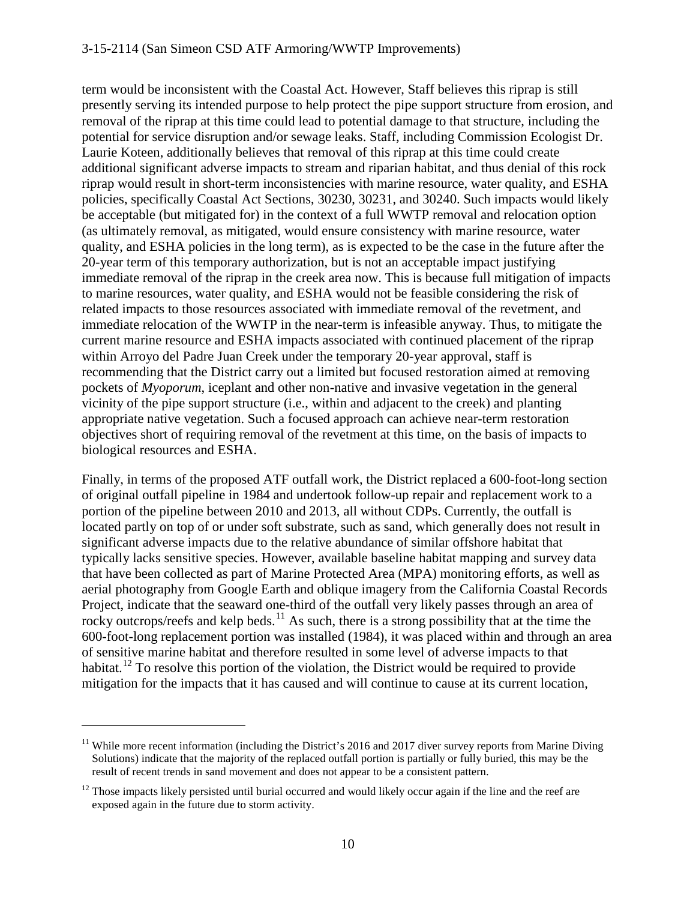term would be inconsistent with the Coastal Act. However, Staff believes this riprap is still presently serving its intended purpose to help protect the pipe support structure from erosion, and removal of the riprap at this time could lead to potential damage to that structure, including the potential for service disruption and/or sewage leaks. Staff, including Commission Ecologist Dr. Laurie Koteen, additionally believes that removal of this riprap at this time could create additional significant adverse impacts to stream and riparian habitat, and thus denial of this rock riprap would result in short-term inconsistencies with marine resource, water quality, and ESHA policies, specifically Coastal Act Sections, 30230, 30231, and 30240. Such impacts would likely be acceptable (but mitigated for) in the context of a full WWTP removal and relocation option (as ultimately removal, as mitigated, would ensure consistency with marine resource, water quality, and ESHA policies in the long term), as is expected to be the case in the future after the 20-year term of this temporary authorization, but is not an acceptable impact justifying immediate removal of the riprap in the creek area now. This is because full mitigation of impacts to marine resources, water quality, and ESHA would not be feasible considering the risk of related impacts to those resources associated with immediate removal of the revetment, and immediate relocation of the WWTP in the near-term is infeasible anyway. Thus, to mitigate the current marine resource and ESHA impacts associated with continued placement of the riprap within Arroyo del Padre Juan Creek under the temporary 20-year approval, staff is recommending that the District carry out a limited but focused restoration aimed at removing pockets of *Myoporum*, iceplant and other non-native and invasive vegetation in the general vicinity of the pipe support structure (i.e., within and adjacent to the creek) and planting appropriate native vegetation. Such a focused approach can achieve near-term restoration objectives short of requiring removal of the revetment at this time, on the basis of impacts to biological resources and ESHA.

Finally, in terms of the proposed ATF outfall work, the District replaced a 600-foot-long section of original outfall pipeline in 1984 and undertook follow-up repair and replacement work to a portion of the pipeline between 2010 and 2013, all without CDPs. Currently, the outfall is located partly on top of or under soft substrate, such as sand, which generally does not result in significant adverse impacts due to the relative abundance of similar offshore habitat that typically lacks sensitive species. However, available baseline habitat mapping and survey data that have been collected as part of Marine Protected Area (MPA) monitoring efforts, as well as aerial photography from Google Earth and oblique imagery from the California Coastal Records Project, indicate that the seaward one-third of the outfall very likely passes through an area of rocky outcrops/reefs and kelp beds.<sup>[11](#page-9-0)</sup> As such, there is a strong possibility that at the time the 600-foot-long replacement portion was installed (1984), it was placed within and through an area of sensitive marine habitat and therefore resulted in some level of adverse impacts to that habitat.<sup>[12](#page-9-1)</sup> To resolve this portion of the violation, the District would be required to provide mitigation for the impacts that it has caused and will continue to cause at its current location,

<span id="page-9-0"></span><sup>&</sup>lt;sup>11</sup> While more recent information (including the District's 2016 and 2017 diver survey reports from Marine Diving Solutions) indicate that the majority of the replaced outfall portion is partially or fully buried, this may be the result of recent trends in sand movement and does not appear to be a consistent pattern.

<span id="page-9-1"></span> $12$  Those impacts likely persisted until burial occurred and would likely occur again if the line and the reef are exposed again in the future due to storm activity.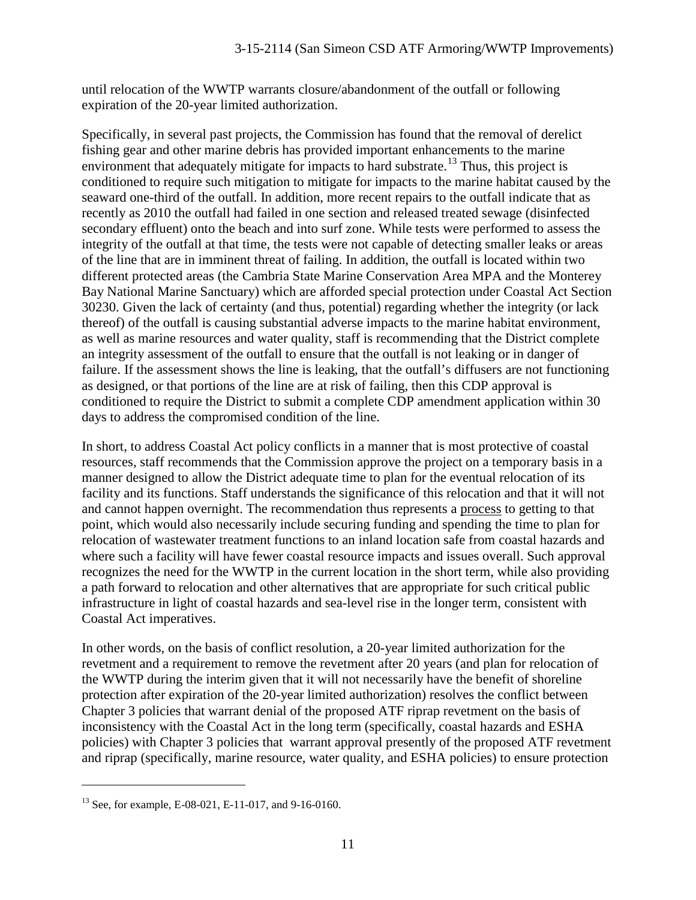until relocation of the WWTP warrants closure/abandonment of the outfall or following expiration of the 20-year limited authorization.

Specifically, in several past projects, the Commission has found that the removal of derelict fishing gear and other marine debris has provided important enhancements to the marine environment that adequately mitigate for impacts to hard substrate.<sup>[13](#page-10-0)</sup> Thus, this project is conditioned to require such mitigation to mitigate for impacts to the marine habitat caused by the seaward one-third of the outfall. In addition, more recent repairs to the outfall indicate that as recently as 2010 the outfall had failed in one section and released treated sewage (disinfected secondary effluent) onto the beach and into surf zone. While tests were performed to assess the integrity of the outfall at that time, the tests were not capable of detecting smaller leaks or areas of the line that are in imminent threat of failing. In addition, the outfall is located within two different protected areas (the Cambria State Marine Conservation Area MPA and the Monterey Bay National Marine Sanctuary) which are afforded special protection under Coastal Act Section 30230. Given the lack of certainty (and thus, potential) regarding whether the integrity (or lack thereof) of the outfall is causing substantial adverse impacts to the marine habitat environment, as well as marine resources and water quality, staff is recommending that the District complete an integrity assessment of the outfall to ensure that the outfall is not leaking or in danger of failure. If the assessment shows the line is leaking, that the outfall's diffusers are not functioning as designed, or that portions of the line are at risk of failing, then this CDP approval is conditioned to require the District to submit a complete CDP amendment application within 30 days to address the compromised condition of the line.

In short, to address Coastal Act policy conflicts in a manner that is most protective of coastal resources, staff recommends that the Commission approve the project on a temporary basis in a manner designed to allow the District adequate time to plan for the eventual relocation of its facility and its functions. Staff understands the significance of this relocation and that it will not and cannot happen overnight. The recommendation thus represents a process to getting to that point, which would also necessarily include securing funding and spending the time to plan for relocation of wastewater treatment functions to an inland location safe from coastal hazards and where such a facility will have fewer coastal resource impacts and issues overall. Such approval recognizes the need for the WWTP in the current location in the short term, while also providing a path forward to relocation and other alternatives that are appropriate for such critical public infrastructure in light of coastal hazards and sea-level rise in the longer term, consistent with Coastal Act imperatives.

In other words, on the basis of conflict resolution, a 20-year limited authorization for the revetment and a requirement to remove the revetment after 20 years (and plan for relocation of the WWTP during the interim given that it will not necessarily have the benefit of shoreline protection after expiration of the 20-year limited authorization) resolves the conflict between Chapter 3 policies that warrant denial of the proposed ATF riprap revetment on the basis of inconsistency with the Coastal Act in the long term (specifically, coastal hazards and ESHA policies) with Chapter 3 policies that warrant approval presently of the proposed ATF revetment and riprap (specifically, marine resource, water quality, and ESHA policies) to ensure protection

<span id="page-10-0"></span><sup>13</sup> See, for example, E-08-021, E-11-017, and 9-16-0160.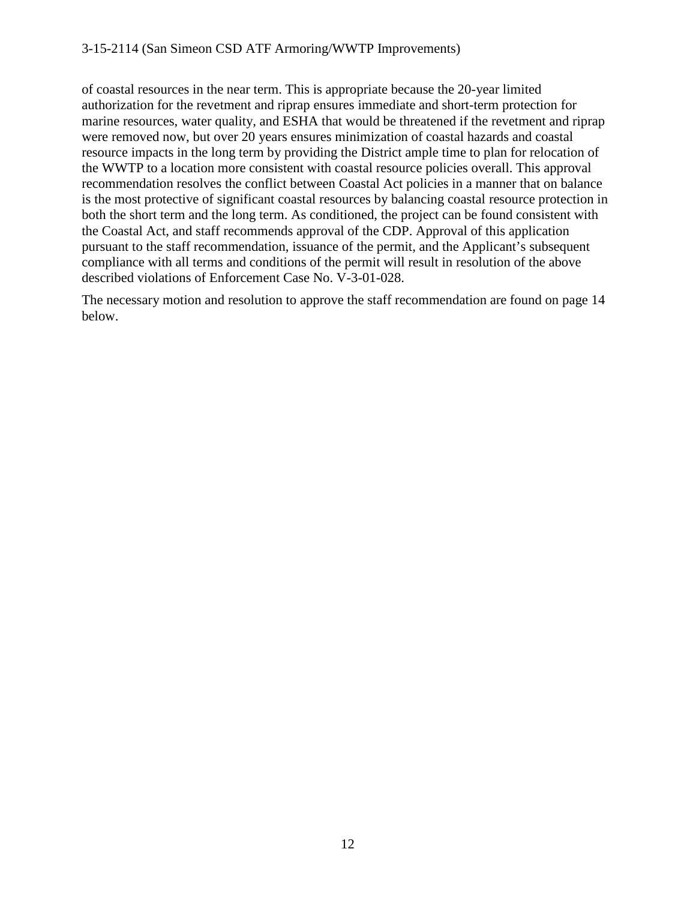of coastal resources in the near term. This is appropriate because the 20-year limited authorization for the revetment and riprap ensures immediate and short-term protection for marine resources, water quality, and ESHA that would be threatened if the revetment and riprap were removed now, but over 20 years ensures minimization of coastal hazards and coastal resource impacts in the long term by providing the District ample time to plan for relocation of the WWTP to a location more consistent with coastal resource policies overall. This approval recommendation resolves the conflict between Coastal Act policies in a manner that on balance is the most protective of significant coastal resources by balancing coastal resource protection in both the short term and the long term. As conditioned, the project can be found consistent with the Coastal Act, and staff recommends approval of the CDP. Approval of this application pursuant to the staff recommendation, issuance of the permit, and the Applicant's subsequent compliance with all terms and conditions of the permit will result in resolution of the above described violations of Enforcement Case No. V-3-01-028.

The necessary motion and resolution to approve the staff recommendation are found on page 14 below.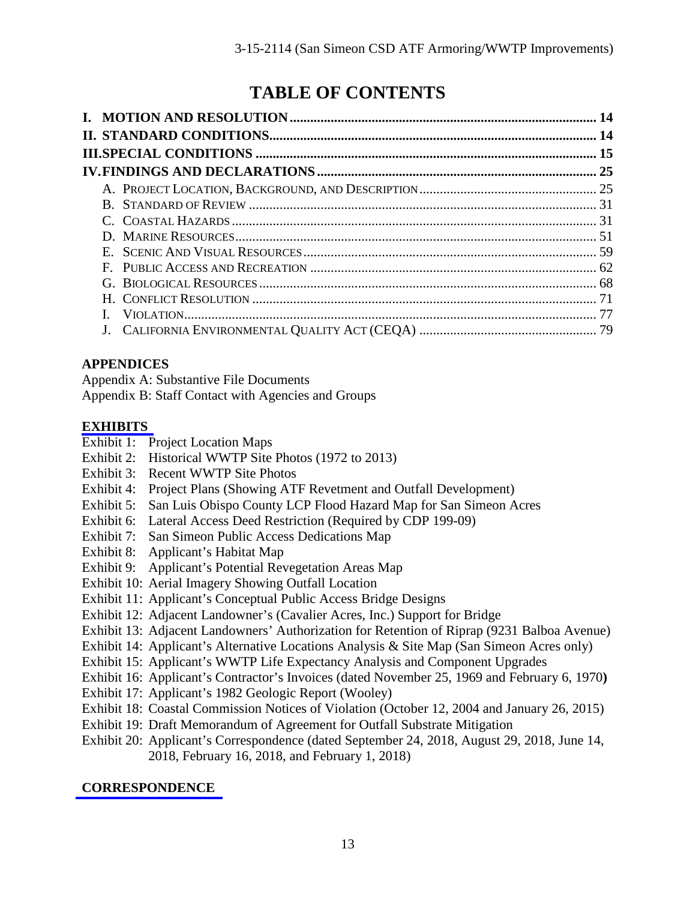# **TABLE OF CONTENTS**

| B. |  |
|----|--|
|    |  |
|    |  |
|    |  |
| F. |  |
|    |  |
|    |  |
|    |  |
|    |  |

### **APPENDICES**

Appendix A: Substantive File Documents

Appendix B: Staff Contact with Agencies and Groups

### **[EXHIBITS](https://documents.coastal.ca.gov/reports/2018/10/F12a/F12a-10-2018-exhibits.pdf)**

- Exhibit 1: Project Location Maps
- Exhibit 2: Historical WWTP Site Photos (1972 to 2013)
- Exhibit 3: Recent WWTP Site Photos
- Exhibit 4: Project Plans (Showing ATF Revetment and Outfall Development)
- Exhibit 5: San Luis Obispo County LCP Flood Hazard Map for San Simeon Acres
- Exhibit 6: Lateral Access Deed Restriction (Required by CDP 199-09)
- Exhibit 7: San Simeon Public Access Dedications Map
- Exhibit 8: Applicant's Habitat Map
- Exhibit 9: Applicant's Potential Revegetation Areas Map
- Exhibit 10: Aerial Imagery Showing Outfall Location
- Exhibit 11: Applicant's Conceptual Public Access Bridge Designs
- Exhibit 12: Adjacent Landowner's (Cavalier Acres, Inc.) Support for Bridge
- Exhibit 13: Adjacent Landowners' Authorization for Retention of Riprap (9231 Balboa Avenue)
- Exhibit 14: Applicant's Alternative Locations Analysis & Site Map (San Simeon Acres only)
- Exhibit 15: Applicant's WWTP Life Expectancy Analysis and Component Upgrades
- Exhibit 16: Applicant's Contractor's Invoices (dated November 25, 1969 and February 6, 1970**)**
- Exhibit 17: Applicant's 1982 Geologic Report (Wooley)
- Exhibit 18: Coastal Commission Notices of Violation (October 12, 2004 and January 26, 2015)
- Exhibit 19: Draft Memorandum of Agreement for Outfall Substrate Mitigation
- Exhibit 20: Applicant's Correspondence (dated September 24, 2018, August 29, 2018, June 14, 2018, February 16, 2018, and February 1, 2018)

# **[CORRESPONDENCE](https://documents.coastal.ca.gov/reports/2018/10/F12a/F12a-10-2018-corresp.pdf)**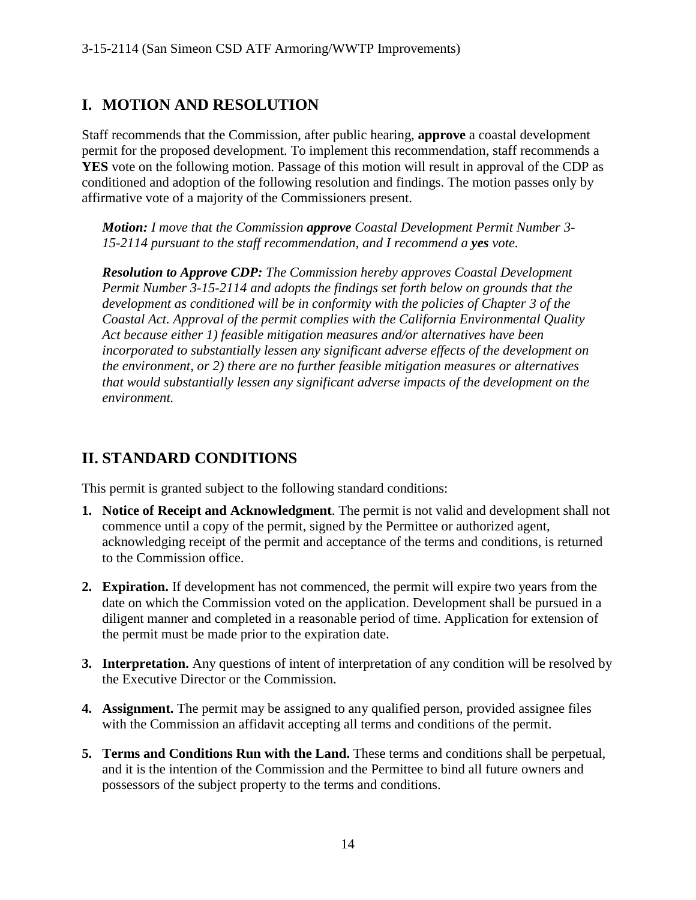# **I. MOTION AND RESOLUTION**

Staff recommends that the Commission, after public hearing, **approve** a coastal development permit for the proposed development. To implement this recommendation, staff recommends a **YES** vote on the following motion. Passage of this motion will result in approval of the CDP as conditioned and adoption of the following resolution and findings. The motion passes only by affirmative vote of a majority of the Commissioners present.

*Motion: I move that the Commission approve Coastal Development Permit Number 3- 15-2114 pursuant to the staff recommendation, and I recommend a yes vote.* 

*Resolution to Approve CDP: The Commission hereby approves Coastal Development Permit Number 3-15-2114 and adopts the findings set forth below on grounds that the development as conditioned will be in conformity with the policies of Chapter 3 of the Coastal Act. Approval of the permit complies with the California Environmental Quality Act because either 1) feasible mitigation measures and/or alternatives have been incorporated to substantially lessen any significant adverse effects of the development on the environment, or 2) there are no further feasible mitigation measures or alternatives that would substantially lessen any significant adverse impacts of the development on the environment.*

# **II. STANDARD CONDITIONS**

This permit is granted subject to the following standard conditions:

- **1. Notice of Receipt and Acknowledgment**. The permit is not valid and development shall not commence until a copy of the permit, signed by the Permittee or authorized agent, acknowledging receipt of the permit and acceptance of the terms and conditions, is returned to the Commission office.
- **2. Expiration.** If development has not commenced, the permit will expire two years from the date on which the Commission voted on the application. Development shall be pursued in a diligent manner and completed in a reasonable period of time. Application for extension of the permit must be made prior to the expiration date.
- **3. Interpretation.** Any questions of intent of interpretation of any condition will be resolved by the Executive Director or the Commission.
- **4. Assignment.** The permit may be assigned to any qualified person, provided assignee files with the Commission an affidavit accepting all terms and conditions of the permit.
- **5. Terms and Conditions Run with the Land.** These terms and conditions shall be perpetual, and it is the intention of the Commission and the Permittee to bind all future owners and possessors of the subject property to the terms and conditions.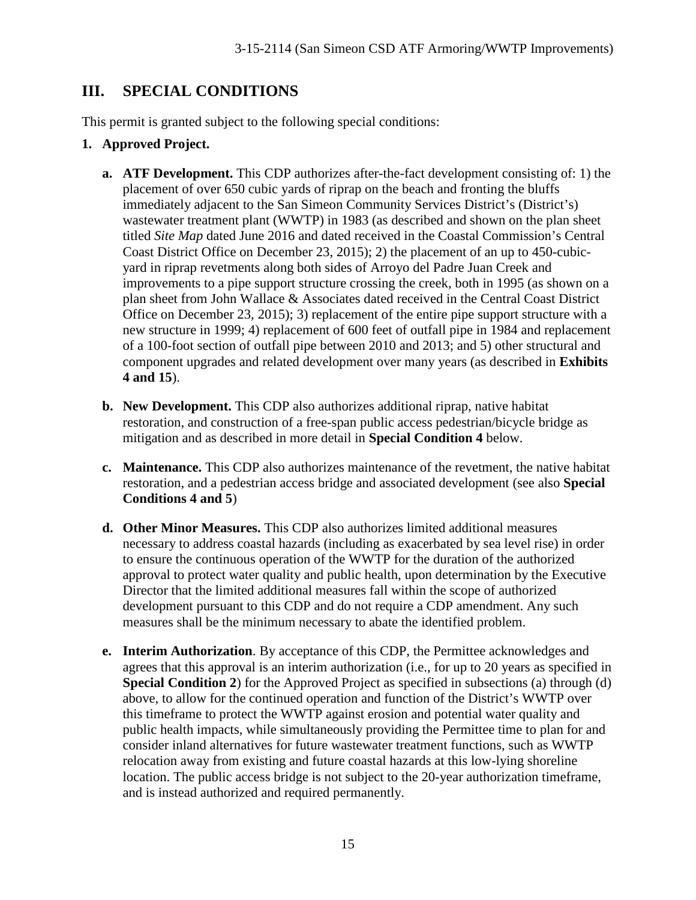# **III. SPECIAL CONDITIONS**

This permit is granted subject to the following special conditions:

#### **1. Approved Project.**

- **a. ATF Development.** This CDP authorizes after-the-fact development consisting of: 1) the placement of over 650 cubic yards of riprap on the beach and fronting the bluffs immediately adjacent to the San Simeon Community Services District's (District's) wastewater treatment plant (WWTP) in 1983 (as described and shown on the plan sheet titled *Site Map* dated June 2016 and dated received in the Coastal Commission's Central Coast District Office on December 23, 2015); 2) the placement of an up to 450-cubicyard in riprap revetments along both sides of Arroyo del Padre Juan Creek and improvements to a pipe support structure crossing the creek, both in 1995 (as shown on a plan sheet from John Wallace & Associates dated received in the Central Coast District Office on December 23, 2015); 3) replacement of the entire pipe support structure with a new structure in 1999; 4) replacement of 600 feet of outfall pipe in 1984 and replacement of a 100-foot section of outfall pipe between 2010 and 2013; and 5) other structural and component upgrades and related development over many years (as described in **Exhibits 4 and 15**).
- **b. New Development.** This CDP also authorizes additional riprap, native habitat restoration, and construction of a free-span public access pedestrian/bicycle bridge as mitigation and as described in more detail in **Special Condition 4** below.
- **c. Maintenance.** This CDP also authorizes maintenance of the revetment, the native habitat restoration, and a pedestrian access bridge and associated development (see also **Special Conditions 4 and 5**)
- **d. Other Minor Measures.** This CDP also authorizes limited additional measures necessary to address coastal hazards (including as exacerbated by sea level rise) in order to ensure the continuous operation of the WWTP for the duration of the authorized approval to protect water quality and public health, upon determination by the Executive Director that the limited additional measures fall within the scope of authorized development pursuant to this CDP and do not require a CDP amendment. Any such measures shall be the minimum necessary to abate the identified problem.
- **e. Interim Authorization**. By acceptance of this CDP, the Permittee acknowledges and agrees that this approval is an interim authorization (i.e., for up to 20 years as specified in **Special Condition 2**) for the Approved Project as specified in subsections (a) through (d) above, to allow for the continued operation and function of the District's WWTP over this timeframe to protect the WWTP against erosion and potential water quality and public health impacts, while simultaneously providing the Permittee time to plan for and consider inland alternatives for future wastewater treatment functions, such as WWTP relocation away from existing and future coastal hazards at this low-lying shoreline location. The public access bridge is not subject to the 20-year authorization timeframe, and is instead authorized and required permanently.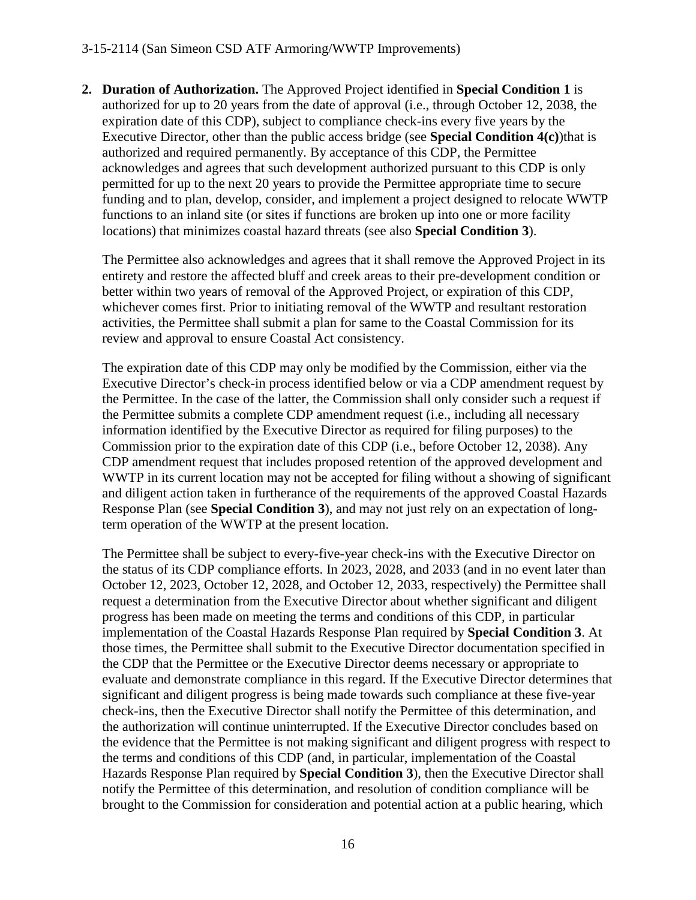#### 3-15-2114 (San Simeon CSD ATF Armoring/WWTP Improvements)

**2. Duration of Authorization.** The Approved Project identified in **Special Condition 1** is authorized for up to 20 years from the date of approval (i.e., through October 12, 2038, the expiration date of this CDP), subject to compliance check-ins every five years by the Executive Director, other than the public access bridge (see **Special Condition 4(c)**)that is authorized and required permanently. By acceptance of this CDP, the Permittee acknowledges and agrees that such development authorized pursuant to this CDP is only permitted for up to the next 20 years to provide the Permittee appropriate time to secure funding and to plan, develop, consider, and implement a project designed to relocate WWTP functions to an inland site (or sites if functions are broken up into one or more facility locations) that minimizes coastal hazard threats (see also **Special Condition 3**).

The Permittee also acknowledges and agrees that it shall remove the Approved Project in its entirety and restore the affected bluff and creek areas to their pre-development condition or better within two years of removal of the Approved Project, or expiration of this CDP, whichever comes first. Prior to initiating removal of the WWTP and resultant restoration activities, the Permittee shall submit a plan for same to the Coastal Commission for its review and approval to ensure Coastal Act consistency.

The expiration date of this CDP may only be modified by the Commission, either via the Executive Director's check-in process identified below or via a CDP amendment request by the Permittee. In the case of the latter, the Commission shall only consider such a request if the Permittee submits a complete CDP amendment request (i.e., including all necessary information identified by the Executive Director as required for filing purposes) to the Commission prior to the expiration date of this CDP (i.e., before October 12, 2038). Any CDP amendment request that includes proposed retention of the approved development and WWTP in its current location may not be accepted for filing without a showing of significant and diligent action taken in furtherance of the requirements of the approved Coastal Hazards Response Plan (see **Special Condition 3**), and may not just rely on an expectation of longterm operation of the WWTP at the present location.

The Permittee shall be subject to every-five-year check-ins with the Executive Director on the status of its CDP compliance efforts. In 2023, 2028, and 2033 (and in no event later than October 12, 2023, October 12, 2028, and October 12, 2033, respectively) the Permittee shall request a determination from the Executive Director about whether significant and diligent progress has been made on meeting the terms and conditions of this CDP, in particular implementation of the Coastal Hazards Response Plan required by **Special Condition 3**. At those times, the Permittee shall submit to the Executive Director documentation specified in the CDP that the Permittee or the Executive Director deems necessary or appropriate to evaluate and demonstrate compliance in this regard. If the Executive Director determines that significant and diligent progress is being made towards such compliance at these five-year check-ins, then the Executive Director shall notify the Permittee of this determination, and the authorization will continue uninterrupted. If the Executive Director concludes based on the evidence that the Permittee is not making significant and diligent progress with respect to the terms and conditions of this CDP (and, in particular, implementation of the Coastal Hazards Response Plan required by **Special Condition 3**), then the Executive Director shall notify the Permittee of this determination, and resolution of condition compliance will be brought to the Commission for consideration and potential action at a public hearing, which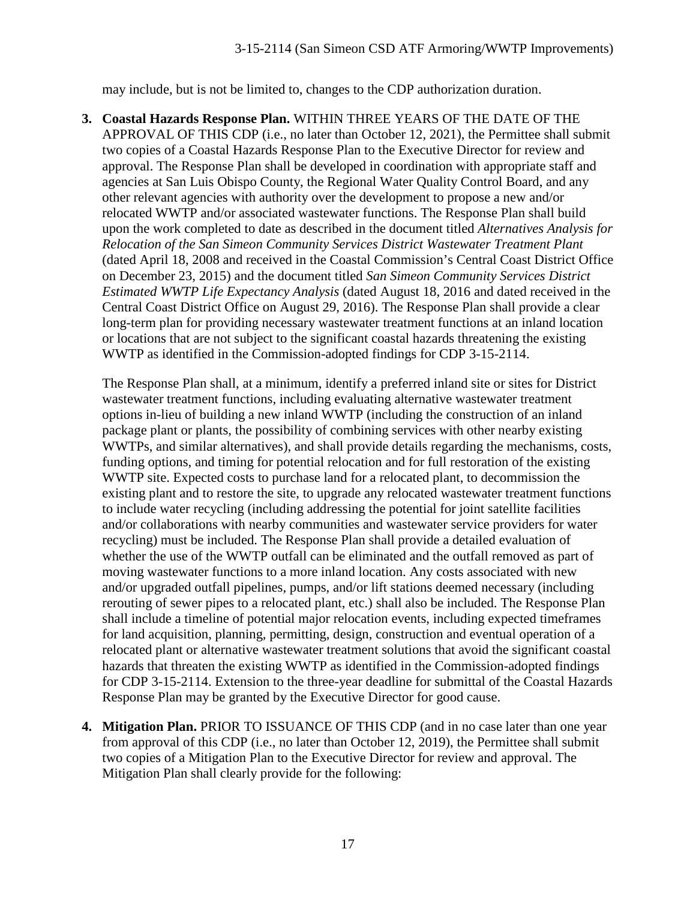may include, but is not be limited to, changes to the CDP authorization duration.

**3. Coastal Hazards Response Plan.** WITHIN THREE YEARS OF THE DATE OF THE APPROVAL OF THIS CDP (i.e., no later than October 12, 2021), the Permittee shall submit two copies of a Coastal Hazards Response Plan to the Executive Director for review and approval. The Response Plan shall be developed in coordination with appropriate staff and agencies at San Luis Obispo County, the Regional Water Quality Control Board, and any other relevant agencies with authority over the development to propose a new and/or relocated WWTP and/or associated wastewater functions. The Response Plan shall build upon the work completed to date as described in the document titled *Alternatives Analysis for Relocation of the San Simeon Community Services District Wastewater Treatment Plant*  (dated April 18, 2008 and received in the Coastal Commission's Central Coast District Office on December 23, 2015) and the document titled *San Simeon Community Services District Estimated WWTP Life Expectancy Analysis* (dated August 18, 2016 and dated received in the Central Coast District Office on August 29, 2016). The Response Plan shall provide a clear long-term plan for providing necessary wastewater treatment functions at an inland location or locations that are not subject to the significant coastal hazards threatening the existing WWTP as identified in the Commission-adopted findings for CDP 3-15-2114.

The Response Plan shall, at a minimum, identify a preferred inland site or sites for District wastewater treatment functions, including evaluating alternative wastewater treatment options in-lieu of building a new inland WWTP (including the construction of an inland package plant or plants, the possibility of combining services with other nearby existing WWTPs, and similar alternatives), and shall provide details regarding the mechanisms, costs, funding options, and timing for potential relocation and for full restoration of the existing WWTP site. Expected costs to purchase land for a relocated plant, to decommission the existing plant and to restore the site, to upgrade any relocated wastewater treatment functions to include water recycling (including addressing the potential for joint satellite facilities and/or collaborations with nearby communities and wastewater service providers for water recycling) must be included. The Response Plan shall provide a detailed evaluation of whether the use of the WWTP outfall can be eliminated and the outfall removed as part of moving wastewater functions to a more inland location. Any costs associated with new and/or upgraded outfall pipelines, pumps, and/or lift stations deemed necessary (including rerouting of sewer pipes to a relocated plant, etc.) shall also be included. The Response Plan shall include a timeline of potential major relocation events, including expected timeframes for land acquisition, planning, permitting, design, construction and eventual operation of a relocated plant or alternative wastewater treatment solutions that avoid the significant coastal hazards that threaten the existing WWTP as identified in the Commission-adopted findings for CDP 3-15-2114. Extension to the three-year deadline for submittal of the Coastal Hazards Response Plan may be granted by the Executive Director for good cause.

**4. Mitigation Plan.** PRIOR TO ISSUANCE OF THIS CDP (and in no case later than one year from approval of this CDP (i.e., no later than October 12, 2019), the Permittee shall submit two copies of a Mitigation Plan to the Executive Director for review and approval. The Mitigation Plan shall clearly provide for the following: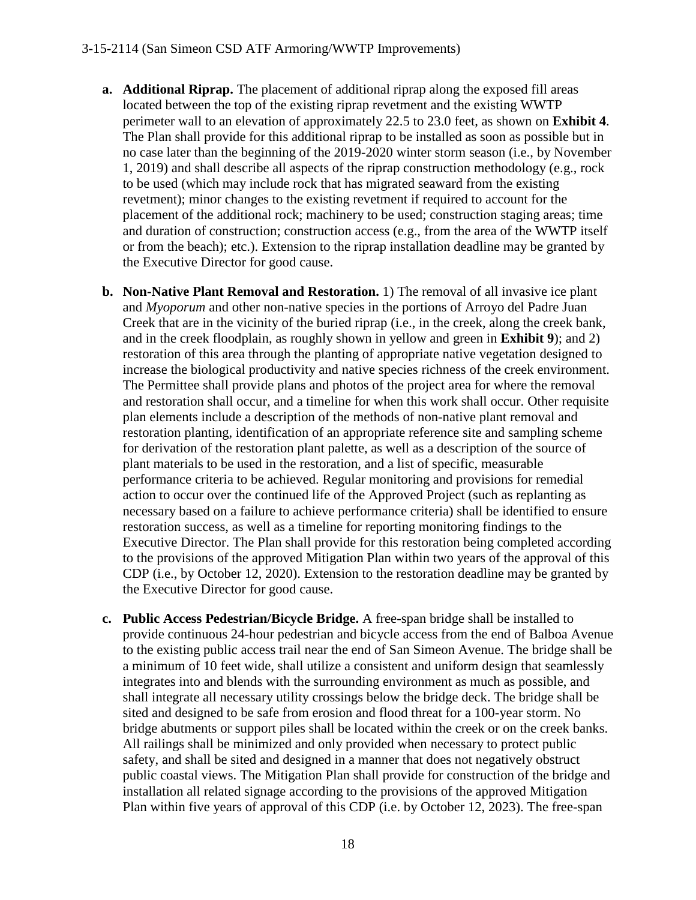- **a. Additional Riprap.** The placement of additional riprap along the exposed fill areas located between the top of the existing riprap revetment and the existing WWTP perimeter wall to an elevation of approximately 22.5 to 23.0 feet, as shown on **Exhibit 4**. The Plan shall provide for this additional riprap to be installed as soon as possible but in no case later than the beginning of the 2019-2020 winter storm season (i.e., by November 1, 2019) and shall describe all aspects of the riprap construction methodology (e.g., rock to be used (which may include rock that has migrated seaward from the existing revetment); minor changes to the existing revetment if required to account for the placement of the additional rock; machinery to be used; construction staging areas; time and duration of construction; construction access (e.g., from the area of the WWTP itself or from the beach); etc.). Extension to the riprap installation deadline may be granted by the Executive Director for good cause.
- **b. Non-Native Plant Removal and Restoration.** 1) The removal of all invasive ice plant and *Myoporum* and other non-native species in the portions of Arroyo del Padre Juan Creek that are in the vicinity of the buried riprap (i.e., in the creek, along the creek bank, and in the creek floodplain, as roughly shown in yellow and green in **Exhibit 9**); and 2) restoration of this area through the planting of appropriate native vegetation designed to increase the biological productivity and native species richness of the creek environment. The Permittee shall provide plans and photos of the project area for where the removal and restoration shall occur, and a timeline for when this work shall occur. Other requisite plan elements include a description of the methods of non-native plant removal and restoration planting, identification of an appropriate reference site and sampling scheme for derivation of the restoration plant palette, as well as a description of the source of plant materials to be used in the restoration, and a list of specific, measurable performance criteria to be achieved. Regular monitoring and provisions for remedial action to occur over the continued life of the Approved Project (such as replanting as necessary based on a failure to achieve performance criteria) shall be identified to ensure restoration success, as well as a timeline for reporting monitoring findings to the Executive Director. The Plan shall provide for this restoration being completed according to the provisions of the approved Mitigation Plan within two years of the approval of this CDP (i.e., by October 12, 2020). Extension to the restoration deadline may be granted by the Executive Director for good cause.
- **c. Public Access Pedestrian/Bicycle Bridge.** A free-span bridge shall be installed to provide continuous 24-hour pedestrian and bicycle access from the end of Balboa Avenue to the existing public access trail near the end of San Simeon Avenue. The bridge shall be a minimum of 10 feet wide, shall utilize a consistent and uniform design that seamlessly integrates into and blends with the surrounding environment as much as possible, and shall integrate all necessary utility crossings below the bridge deck. The bridge shall be sited and designed to be safe from erosion and flood threat for a 100-year storm. No bridge abutments or support piles shall be located within the creek or on the creek banks. All railings shall be minimized and only provided when necessary to protect public safety, and shall be sited and designed in a manner that does not negatively obstruct public coastal views. The Mitigation Plan shall provide for construction of the bridge and installation all related signage according to the provisions of the approved Mitigation Plan within five years of approval of this CDP (i.e. by October 12, 2023). The free-span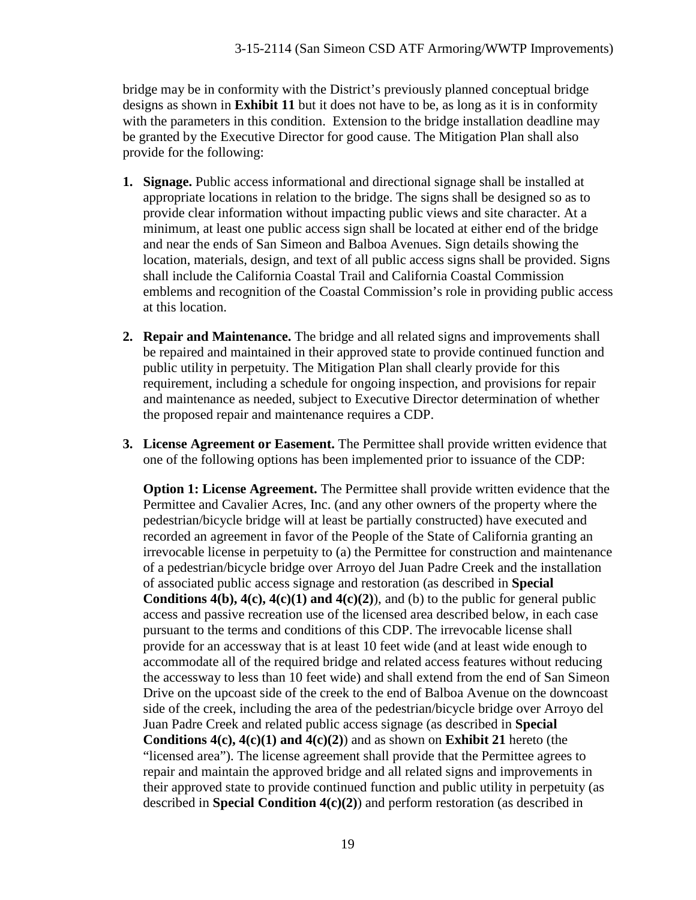bridge may be in conformity with the District's previously planned conceptual bridge designs as shown in **Exhibit 11** but it does not have to be, as long as it is in conformity with the parameters in this condition. Extension to the bridge installation deadline may be granted by the Executive Director for good cause. The Mitigation Plan shall also provide for the following:

- **1. Signage.** Public access informational and directional signage shall be installed at appropriate locations in relation to the bridge. The signs shall be designed so as to provide clear information without impacting public views and site character. At a minimum, at least one public access sign shall be located at either end of the bridge and near the ends of San Simeon and Balboa Avenues. Sign details showing the location, materials, design, and text of all public access signs shall be provided. Signs shall include the California Coastal Trail and California Coastal Commission emblems and recognition of the Coastal Commission's role in providing public access at this location.
- **2. Repair and Maintenance.** The bridge and all related signs and improvements shall be repaired and maintained in their approved state to provide continued function and public utility in perpetuity. The Mitigation Plan shall clearly provide for this requirement, including a schedule for ongoing inspection, and provisions for repair and maintenance as needed, subject to Executive Director determination of whether the proposed repair and maintenance requires a CDP.
- **3. License Agreement or Easement.** The Permittee shall provide written evidence that one of the following options has been implemented prior to issuance of the CDP:

**Option 1: License Agreement.** The Permittee shall provide written evidence that the Permittee and Cavalier Acres, Inc. (and any other owners of the property where the pedestrian/bicycle bridge will at least be partially constructed) have executed and recorded an agreement in favor of the People of the State of California granting an irrevocable license in perpetuity to (a) the Permittee for construction and maintenance of a pedestrian/bicycle bridge over Arroyo del Juan Padre Creek and the installation of associated public access signage and restoration (as described in **Special Conditions 4(b),**  $4(c)$ **,**  $4(c)(1)$  **and**  $4(c)(2)$ **), and (b) to the public for general public** access and passive recreation use of the licensed area described below, in each case pursuant to the terms and conditions of this CDP. The irrevocable license shall provide for an accessway that is at least 10 feet wide (and at least wide enough to accommodate all of the required bridge and related access features without reducing the accessway to less than 10 feet wide) and shall extend from the end of San Simeon Drive on the upcoast side of the creek to the end of Balboa Avenue on the downcoast side of the creek, including the area of the pedestrian/bicycle bridge over Arroyo del Juan Padre Creek and related public access signage (as described in **Special Conditions 4(c), 4(c)(1) and 4(c)(2)**) and as shown on **Exhibit 21** hereto (the "licensed area"). The license agreement shall provide that the Permittee agrees to repair and maintain the approved bridge and all related signs and improvements in their approved state to provide continued function and public utility in perpetuity (as described in **Special Condition 4(c)(2)**) and perform restoration (as described in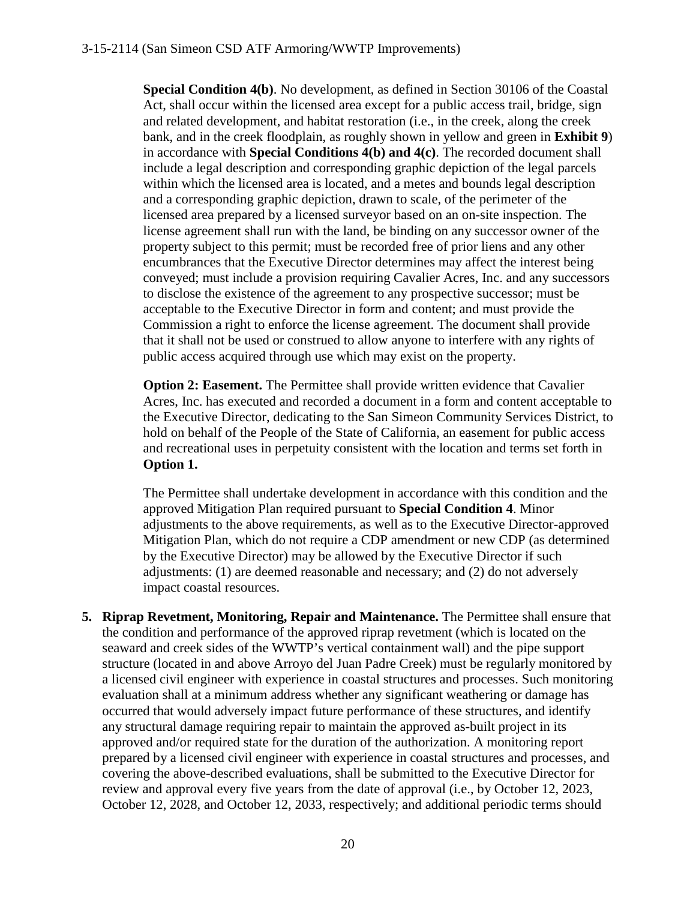**Special Condition 4(b)**. No development, as defined in Section 30106 of the Coastal Act, shall occur within the licensed area except for a public access trail, bridge, sign and related development, and habitat restoration (i.e., in the creek, along the creek bank, and in the creek floodplain, as roughly shown in yellow and green in **Exhibit 9**) in accordance with **Special Conditions 4(b) and 4(c)**. The recorded document shall include a legal description and corresponding graphic depiction of the legal parcels within which the licensed area is located, and a metes and bounds legal description and a corresponding graphic depiction, drawn to scale, of the perimeter of the licensed area prepared by a licensed surveyor based on an on-site inspection. The license agreement shall run with the land, be binding on any successor owner of the property subject to this permit; must be recorded free of prior liens and any other encumbrances that the Executive Director determines may affect the interest being conveyed; must include a provision requiring Cavalier Acres, Inc. and any successors to disclose the existence of the agreement to any prospective successor; must be acceptable to the Executive Director in form and content; and must provide the Commission a right to enforce the license agreement. The document shall provide that it shall not be used or construed to allow anyone to interfere with any rights of public access acquired through use which may exist on the property.

**Option 2: Easement.** The Permittee shall provide written evidence that Cavalier Acres, Inc. has executed and recorded a document in a form and content acceptable to the Executive Director, dedicating to the San Simeon Community Services District, to hold on behalf of the People of the State of California, an easement for public access and recreational uses in perpetuity consistent with the location and terms set forth in **Option 1.** 

The Permittee shall undertake development in accordance with this condition and the approved Mitigation Plan required pursuant to **Special Condition 4**. Minor adjustments to the above requirements, as well as to the Executive Director-approved Mitigation Plan, which do not require a CDP amendment or new CDP (as determined by the Executive Director) may be allowed by the Executive Director if such adjustments: (1) are deemed reasonable and necessary; and (2) do not adversely impact coastal resources.

**5. Riprap Revetment, Monitoring, Repair and Maintenance.** The Permittee shall ensure that the condition and performance of the approved riprap revetment (which is located on the seaward and creek sides of the WWTP's vertical containment wall) and the pipe support structure (located in and above Arroyo del Juan Padre Creek) must be regularly monitored by a licensed civil engineer with experience in coastal structures and processes. Such monitoring evaluation shall at a minimum address whether any significant weathering or damage has occurred that would adversely impact future performance of these structures, and identify any structural damage requiring repair to maintain the approved as-built project in its approved and/or required state for the duration of the authorization. A monitoring report prepared by a licensed civil engineer with experience in coastal structures and processes, and covering the above-described evaluations, shall be submitted to the Executive Director for review and approval every five years from the date of approval (i.e., by October 12, 2023, October 12, 2028, and October 12, 2033, respectively; and additional periodic terms should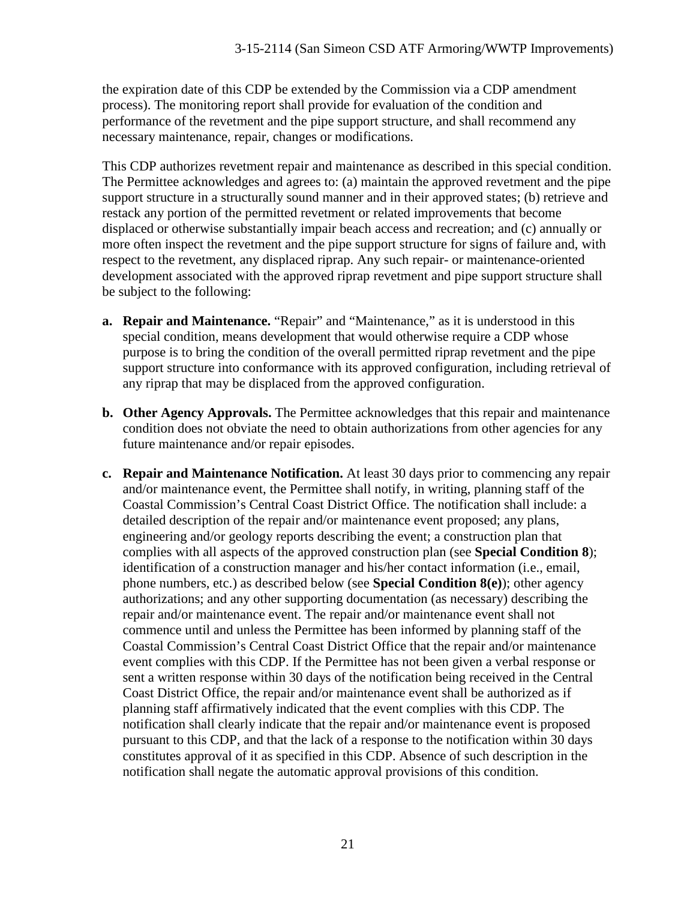the expiration date of this CDP be extended by the Commission via a CDP amendment process). The monitoring report shall provide for evaluation of the condition and performance of the revetment and the pipe support structure, and shall recommend any necessary maintenance, repair, changes or modifications.

This CDP authorizes revetment repair and maintenance as described in this special condition. The Permittee acknowledges and agrees to: (a) maintain the approved revetment and the pipe support structure in a structurally sound manner and in their approved states; (b) retrieve and restack any portion of the permitted revetment or related improvements that become displaced or otherwise substantially impair beach access and recreation; and (c) annually or more often inspect the revetment and the pipe support structure for signs of failure and, with respect to the revetment, any displaced riprap. Any such repair- or maintenance-oriented development associated with the approved riprap revetment and pipe support structure shall be subject to the following:

- **a. Repair and Maintenance.** "Repair" and "Maintenance," as it is understood in this special condition, means development that would otherwise require a CDP whose purpose is to bring the condition of the overall permitted riprap revetment and the pipe support structure into conformance with its approved configuration, including retrieval of any riprap that may be displaced from the approved configuration.
- **b. Other Agency Approvals.** The Permittee acknowledges that this repair and maintenance condition does not obviate the need to obtain authorizations from other agencies for any future maintenance and/or repair episodes.
- **c. Repair and Maintenance Notification.** At least 30 days prior to commencing any repair and/or maintenance event, the Permittee shall notify, in writing, planning staff of the Coastal Commission's Central Coast District Office. The notification shall include: a detailed description of the repair and/or maintenance event proposed; any plans, engineering and/or geology reports describing the event; a construction plan that complies with all aspects of the approved construction plan (see **Special Condition 8**); identification of a construction manager and his/her contact information (i.e., email, phone numbers, etc.) as described below (see **Special Condition 8(e)**); other agency authorizations; and any other supporting documentation (as necessary) describing the repair and/or maintenance event. The repair and/or maintenance event shall not commence until and unless the Permittee has been informed by planning staff of the Coastal Commission's Central Coast District Office that the repair and/or maintenance event complies with this CDP. If the Permittee has not been given a verbal response or sent a written response within 30 days of the notification being received in the Central Coast District Office, the repair and/or maintenance event shall be authorized as if planning staff affirmatively indicated that the event complies with this CDP. The notification shall clearly indicate that the repair and/or maintenance event is proposed pursuant to this CDP, and that the lack of a response to the notification within 30 days constitutes approval of it as specified in this CDP. Absence of such description in the notification shall negate the automatic approval provisions of this condition.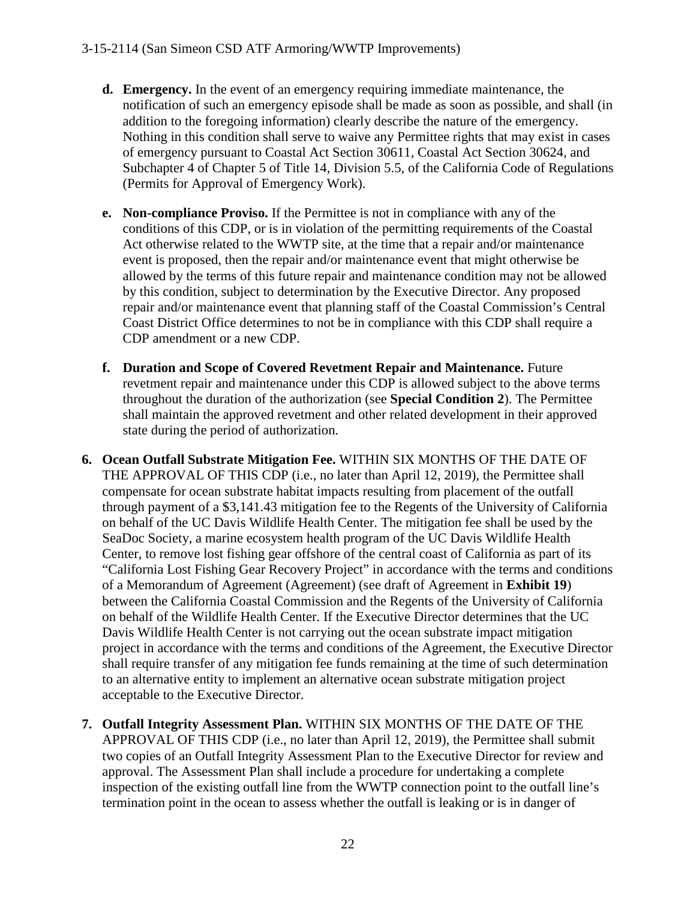- **d. Emergency.** In the event of an emergency requiring immediate maintenance, the notification of such an emergency episode shall be made as soon as possible, and shall (in addition to the foregoing information) clearly describe the nature of the emergency. Nothing in this condition shall serve to waive any Permittee rights that may exist in cases of emergency pursuant to Coastal Act Section 30611, Coastal Act Section 30624, and Subchapter 4 of Chapter 5 of Title 14, Division 5.5, of the California Code of Regulations (Permits for Approval of Emergency Work).
- **e. Non-compliance Proviso.** If the Permittee is not in compliance with any of the conditions of this CDP, or is in violation of the permitting requirements of the Coastal Act otherwise related to the WWTP site, at the time that a repair and/or maintenance event is proposed, then the repair and/or maintenance event that might otherwise be allowed by the terms of this future repair and maintenance condition may not be allowed by this condition, subject to determination by the Executive Director. Any proposed repair and/or maintenance event that planning staff of the Coastal Commission's Central Coast District Office determines to not be in compliance with this CDP shall require a CDP amendment or a new CDP.
- **f. Duration and Scope of Covered Revetment Repair and Maintenance.** Future revetment repair and maintenance under this CDP is allowed subject to the above terms throughout the duration of the authorization (see **Special Condition 2**). The Permittee shall maintain the approved revetment and other related development in their approved state during the period of authorization.
- **6. Ocean Outfall Substrate Mitigation Fee.** WITHIN SIX MONTHS OF THE DATE OF THE APPROVAL OF THIS CDP (i.e., no later than April 12, 2019), the Permittee shall compensate for ocean substrate habitat impacts resulting from placement of the outfall through payment of a \$3,141.43 mitigation fee to the Regents of the University of California on behalf of the UC Davis Wildlife Health Center. The mitigation fee shall be used by the SeaDoc Society, a marine ecosystem health program of the UC Davis Wildlife Health Center, to remove lost fishing gear offshore of the central coast of California as part of its "California Lost Fishing Gear Recovery Project" in accordance with the terms and conditions of a Memorandum of Agreement (Agreement) (see draft of Agreement in **Exhibit 19**) between the California Coastal Commission and the Regents of the University of California on behalf of the Wildlife Health Center. If the Executive Director determines that the UC Davis Wildlife Health Center is not carrying out the ocean substrate impact mitigation project in accordance with the terms and conditions of the Agreement, the Executive Director shall require transfer of any mitigation fee funds remaining at the time of such determination to an alternative entity to implement an alternative ocean substrate mitigation project acceptable to the Executive Director.
- **7. Outfall Integrity Assessment Plan.** WITHIN SIX MONTHS OF THE DATE OF THE APPROVAL OF THIS CDP (i.e., no later than April 12, 2019), the Permittee shall submit two copies of an Outfall Integrity Assessment Plan to the Executive Director for review and approval. The Assessment Plan shall include a procedure for undertaking a complete inspection of the existing outfall line from the WWTP connection point to the outfall line's termination point in the ocean to assess whether the outfall is leaking or is in danger of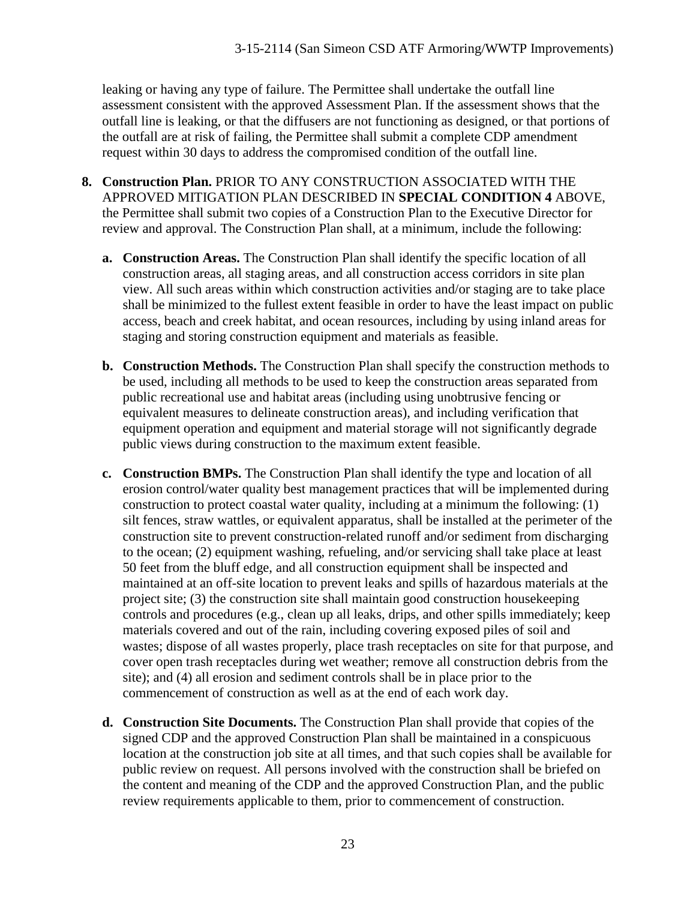leaking or having any type of failure. The Permittee shall undertake the outfall line assessment consistent with the approved Assessment Plan. If the assessment shows that the outfall line is leaking, or that the diffusers are not functioning as designed, or that portions of the outfall are at risk of failing, the Permittee shall submit a complete CDP amendment request within 30 days to address the compromised condition of the outfall line.

- **8. Construction Plan.** PRIOR TO ANY CONSTRUCTION ASSOCIATED WITH THE APPROVED MITIGATION PLAN DESCRIBED IN **SPECIAL CONDITION 4** ABOVE, the Permittee shall submit two copies of a Construction Plan to the Executive Director for review and approval. The Construction Plan shall, at a minimum, include the following:
	- **a. Construction Areas.** The Construction Plan shall identify the specific location of all construction areas, all staging areas, and all construction access corridors in site plan view. All such areas within which construction activities and/or staging are to take place shall be minimized to the fullest extent feasible in order to have the least impact on public access, beach and creek habitat, and ocean resources, including by using inland areas for staging and storing construction equipment and materials as feasible.
	- **b. Construction Methods.** The Construction Plan shall specify the construction methods to be used, including all methods to be used to keep the construction areas separated from public recreational use and habitat areas (including using unobtrusive fencing or equivalent measures to delineate construction areas), and including verification that equipment operation and equipment and material storage will not significantly degrade public views during construction to the maximum extent feasible.
	- **c. Construction BMPs.** The Construction Plan shall identify the type and location of all erosion control/water quality best management practices that will be implemented during construction to protect coastal water quality, including at a minimum the following: (1) silt fences, straw wattles, or equivalent apparatus, shall be installed at the perimeter of the construction site to prevent construction-related runoff and/or sediment from discharging to the ocean; (2) equipment washing, refueling, and/or servicing shall take place at least 50 feet from the bluff edge, and all construction equipment shall be inspected and maintained at an off-site location to prevent leaks and spills of hazardous materials at the project site; (3) the construction site shall maintain good construction housekeeping controls and procedures (e.g., clean up all leaks, drips, and other spills immediately; keep materials covered and out of the rain, including covering exposed piles of soil and wastes; dispose of all wastes properly, place trash receptacles on site for that purpose, and cover open trash receptacles during wet weather; remove all construction debris from the site); and (4) all erosion and sediment controls shall be in place prior to the commencement of construction as well as at the end of each work day.
	- **d. Construction Site Documents.** The Construction Plan shall provide that copies of the signed CDP and the approved Construction Plan shall be maintained in a conspicuous location at the construction job site at all times, and that such copies shall be available for public review on request. All persons involved with the construction shall be briefed on the content and meaning of the CDP and the approved Construction Plan, and the public review requirements applicable to them, prior to commencement of construction.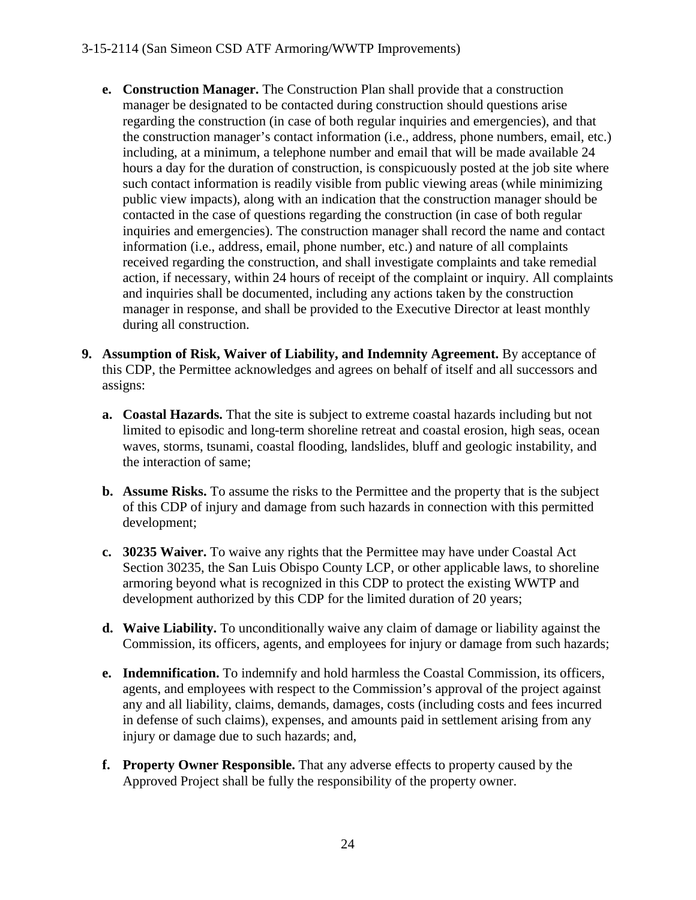- **e. Construction Manager.** The Construction Plan shall provide that a construction manager be designated to be contacted during construction should questions arise regarding the construction (in case of both regular inquiries and emergencies), and that the construction manager's contact information (i.e., address, phone numbers, email, etc.) including, at a minimum, a telephone number and email that will be made available 24 hours a day for the duration of construction, is conspicuously posted at the job site where such contact information is readily visible from public viewing areas (while minimizing public view impacts), along with an indication that the construction manager should be contacted in the case of questions regarding the construction (in case of both regular inquiries and emergencies). The construction manager shall record the name and contact information (i.e., address, email, phone number, etc.) and nature of all complaints received regarding the construction, and shall investigate complaints and take remedial action, if necessary, within 24 hours of receipt of the complaint or inquiry. All complaints and inquiries shall be documented, including any actions taken by the construction manager in response, and shall be provided to the Executive Director at least monthly during all construction.
- **9. Assumption of Risk, Waiver of Liability, and Indemnity Agreement.** By acceptance of this CDP, the Permittee acknowledges and agrees on behalf of itself and all successors and assigns:
	- **a. Coastal Hazards.** That the site is subject to extreme coastal hazards including but not limited to episodic and long-term shoreline retreat and coastal erosion, high seas, ocean waves, storms, tsunami, coastal flooding, landslides, bluff and geologic instability, and the interaction of same;
	- **b. Assume Risks.** To assume the risks to the Permittee and the property that is the subject of this CDP of injury and damage from such hazards in connection with this permitted development;
	- **c. 30235 Waiver.** To waive any rights that the Permittee may have under Coastal Act Section 30235, the San Luis Obispo County LCP, or other applicable laws, to shoreline armoring beyond what is recognized in this CDP to protect the existing WWTP and development authorized by this CDP for the limited duration of 20 years;
	- **d. Waive Liability.** To unconditionally waive any claim of damage or liability against the Commission, its officers, agents, and employees for injury or damage from such hazards;
	- **e. Indemnification.** To indemnify and hold harmless the Coastal Commission, its officers, agents, and employees with respect to the Commission's approval of the project against any and all liability, claims, demands, damages, costs (including costs and fees incurred in defense of such claims), expenses, and amounts paid in settlement arising from any injury or damage due to such hazards; and,
	- **f. Property Owner Responsible.** That any adverse effects to property caused by the Approved Project shall be fully the responsibility of the property owner.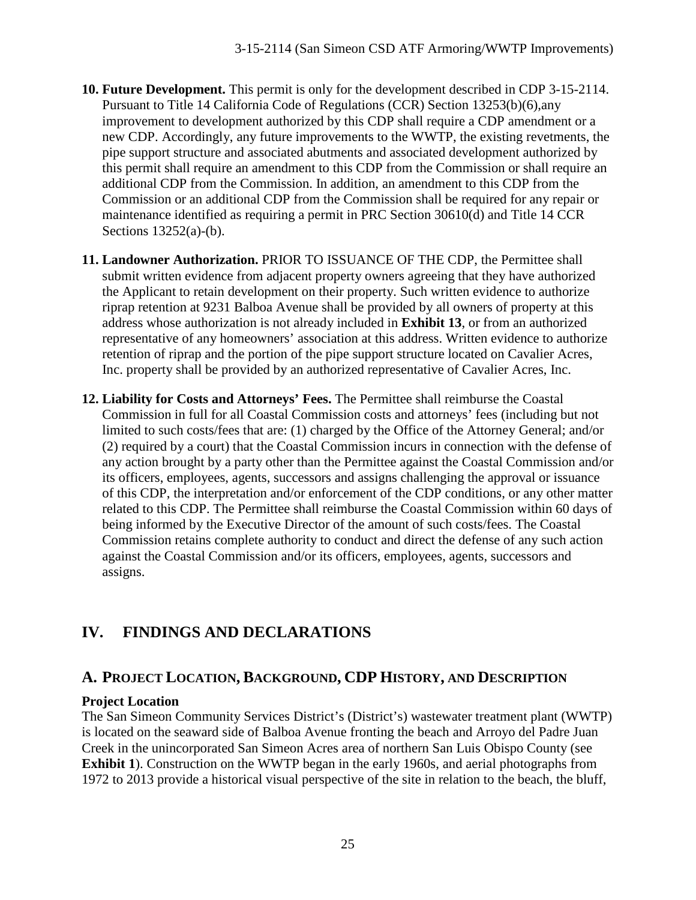- **10. Future Development.** This permit is only for the development described in CDP 3-15-2114. Pursuant to Title 14 California Code of Regulations (CCR) Section 13253(b)(6),any improvement to development authorized by this CDP shall require a CDP amendment or a new CDP. Accordingly, any future improvements to the WWTP, the existing revetments, the pipe support structure and associated abutments and associated development authorized by this permit shall require an amendment to this CDP from the Commission or shall require an additional CDP from the Commission. In addition, an amendment to this CDP from the Commission or an additional CDP from the Commission shall be required for any repair or maintenance identified as requiring a permit in PRC Section 30610(d) and Title 14 CCR Sections 13252(a)-(b).
- **11. Landowner Authorization.** PRIOR TO ISSUANCE OF THE CDP, the Permittee shall submit written evidence from adjacent property owners agreeing that they have authorized the Applicant to retain development on their property. Such written evidence to authorize riprap retention at 9231 Balboa Avenue shall be provided by all owners of property at this address whose authorization is not already included in **Exhibit 13**, or from an authorized representative of any homeowners' association at this address. Written evidence to authorize retention of riprap and the portion of the pipe support structure located on Cavalier Acres, Inc. property shall be provided by an authorized representative of Cavalier Acres, Inc.
- **12. Liability for Costs and Attorneys' Fees.** The Permittee shall reimburse the Coastal Commission in full for all Coastal Commission costs and attorneys' fees (including but not limited to such costs/fees that are: (1) charged by the Office of the Attorney General; and/or (2) required by a court) that the Coastal Commission incurs in connection with the defense of any action brought by a party other than the Permittee against the Coastal Commission and/or its officers, employees, agents, successors and assigns challenging the approval or issuance of this CDP, the interpretation and/or enforcement of the CDP conditions, or any other matter related to this CDP. The Permittee shall reimburse the Coastal Commission within 60 days of being informed by the Executive Director of the amount of such costs/fees. The Coastal Commission retains complete authority to conduct and direct the defense of any such action against the Coastal Commission and/or its officers, employees, agents, successors and assigns.

# **IV. FINDINGS AND DECLARATIONS**

# **A. PROJECT LOCATION, BACKGROUND, CDP HISTORY, AND DESCRIPTION**

#### **Project Location**

The San Simeon Community Services District's (District's) wastewater treatment plant (WWTP) is located on the seaward side of Balboa Avenue fronting the beach and Arroyo del Padre Juan Creek in the unincorporated San Simeon Acres area of northern San Luis Obispo County (see **Exhibit 1**). Construction on the WWTP began in the early 1960s, and aerial photographs from 1972 to 2013 provide a historical visual perspective of the site in relation to the beach, the bluff,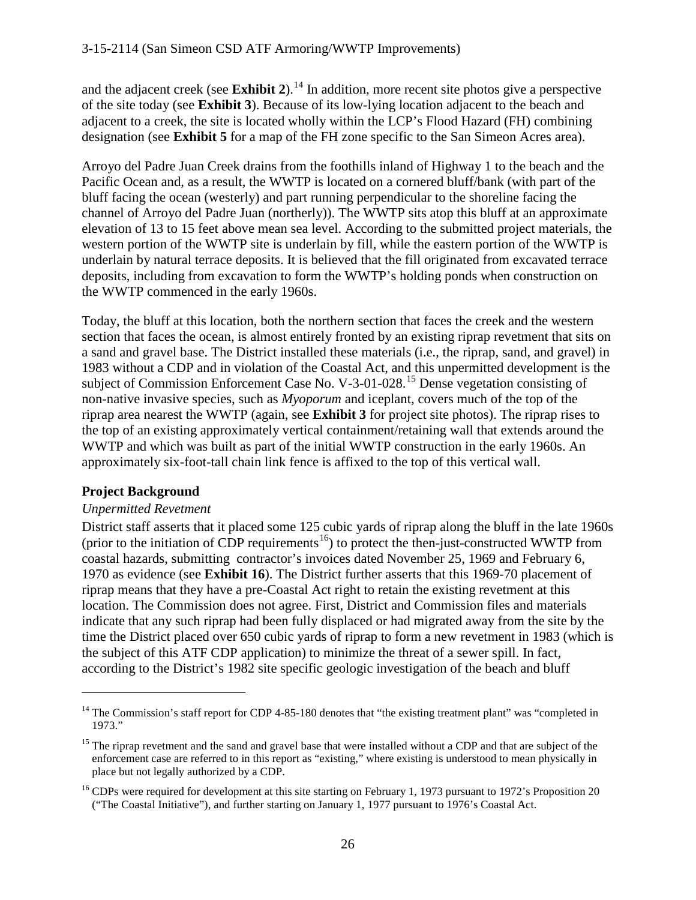and the adjacent creek (see **Exhibit 2**).<sup>[14](#page-25-0)</sup> In addition, more recent site photos give a perspective of the site today (see **Exhibit 3**). Because of its low-lying location adjacent to the beach and adjacent to a creek, the site is located wholly within the LCP's Flood Hazard (FH) combining designation (see **Exhibit 5** for a map of the FH zone specific to the San Simeon Acres area).

Arroyo del Padre Juan Creek drains from the foothills inland of Highway 1 to the beach and the Pacific Ocean and, as a result, the WWTP is located on a cornered bluff/bank (with part of the bluff facing the ocean (westerly) and part running perpendicular to the shoreline facing the channel of Arroyo del Padre Juan (northerly)). The WWTP sits atop this bluff at an approximate elevation of 13 to 15 feet above mean sea level. According to the submitted project materials, the western portion of the WWTP site is underlain by fill, while the eastern portion of the WWTP is underlain by natural terrace deposits. It is believed that the fill originated from excavated terrace deposits, including from excavation to form the WWTP's holding ponds when construction on the WWTP commenced in the early 1960s.

Today, the bluff at this location, both the northern section that faces the creek and the western section that faces the ocean, is almost entirely fronted by an existing riprap revetment that sits on a sand and gravel base. The District installed these materials (i.e., the riprap, sand, and gravel) in 1983 without a CDP and in violation of the Coastal Act, and this unpermitted development is the subject of Commission Enforcement Case No. V-3-01-028.<sup>[15](#page-25-1)</sup> Dense vegetation consisting of non-native invasive species, such as *Myoporum* and iceplant, covers much of the top of the riprap area nearest the WWTP (again, see **Exhibit 3** for project site photos). The riprap rises to the top of an existing approximately vertical containment/retaining wall that extends around the WWTP and which was built as part of the initial WWTP construction in the early 1960s. An approximately six-foot-tall chain link fence is affixed to the top of this vertical wall.

### **Project Background**

 $\overline{a}$ 

#### *Unpermitted Revetment*

District staff asserts that it placed some 125 cubic yards of riprap along the bluff in the late 1960s (prior to the initiation of CDP requirements<sup>[16](#page-25-2)</sup>) to protect the then-just-constructed WWTP from coastal hazards, submitting contractor's invoices dated November 25, 1969 and February 6, 1970 as evidence (see **Exhibit 16**). The District further asserts that this 1969-70 placement of riprap means that they have a pre-Coastal Act right to retain the existing revetment at this location. The Commission does not agree. First, District and Commission files and materials indicate that any such riprap had been fully displaced or had migrated away from the site by the time the District placed over 650 cubic yards of riprap to form a new revetment in 1983 (which is the subject of this ATF CDP application) to minimize the threat of a sewer spill. In fact, according to the District's 1982 site specific geologic investigation of the beach and bluff

<span id="page-25-0"></span><sup>&</sup>lt;sup>14</sup> The Commission's staff report for CDP 4-85-180 denotes that "the existing treatment plant" was "completed in 1973."

<span id="page-25-1"></span><sup>&</sup>lt;sup>15</sup> The riprap revetment and the sand and gravel base that were installed without a CDP and that are subject of the enforcement case are referred to in this report as "existing," where existing is understood to mean physically in place but not legally authorized by a CDP.

<span id="page-25-2"></span><sup>&</sup>lt;sup>16</sup> CDPs were required for development at this site starting on February 1, 1973 pursuant to 1972's Proposition 20 ("The Coastal Initiative"), and further starting on January 1, 1977 pursuant to 1976's Coastal Act.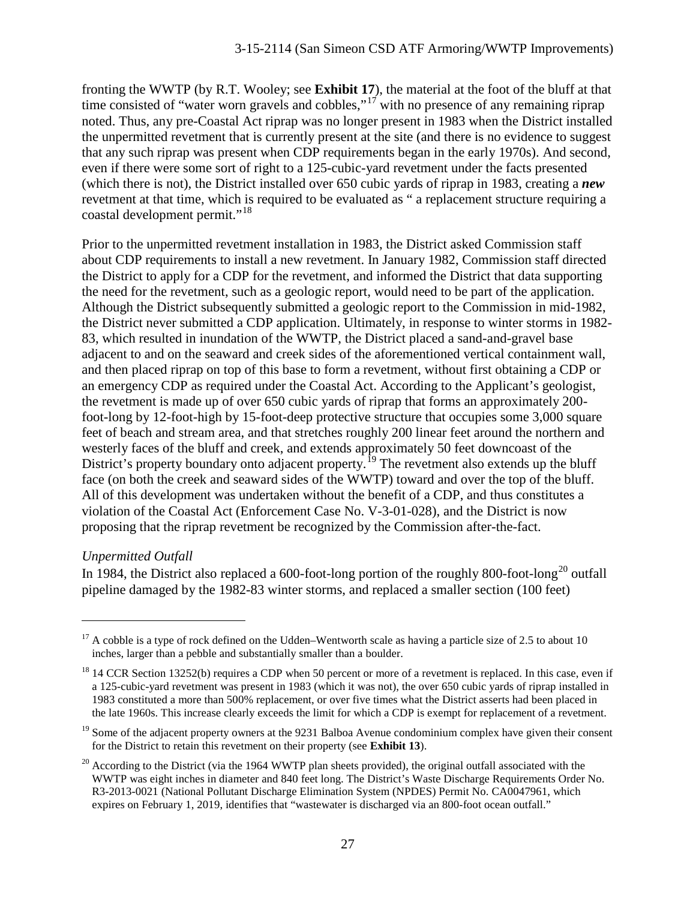fronting the WWTP (by R.T. Wooley; see **Exhibit 17**), the material at the foot of the bluff at that time consisted of "water worn gravels and cobbles,"<sup>[17](#page-26-0)</sup> with no presence of any remaining riprap noted. Thus, any pre-Coastal Act riprap was no longer present in 1983 when the District installed the unpermitted revetment that is currently present at the site (and there is no evidence to suggest that any such riprap was present when CDP requirements began in the early 1970s). And second, even if there were some sort of right to a 125-cubic-yard revetment under the facts presented (which there is not), the District installed over 650 cubic yards of riprap in 1983, creating a *new* revetment at that time, which is required to be evaluated as " a replacement structure requiring a coastal development permit."<sup>[18](#page-26-1)</sup>

Prior to the unpermitted revetment installation in 1983, the District asked Commission staff about CDP requirements to install a new revetment. In January 1982, Commission staff directed the District to apply for a CDP for the revetment, and informed the District that data supporting the need for the revetment, such as a geologic report, would need to be part of the application. Although the District subsequently submitted a geologic report to the Commission in mid-1982, the District never submitted a CDP application. Ultimately, in response to winter storms in 1982- 83, which resulted in inundation of the WWTP, the District placed a sand-and-gravel base adjacent to and on the seaward and creek sides of the aforementioned vertical containment wall, and then placed riprap on top of this base to form a revetment, without first obtaining a CDP or an emergency CDP as required under the Coastal Act. According to the Applicant's geologist, the revetment is made up of over 650 cubic yards of riprap that forms an approximately 200 foot-long by 12-foot-high by 15-foot-deep protective structure that occupies some 3,000 square feet of beach and stream area, and that stretches roughly 200 linear feet around the northern and westerly faces of the bluff and creek, and extends approximately 50 feet downcoast of the District's property boundary onto adjacent property.<sup>[19](#page-26-2)</sup> The revetment also extends up the bluff face (on both the creek and seaward sides of the WWTP) toward and over the top of the bluff. All of this development was undertaken without the benefit of a CDP, and thus constitutes a violation of the Coastal Act (Enforcement Case No. V-3-01-028), and the District is now proposing that the riprap revetment be recognized by the Commission after-the-fact.

#### *Unpermitted Outfall*

 $\overline{a}$ 

In 1984, the District also replaced a 600-foot-long portion of the roughly 800-foot-long<sup>[20](#page-26-3)</sup> outfall pipeline damaged by the 1982-83 winter storms, and replaced a smaller section (100 feet)

<span id="page-26-0"></span> $17$  A cobble is a type of rock defined on the Udden–Wentworth scale as having a particle size of 2.5 to about 10 inches, larger than a pebble and substantially smaller than a boulder.

<span id="page-26-1"></span> $18$  14 CCR Section 13252(b) requires a CDP when 50 percent or more of a revetment is replaced. In this case, even if a 125-cubic-yard revetment was present in 1983 (which it was not), the over 650 cubic yards of riprap installed in 1983 constituted a more than 500% replacement, or over five times what the District asserts had been placed in the late 1960s. This increase clearly exceeds the limit for which a CDP is exempt for replacement of a revetment.

<span id="page-26-2"></span><sup>&</sup>lt;sup>19</sup> Some of the adjacent property owners at the 9231 Balboa Avenue condominium complex have given their consent for the District to retain this revetment on their property (see **Exhibit 13**).

<span id="page-26-3"></span><sup>&</sup>lt;sup>20</sup> According to the District (via the 1964 WWTP plan sheets provided), the original outfall associated with the WWTP was eight inches in diameter and 840 feet long. The District's Waste Discharge Requirements Order No. R3-2013-0021 (National Pollutant Discharge Elimination System (NPDES) Permit No. CA0047961, which expires on February 1, 2019, identifies that "wastewater is discharged via an 800-foot ocean outfall."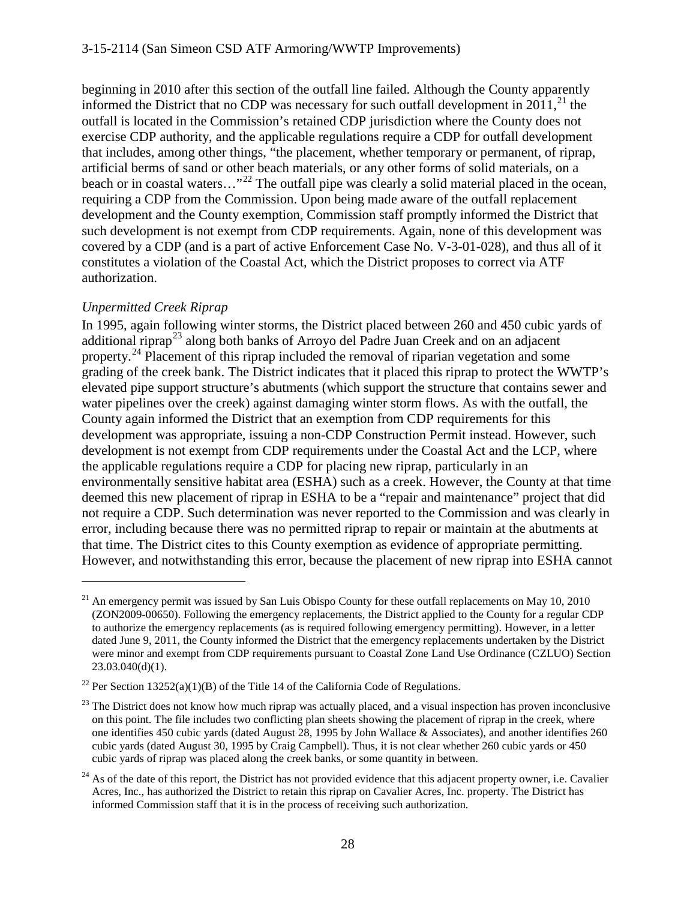beginning in 2010 after this section of the outfall line failed. Although the County apparently informed the District that no CDP was necessary for such outfall development in 2011.<sup>[21](#page-27-0)</sup> the outfall is located in the Commission's retained CDP jurisdiction where the County does not exercise CDP authority, and the applicable regulations require a CDP for outfall development that includes, among other things, "the placement, whether temporary or permanent, of riprap, artificial berms of sand or other beach materials, or any other forms of solid materials, on a beach or in coastal waters..."<sup>[22](#page-27-1)</sup> The outfall pipe was clearly a solid material placed in the ocean, requiring a CDP from the Commission. Upon being made aware of the outfall replacement development and the County exemption, Commission staff promptly informed the District that such development is not exempt from CDP requirements. Again, none of this development was covered by a CDP (and is a part of active Enforcement Case No. V-3-01-028), and thus all of it constitutes a violation of the Coastal Act, which the District proposes to correct via ATF authorization.

#### *Unpermitted Creek Riprap*

 $\overline{a}$ 

In 1995, again following winter storms, the District placed between 260 and 450 cubic yards of additional riprap<sup>[23](#page-27-2)</sup> along both banks of Arroyo del Padre Juan Creek and on an adjacent property.<sup>[24](#page-27-3)</sup> Placement of this riprap included the removal of riparian vegetation and some grading of the creek bank. The District indicates that it placed this riprap to protect the WWTP's elevated pipe support structure's abutments (which support the structure that contains sewer and water pipelines over the creek) against damaging winter storm flows. As with the outfall, the County again informed the District that an exemption from CDP requirements for this development was appropriate, issuing a non-CDP Construction Permit instead. However, such development is not exempt from CDP requirements under the Coastal Act and the LCP, where the applicable regulations require a CDP for placing new riprap, particularly in an environmentally sensitive habitat area (ESHA) such as a creek. However, the County at that time deemed this new placement of riprap in ESHA to be a "repair and maintenance" project that did not require a CDP. Such determination was never reported to the Commission and was clearly in error, including because there was no permitted riprap to repair or maintain at the abutments at that time. The District cites to this County exemption as evidence of appropriate permitting. However, and notwithstanding this error, because the placement of new riprap into ESHA cannot

<span id="page-27-0"></span><sup>&</sup>lt;sup>21</sup> An emergency permit was issued by San Luis Obispo County for these outfall replacements on May 10, 2010 (ZON2009-00650). Following the emergency replacements, the District applied to the County for a regular CDP to authorize the emergency replacements (as is required following emergency permitting). However, in a letter dated June 9, 2011, the County informed the District that the emergency replacements undertaken by the District were minor and exempt from CDP requirements pursuant to Coastal Zone Land Use Ordinance (CZLUO) Section 23.03.040(d)(1).

<span id="page-27-1"></span><sup>&</sup>lt;sup>22</sup> Per Section 13252(a)(1)(B) of the Title 14 of the California Code of Regulations.

<span id="page-27-2"></span> $^{23}$  The District does not know how much riprap was actually placed, and a visual inspection has proven inconclusive on this point. The file includes two conflicting plan sheets showing the placement of riprap in the creek, where one identifies 450 cubic yards (dated August 28, 1995 by John Wallace & Associates), and another identifies 260 cubic yards (dated August 30, 1995 by Craig Campbell). Thus, it is not clear whether 260 cubic yards or 450 cubic yards of riprap was placed along the creek banks, or some quantity in between.

<span id="page-27-3"></span> $^{24}$  As of the date of this report, the District has not provided evidence that this adjacent property owner, i.e. Cavalier Acres, Inc., has authorized the District to retain this riprap on Cavalier Acres, Inc. property. The District has informed Commission staff that it is in the process of receiving such authorization.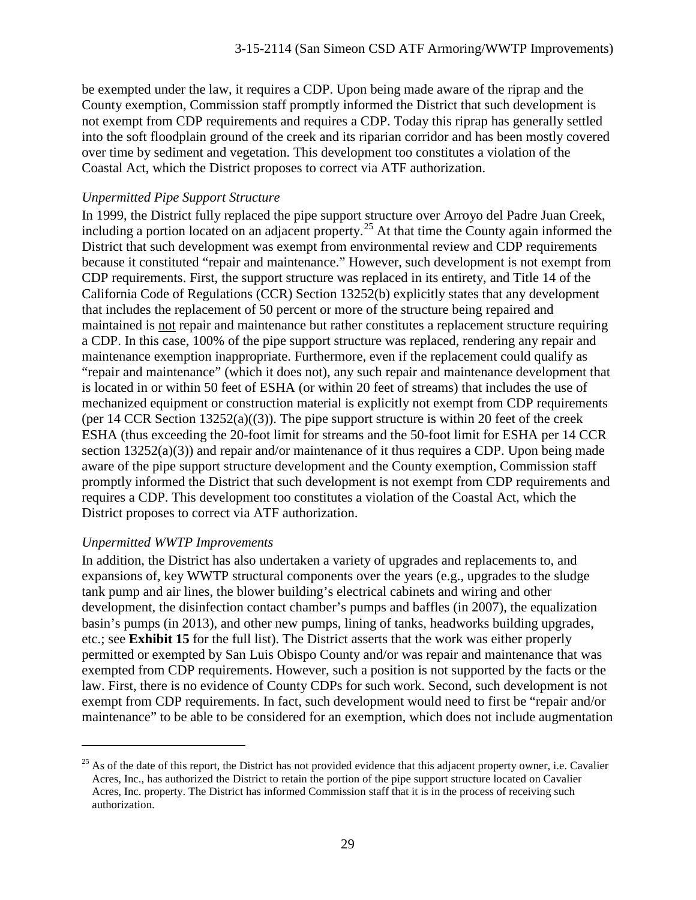be exempted under the law, it requires a CDP. Upon being made aware of the riprap and the County exemption, Commission staff promptly informed the District that such development is not exempt from CDP requirements and requires a CDP. Today this riprap has generally settled into the soft floodplain ground of the creek and its riparian corridor and has been mostly covered over time by sediment and vegetation. This development too constitutes a violation of the Coastal Act, which the District proposes to correct via ATF authorization.

#### *Unpermitted Pipe Support Structure*

In 1999, the District fully replaced the pipe support structure over Arroyo del Padre Juan Creek, including a portion located on an adjacent property. [25](#page-28-0) At that time the County again informed the District that such development was exempt from environmental review and CDP requirements because it constituted "repair and maintenance." However, such development is not exempt from CDP requirements. First, the support structure was replaced in its entirety, and Title 14 of the California Code of Regulations (CCR) Section 13252(b) explicitly states that any development that includes the replacement of 50 percent or more of the structure being repaired and maintained is not repair and maintenance but rather constitutes a replacement structure requiring a CDP. In this case, 100% of the pipe support structure was replaced, rendering any repair and maintenance exemption inappropriate. Furthermore, even if the replacement could qualify as "repair and maintenance" (which it does not), any such repair and maintenance development that is located in or within 50 feet of ESHA (or within 20 feet of streams) that includes the use of mechanized equipment or construction material is explicitly not exempt from CDP requirements (per 14 CCR Section  $13252(a)((3))$ ). The pipe support structure is within 20 feet of the creek ESHA (thus exceeding the 20-foot limit for streams and the 50-foot limit for ESHA per 14 CCR section 13252(a)(3)) and repair and/or maintenance of it thus requires a CDP. Upon being made aware of the pipe support structure development and the County exemption, Commission staff promptly informed the District that such development is not exempt from CDP requirements and requires a CDP. This development too constitutes a violation of the Coastal Act, which the District proposes to correct via ATF authorization.

#### *Unpermitted WWTP Improvements*

 $\overline{a}$ 

In addition, the District has also undertaken a variety of upgrades and replacements to, and expansions of, key WWTP structural components over the years (e.g., upgrades to the sludge tank pump and air lines, the blower building's electrical cabinets and wiring and other development, the disinfection contact chamber's pumps and baffles (in 2007), the equalization basin's pumps (in 2013), and other new pumps, lining of tanks, headworks building upgrades, etc.; see **Exhibit 15** for the full list). The District asserts that the work was either properly permitted or exempted by San Luis Obispo County and/or was repair and maintenance that was exempted from CDP requirements. However, such a position is not supported by the facts or the law. First, there is no evidence of County CDPs for such work. Second, such development is not exempt from CDP requirements. In fact, such development would need to first be "repair and/or maintenance" to be able to be considered for an exemption, which does not include augmentation

<span id="page-28-0"></span> $25$  As of the date of this report, the District has not provided evidence that this adjacent property owner, i.e. Cavalier Acres, Inc., has authorized the District to retain the portion of the pipe support structure located on Cavalier Acres, Inc. property. The District has informed Commission staff that it is in the process of receiving such authorization.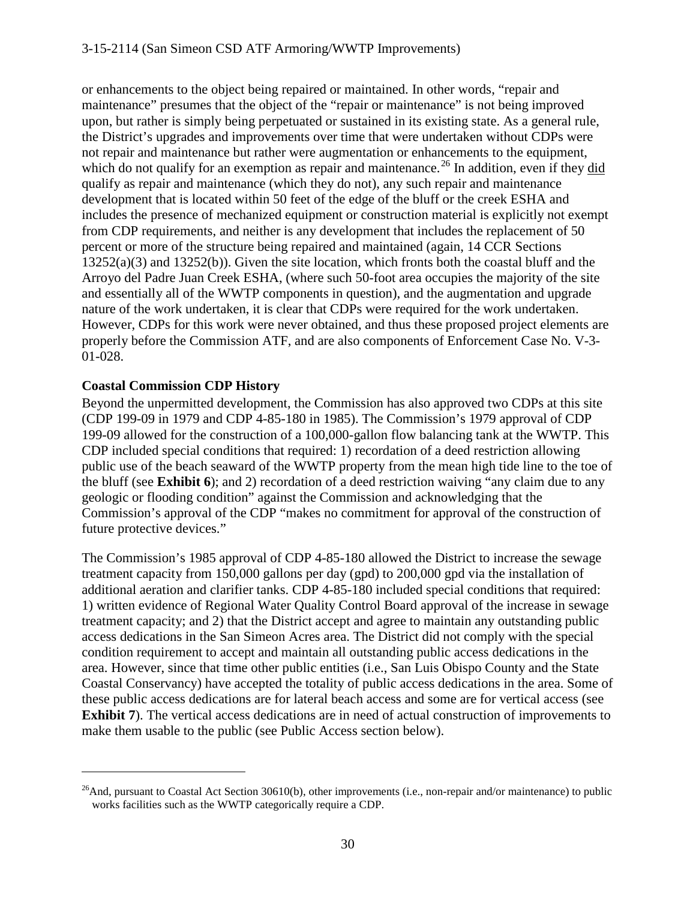or enhancements to the object being repaired or maintained. In other words, "repair and maintenance" presumes that the object of the "repair or maintenance" is not being improved upon, but rather is simply being perpetuated or sustained in its existing state. As a general rule, the District's upgrades and improvements over time that were undertaken without CDPs were not repair and maintenance but rather were augmentation or enhancements to the equipment, which do not qualify for an exemption as repair and maintenance.<sup>[26](#page-29-0)</sup> In addition, even if they did qualify as repair and maintenance (which they do not), any such repair and maintenance development that is located within 50 feet of the edge of the bluff or the creek ESHA and includes the presence of mechanized equipment or construction material is explicitly not exempt from CDP requirements, and neither is any development that includes the replacement of 50 percent or more of the structure being repaired and maintained (again, 14 CCR Sections 13252(a)(3) and 13252(b)). Given the site location, which fronts both the coastal bluff and the Arroyo del Padre Juan Creek ESHA, (where such 50-foot area occupies the majority of the site and essentially all of the WWTP components in question), and the augmentation and upgrade nature of the work undertaken, it is clear that CDPs were required for the work undertaken. However, CDPs for this work were never obtained, and thus these proposed project elements are properly before the Commission ATF, and are also components of Enforcement Case No. V-3- 01-028.

#### **Coastal Commission CDP History**

 $\overline{a}$ 

Beyond the unpermitted development, the Commission has also approved two CDPs at this site (CDP 199-09 in 1979 and CDP 4-85-180 in 1985). The Commission's 1979 approval of CDP 199-09 allowed for the construction of a 100,000-gallon flow balancing tank at the WWTP. This CDP included special conditions that required: 1) recordation of a deed restriction allowing public use of the beach seaward of the WWTP property from the mean high tide line to the toe of the bluff (see **Exhibit 6**); and 2) recordation of a deed restriction waiving "any claim due to any geologic or flooding condition" against the Commission and acknowledging that the Commission's approval of the CDP "makes no commitment for approval of the construction of future protective devices."

The Commission's 1985 approval of CDP 4-85-180 allowed the District to increase the sewage treatment capacity from 150,000 gallons per day (gpd) to 200,000 gpd via the installation of additional aeration and clarifier tanks. CDP 4-85-180 included special conditions that required: 1) written evidence of Regional Water Quality Control Board approval of the increase in sewage treatment capacity; and 2) that the District accept and agree to maintain any outstanding public access dedications in the San Simeon Acres area. The District did not comply with the special condition requirement to accept and maintain all outstanding public access dedications in the area. However, since that time other public entities (i.e., San Luis Obispo County and the State Coastal Conservancy) have accepted the totality of public access dedications in the area. Some of these public access dedications are for lateral beach access and some are for vertical access (see **Exhibit 7**). The vertical access dedications are in need of actual construction of improvements to make them usable to the public (see Public Access section below).

<span id="page-29-0"></span><sup>&</sup>lt;sup>26</sup>And, pursuant to Coastal Act Section 30610(b), other improvements (i.e., non-repair and/or maintenance) to public works facilities such as the WWTP categorically require a CDP.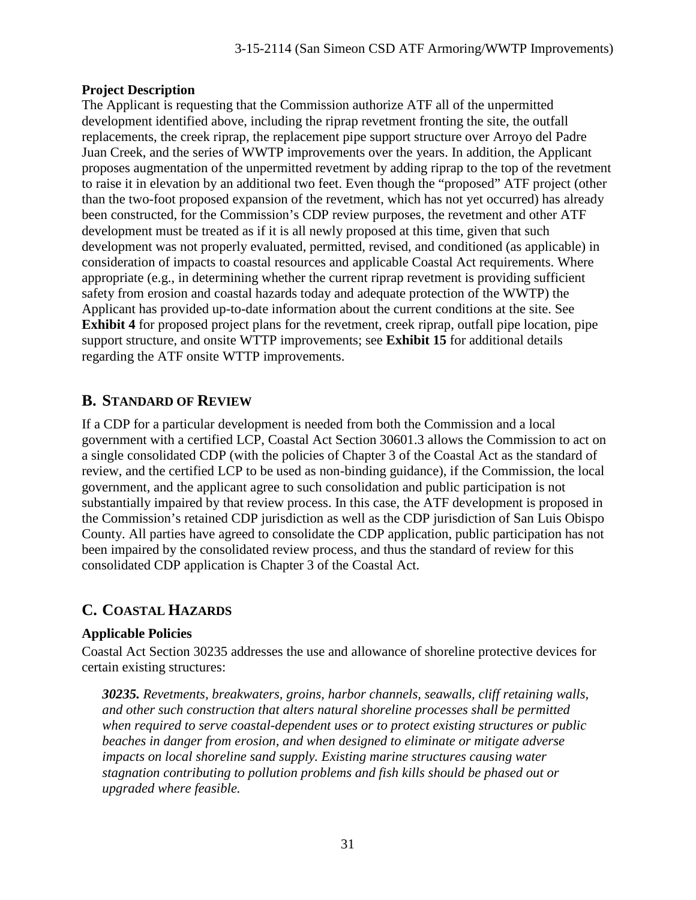#### **Project Description**

The Applicant is requesting that the Commission authorize ATF all of the unpermitted development identified above, including the riprap revetment fronting the site, the outfall replacements, the creek riprap, the replacement pipe support structure over Arroyo del Padre Juan Creek, and the series of WWTP improvements over the years. In addition, the Applicant proposes augmentation of the unpermitted revetment by adding riprap to the top of the revetment to raise it in elevation by an additional two feet. Even though the "proposed" ATF project (other than the two-foot proposed expansion of the revetment, which has not yet occurred) has already been constructed, for the Commission's CDP review purposes, the revetment and other ATF development must be treated as if it is all newly proposed at this time, given that such development was not properly evaluated, permitted, revised, and conditioned (as applicable) in consideration of impacts to coastal resources and applicable Coastal Act requirements. Where appropriate (e.g., in determining whether the current riprap revetment is providing sufficient safety from erosion and coastal hazards today and adequate protection of the WWTP) the Applicant has provided up-to-date information about the current conditions at the site. See **Exhibit 4** for proposed project plans for the revetment, creek riprap, outfall pipe location, pipe support structure, and onsite WTTP improvements; see **Exhibit 15** for additional details regarding the ATF onsite WTTP improvements.

# **B. STANDARD OF REVIEW**

If a CDP for a particular development is needed from both the Commission and a local government with a certified LCP, Coastal Act Section 30601.3 allows the Commission to act on a single consolidated CDP (with the policies of Chapter 3 of the Coastal Act as the standard of review, and the certified LCP to be used as non-binding guidance), if the Commission, the local government, and the applicant agree to such consolidation and public participation is not substantially impaired by that review process. In this case, the ATF development is proposed in the Commission's retained CDP jurisdiction as well as the CDP jurisdiction of San Luis Obispo County. All parties have agreed to consolidate the CDP application, public participation has not been impaired by the consolidated review process, and thus the standard of review for this consolidated CDP application is Chapter 3 of the Coastal Act.

# **C. COASTAL HAZARDS**

### **Applicable Policies**

Coastal Act Section 30235 addresses the use and allowance of shoreline protective devices for certain existing structures:

*30235. Revetments, breakwaters, groins, harbor channels, seawalls, cliff retaining walls, and other such construction that alters natural shoreline processes shall be permitted when required to serve coastal-dependent uses or to protect existing structures or public beaches in danger from erosion, and when designed to eliminate or mitigate adverse impacts on local shoreline sand supply. Existing marine structures causing water stagnation contributing to pollution problems and fish kills should be phased out or upgraded where feasible.*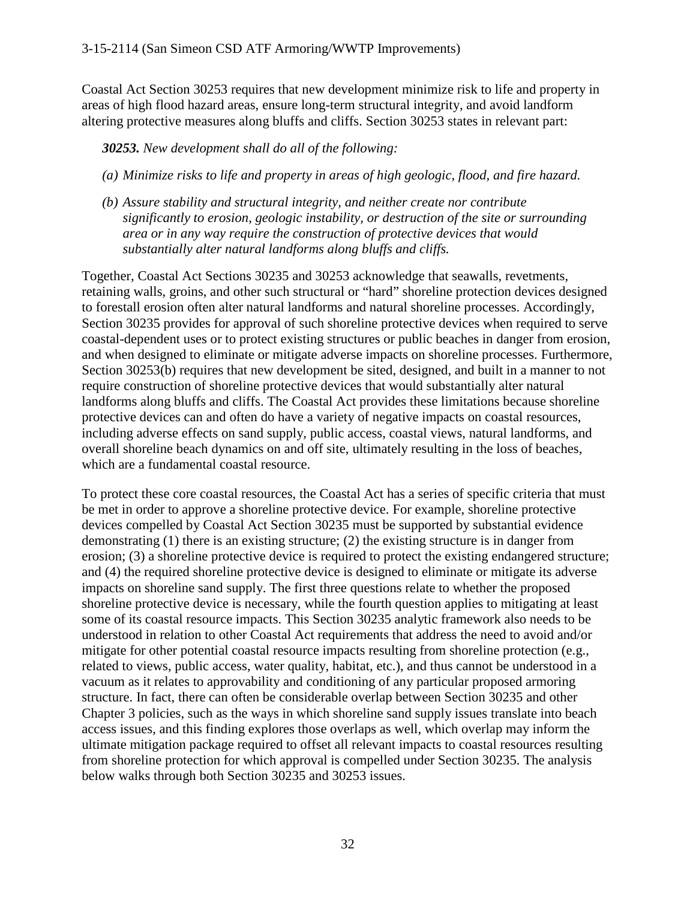Coastal Act Section 30253 requires that new development minimize risk to life and property in areas of high flood hazard areas, ensure long-term structural integrity, and avoid landform altering protective measures along bluffs and cliffs. Section 30253 states in relevant part:

*30253. New development shall do all of the following:*

- *(a) Minimize risks to life and property in areas of high geologic, flood, and fire hazard.*
- *(b) Assure stability and structural integrity, and neither create nor contribute significantly to erosion, geologic instability, or destruction of the site or surrounding area or in any way require the construction of protective devices that would substantially alter natural landforms along bluffs and cliffs.*

Together, Coastal Act Sections 30235 and 30253 acknowledge that seawalls, revetments, retaining walls, groins, and other such structural or "hard" shoreline protection devices designed to forestall erosion often alter natural landforms and natural shoreline processes. Accordingly, Section 30235 provides for approval of such shoreline protective devices when required to serve coastal-dependent uses or to protect existing structures or public beaches in danger from erosion, and when designed to eliminate or mitigate adverse impacts on shoreline processes. Furthermore, Section 30253(b) requires that new development be sited, designed, and built in a manner to not require construction of shoreline protective devices that would substantially alter natural landforms along bluffs and cliffs. The Coastal Act provides these limitations because shoreline protective devices can and often do have a variety of negative impacts on coastal resources, including adverse effects on sand supply, public access, coastal views, natural landforms, and overall shoreline beach dynamics on and off site, ultimately resulting in the loss of beaches, which are a fundamental coastal resource.

To protect these core coastal resources, the Coastal Act has a series of specific criteria that must be met in order to approve a shoreline protective device. For example, shoreline protective devices compelled by Coastal Act Section 30235 must be supported by substantial evidence demonstrating (1) there is an existing structure; (2) the existing structure is in danger from erosion; (3) a shoreline protective device is required to protect the existing endangered structure; and (4) the required shoreline protective device is designed to eliminate or mitigate its adverse impacts on shoreline sand supply. The first three questions relate to whether the proposed shoreline protective device is necessary, while the fourth question applies to mitigating at least some of its coastal resource impacts. This Section 30235 analytic framework also needs to be understood in relation to other Coastal Act requirements that address the need to avoid and/or mitigate for other potential coastal resource impacts resulting from shoreline protection (e.g., related to views, public access, water quality, habitat, etc.), and thus cannot be understood in a vacuum as it relates to approvability and conditioning of any particular proposed armoring structure. In fact, there can often be considerable overlap between Section 30235 and other Chapter 3 policies, such as the ways in which shoreline sand supply issues translate into beach access issues, and this finding explores those overlaps as well, which overlap may inform the ultimate mitigation package required to offset all relevant impacts to coastal resources resulting from shoreline protection for which approval is compelled under Section 30235. The analysis below walks through both Section 30235 and 30253 issues.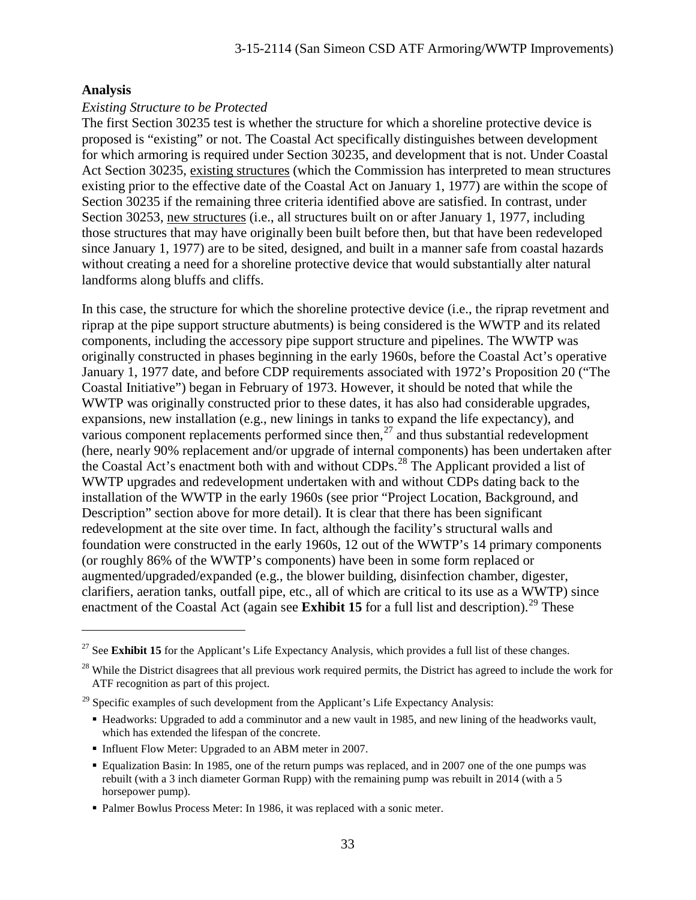#### **Analysis**

 $\overline{a}$ 

#### *Existing Structure to be Protected*

The first Section 30235 test is whether the structure for which a shoreline protective device is proposed is "existing" or not. The Coastal Act specifically distinguishes between development for which armoring is required under Section 30235, and development that is not. Under Coastal Act Section 30235, existing structures (which the Commission has interpreted to mean structures existing prior to the effective date of the Coastal Act on January 1, 1977) are within the scope of Section 30235 if the remaining three criteria identified above are satisfied. In contrast, under Section 30253, new structures (i.e., all structures built on or after January 1, 1977, including those structures that may have originally been built before then, but that have been redeveloped since January 1, 1977) are to be sited, designed, and built in a manner safe from coastal hazards without creating a need for a shoreline protective device that would substantially alter natural landforms along bluffs and cliffs.

In this case, the structure for which the shoreline protective device (i.e., the riprap revetment and riprap at the pipe support structure abutments) is being considered is the WWTP and its related components, including the accessory pipe support structure and pipelines. The WWTP was originally constructed in phases beginning in the early 1960s, before the Coastal Act's operative January 1, 1977 date, and before CDP requirements associated with 1972's Proposition 20 ("The Coastal Initiative") began in February of 1973. However, it should be noted that while the WWTP was originally constructed prior to these dates, it has also had considerable upgrades, expansions, new installation (e.g., new linings in tanks to expand the life expectancy), and various component replacements performed since then,<sup>[27](#page-32-0)</sup> and thus substantial redevelopment (here, nearly 90% replacement and/or upgrade of internal components) has been undertaken after the Coastal Act's enactment both with and without CDPs. [28](#page-32-1) The Applicant provided a list of WWTP upgrades and redevelopment undertaken with and without CDPs dating back to the installation of the WWTP in the early 1960s (see prior "Project Location, Background, and Description" section above for more detail). It is clear that there has been significant redevelopment at the site over time. In fact, although the facility's structural walls and foundation were constructed in the early 1960s, 12 out of the WWTP's 14 primary components (or roughly 86% of the WWTP's components) have been in some form replaced or augmented/upgraded/expanded (e.g., the blower building, disinfection chamber, digester, clarifiers, aeration tanks, outfall pipe, etc., all of which are critical to its use as a WWTP) since enactment of the Coastal Act (again see **Exhibit 15** for a full list and description).<sup>[29](#page-32-2)</sup> These

- Headworks: Upgraded to add a comminutor and a new vault in 1985, and new lining of the headworks vault, which has extended the lifespan of the concrete.
- Influent Flow Meter: Upgraded to an ABM meter in 2007.
- Equalization Basin: In 1985, one of the return pumps was replaced, and in 2007 one of the one pumps was rebuilt (with a 3 inch diameter Gorman Rupp) with the remaining pump was rebuilt in 2014 (with a 5 horsepower pump).

<span id="page-32-0"></span><sup>&</sup>lt;sup>27</sup> See **Exhibit 15** for the Applicant's Life Expectancy Analysis, which provides a full list of these changes.

<span id="page-32-1"></span> $28$  While the District disagrees that all previous work required permits, the District has agreed to include the work for ATF recognition as part of this project.

<span id="page-32-2"></span> $^{29}$  Specific examples of such development from the Applicant's Life Expectancy Analysis:

**Palmer Bowlus Process Meter: In 1986, it was replaced with a sonic meter.**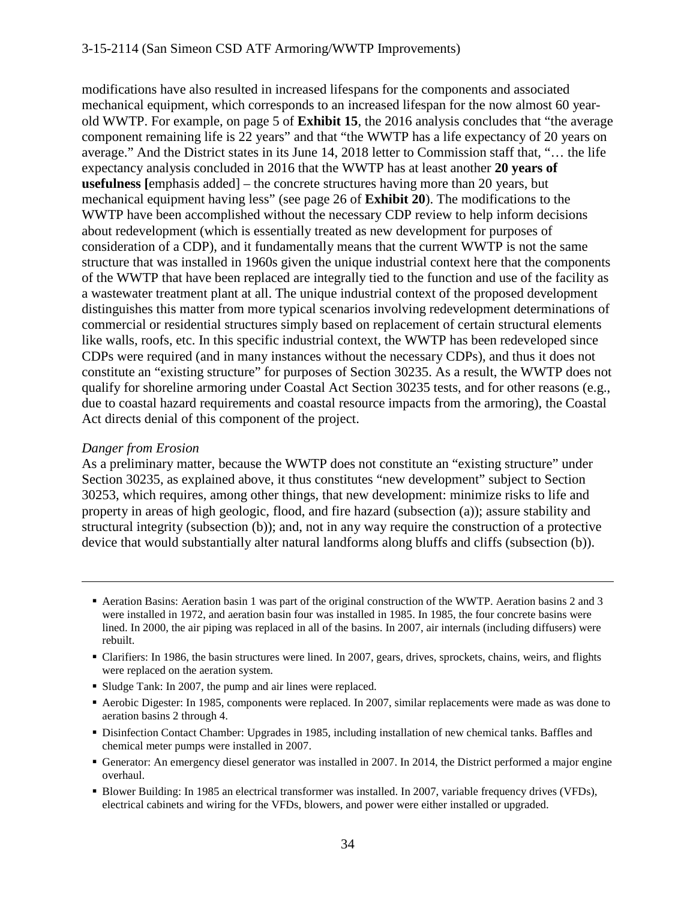modifications have also resulted in increased lifespans for the components and associated mechanical equipment, which corresponds to an increased lifespan for the now almost 60 yearold WWTP. For example, on page 5 of **Exhibit 15**, the 2016 analysis concludes that "the average component remaining life is 22 years" and that "the WWTP has a life expectancy of 20 years on average." And the District states in its June 14, 2018 letter to Commission staff that, "… the life expectancy analysis concluded in 2016 that the WWTP has at least another **20 years of usefulness [**emphasis added] – the concrete structures having more than 20 years, but mechanical equipment having less" (see page 26 of **Exhibit 20**). The modifications to the WWTP have been accomplished without the necessary CDP review to help inform decisions about redevelopment (which is essentially treated as new development for purposes of consideration of a CDP), and it fundamentally means that the current WWTP is not the same structure that was installed in 1960s given the unique industrial context here that the components of the WWTP that have been replaced are integrally tied to the function and use of the facility as a wastewater treatment plant at all. The unique industrial context of the proposed development distinguishes this matter from more typical scenarios involving redevelopment determinations of commercial or residential structures simply based on replacement of certain structural elements like walls, roofs, etc. In this specific industrial context, the WWTP has been redeveloped since CDPs were required (and in many instances without the necessary CDPs), and thus it does not constitute an "existing structure" for purposes of Section 30235. As a result, the WWTP does not qualify for shoreline armoring under Coastal Act Section 30235 tests, and for other reasons (e.g., due to coastal hazard requirements and coastal resource impacts from the armoring), the Coastal Act directs denial of this component of the project.

#### *Danger from Erosion*

 $\overline{a}$ 

As a preliminary matter, because the WWTP does not constitute an "existing structure" under Section 30235, as explained above, it thus constitutes "new development" subject to Section 30253, which requires, among other things, that new development: minimize risks to life and property in areas of high geologic, flood, and fire hazard (subsection (a)); assure stability and structural integrity (subsection (b)); and, not in any way require the construction of a protective device that would substantially alter natural landforms along bluffs and cliffs (subsection (b)).

- Aeration Basins: Aeration basin 1 was part of the original construction of the WWTP. Aeration basins 2 and 3 were installed in 1972, and aeration basin four was installed in 1985. In 1985, the four concrete basins were lined. In 2000, the air piping was replaced in all of the basins. In 2007, air internals (including diffusers) were rebuilt.
- Clarifiers: In 1986, the basin structures were lined. In 2007, gears, drives, sprockets, chains, weirs, and flights were replaced on the aeration system.
- Sludge Tank: In 2007, the pump and air lines were replaced.
- Aerobic Digester: In 1985, components were replaced. In 2007, similar replacements were made as was done to aeration basins 2 through 4.
- Disinfection Contact Chamber: Upgrades in 1985, including installation of new chemical tanks. Baffles and chemical meter pumps were installed in 2007.
- Generator: An emergency diesel generator was installed in 2007. In 2014, the District performed a major engine overhaul.
- Blower Building: In 1985 an electrical transformer was installed. In 2007, variable frequency drives (VFDs), electrical cabinets and wiring for the VFDs, blowers, and power were either installed or upgraded.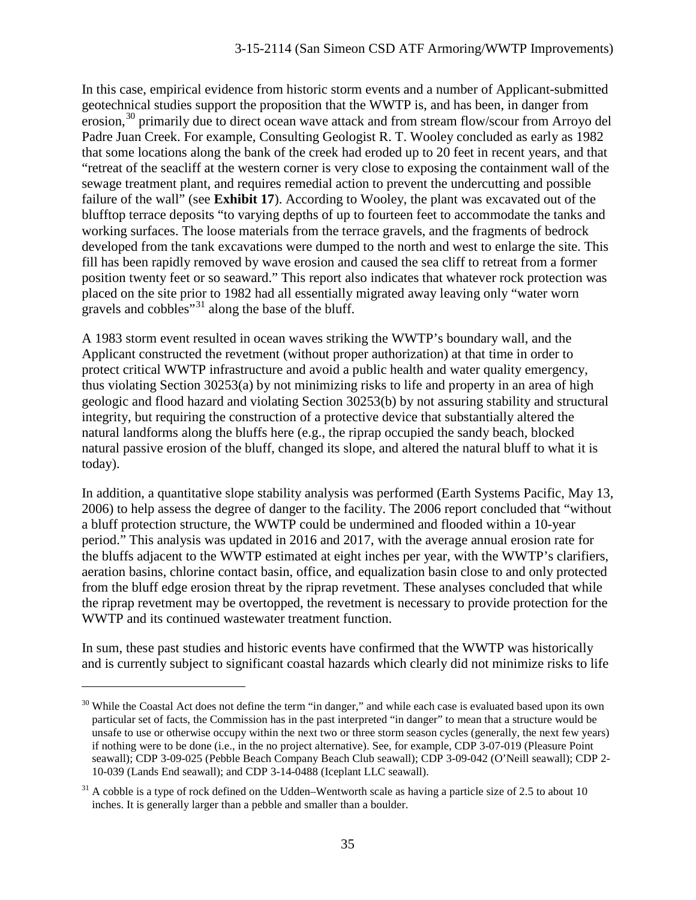In this case, empirical evidence from historic storm events and a number of Applicant-submitted geotechnical studies support the proposition that the WWTP is, and has been, in danger from erosion,<sup>[30](#page-34-0)</sup> primarily due to direct ocean wave attack and from stream flow/scour from Arroyo del Padre Juan Creek. For example, Consulting Geologist R. T. Wooley concluded as early as 1982 that some locations along the bank of the creek had eroded up to 20 feet in recent years, and that "retreat of the seacliff at the western corner is very close to exposing the containment wall of the sewage treatment plant, and requires remedial action to prevent the undercutting and possible failure of the wall" (see **Exhibit 17**). According to Wooley, the plant was excavated out of the blufftop terrace deposits "to varying depths of up to fourteen feet to accommodate the tanks and working surfaces. The loose materials from the terrace gravels, and the fragments of bedrock developed from the tank excavations were dumped to the north and west to enlarge the site. This fill has been rapidly removed by wave erosion and caused the sea cliff to retreat from a former position twenty feet or so seaward." This report also indicates that whatever rock protection was placed on the site prior to 1982 had all essentially migrated away leaving only "water worn gravels and cobbles"<sup>[31](#page-34-1)</sup> along the base of the bluff.

A 1983 storm event resulted in ocean waves striking the WWTP's boundary wall, and the Applicant constructed the revetment (without proper authorization) at that time in order to protect critical WWTP infrastructure and avoid a public health and water quality emergency, thus violating Section 30253(a) by not minimizing risks to life and property in an area of high geologic and flood hazard and violating Section 30253(b) by not assuring stability and structural integrity, but requiring the construction of a protective device that substantially altered the natural landforms along the bluffs here (e.g., the riprap occupied the sandy beach, blocked natural passive erosion of the bluff, changed its slope, and altered the natural bluff to what it is today).

In addition, a quantitative slope stability analysis was performed (Earth Systems Pacific, May 13, 2006) to help assess the degree of danger to the facility. The 2006 report concluded that "without a bluff protection structure, the WWTP could be undermined and flooded within a 10-year period." This analysis was updated in 2016 and 2017, with the average annual erosion rate for the bluffs adjacent to the WWTP estimated at eight inches per year, with the WWTP's clarifiers, aeration basins, chlorine contact basin, office, and equalization basin close to and only protected from the bluff edge erosion threat by the riprap revetment. These analyses concluded that while the riprap revetment may be overtopped, the revetment is necessary to provide protection for the WWTP and its continued wastewater treatment function.

In sum, these past studies and historic events have confirmed that the WWTP was historically and is currently subject to significant coastal hazards which clearly did not minimize risks to life

<span id="page-34-0"></span> $30$  While the Coastal Act does not define the term "in danger," and while each case is evaluated based upon its own particular set of facts, the Commission has in the past interpreted "in danger" to mean that a structure would be unsafe to use or otherwise occupy within the next two or three storm season cycles (generally, the next few years) if nothing were to be done (i.e., in the no project alternative). See, for example, CDP 3-07-019 (Pleasure Point seawall); CDP 3-09-025 (Pebble Beach Company Beach Club seawall); CDP 3-09-042 (O'Neill seawall); CDP 2- 10-039 (Lands End seawall); and CDP 3-14-0488 (Iceplant LLC seawall).

<span id="page-34-1"></span> $31$  A cobble is a type of rock defined on the Udden–Wentworth scale as having a particle size of 2.5 to about 10 inches. It is generally larger than a pebble and smaller than a boulder.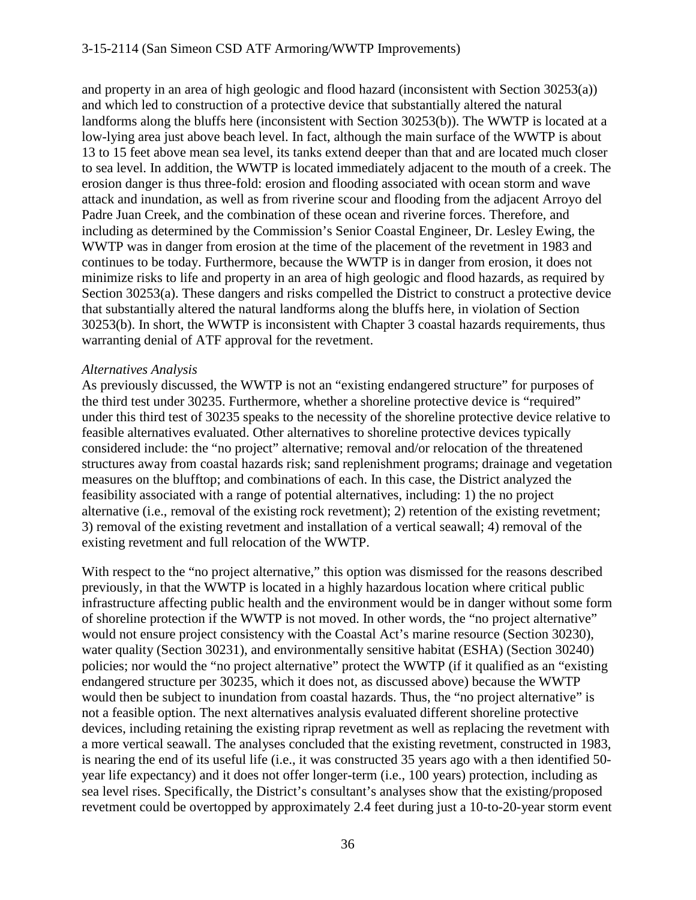and property in an area of high geologic and flood hazard (inconsistent with Section 30253(a)) and which led to construction of a protective device that substantially altered the natural landforms along the bluffs here (inconsistent with Section 30253(b)). The WWTP is located at a low-lying area just above beach level. In fact, although the main surface of the WWTP is about 13 to 15 feet above mean sea level, its tanks extend deeper than that and are located much closer to sea level. In addition, the WWTP is located immediately adjacent to the mouth of a creek. The erosion danger is thus three-fold: erosion and flooding associated with ocean storm and wave attack and inundation, as well as from riverine scour and flooding from the adjacent Arroyo del Padre Juan Creek, and the combination of these ocean and riverine forces. Therefore, and including as determined by the Commission's Senior Coastal Engineer, Dr. Lesley Ewing, the WWTP was in danger from erosion at the time of the placement of the revetment in 1983 and continues to be today. Furthermore, because the WWTP is in danger from erosion, it does not minimize risks to life and property in an area of high geologic and flood hazards, as required by Section 30253(a). These dangers and risks compelled the District to construct a protective device that substantially altered the natural landforms along the bluffs here, in violation of Section 30253(b). In short, the WWTP is inconsistent with Chapter 3 coastal hazards requirements, thus warranting denial of ATF approval for the revetment.

#### *Alternatives Analysis*

As previously discussed, the WWTP is not an "existing endangered structure" for purposes of the third test under 30235. Furthermore, whether a shoreline protective device is "required" under this third test of 30235 speaks to the necessity of the shoreline protective device relative to feasible alternatives evaluated. Other alternatives to shoreline protective devices typically considered include: the "no project" alternative; removal and/or relocation of the threatened structures away from coastal hazards risk; sand replenishment programs; drainage and vegetation measures on the blufftop; and combinations of each. In this case, the District analyzed the feasibility associated with a range of potential alternatives, including: 1) the no project alternative (i.e., removal of the existing rock revetment); 2) retention of the existing revetment; 3) removal of the existing revetment and installation of a vertical seawall; 4) removal of the existing revetment and full relocation of the WWTP.

With respect to the "no project alternative," this option was dismissed for the reasons described previously, in that the WWTP is located in a highly hazardous location where critical public infrastructure affecting public health and the environment would be in danger without some form of shoreline protection if the WWTP is not moved. In other words, the "no project alternative" would not ensure project consistency with the Coastal Act's marine resource (Section 30230), water quality (Section 30231), and environmentally sensitive habitat (ESHA) (Section 30240) policies; nor would the "no project alternative" protect the WWTP (if it qualified as an "existing endangered structure per 30235, which it does not, as discussed above) because the WWTP would then be subject to inundation from coastal hazards. Thus, the "no project alternative" is not a feasible option. The next alternatives analysis evaluated different shoreline protective devices, including retaining the existing riprap revetment as well as replacing the revetment with a more vertical seawall. The analyses concluded that the existing revetment, constructed in 1983, is nearing the end of its useful life (i.e., it was constructed 35 years ago with a then identified 50 year life expectancy) and it does not offer longer-term (i.e., 100 years) protection, including as sea level rises. Specifically, the District's consultant's analyses show that the existing/proposed revetment could be overtopped by approximately 2.4 feet during just a 10-to-20-year storm event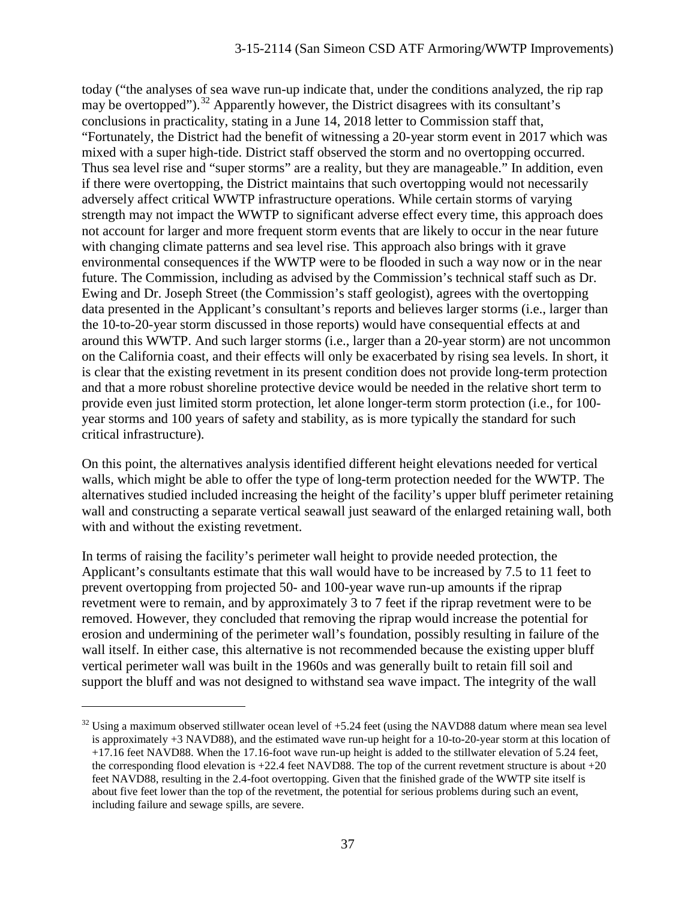today ("the analyses of sea wave run-up indicate that, under the conditions analyzed, the rip rap may be overtopped").<sup>[32](#page-36-0)</sup> Apparently however, the District disagrees with its consultant's conclusions in practicality, stating in a June 14, 2018 letter to Commission staff that, "Fortunately, the District had the benefit of witnessing a 20-year storm event in 2017 which was mixed with a super high-tide. District staff observed the storm and no overtopping occurred. Thus sea level rise and "super storms" are a reality, but they are manageable." In addition, even if there were overtopping, the District maintains that such overtopping would not necessarily adversely affect critical WWTP infrastructure operations. While certain storms of varying strength may not impact the WWTP to significant adverse effect every time, this approach does not account for larger and more frequent storm events that are likely to occur in the near future with changing climate patterns and sea level rise. This approach also brings with it grave environmental consequences if the WWTP were to be flooded in such a way now or in the near future. The Commission, including as advised by the Commission's technical staff such as Dr. Ewing and Dr. Joseph Street (the Commission's staff geologist), agrees with the overtopping data presented in the Applicant's consultant's reports and believes larger storms (i.e., larger than the 10-to-20-year storm discussed in those reports) would have consequential effects at and around this WWTP. And such larger storms (i.e., larger than a 20-year storm) are not uncommon on the California coast, and their effects will only be exacerbated by rising sea levels. In short, it is clear that the existing revetment in its present condition does not provide long-term protection and that a more robust shoreline protective device would be needed in the relative short term to provide even just limited storm protection, let alone longer-term storm protection (i.e., for 100 year storms and 100 years of safety and stability, as is more typically the standard for such critical infrastructure).

On this point, the alternatives analysis identified different height elevations needed for vertical walls, which might be able to offer the type of long-term protection needed for the WWTP. The alternatives studied included increasing the height of the facility's upper bluff perimeter retaining wall and constructing a separate vertical seawall just seaward of the enlarged retaining wall, both with and without the existing revetment.

In terms of raising the facility's perimeter wall height to provide needed protection, the Applicant's consultants estimate that this wall would have to be increased by 7.5 to 11 feet to prevent overtopping from projected 50- and 100-year wave run-up amounts if the riprap revetment were to remain, and by approximately 3 to 7 feet if the riprap revetment were to be removed. However, they concluded that removing the riprap would increase the potential for erosion and undermining of the perimeter wall's foundation, possibly resulting in failure of the wall itself. In either case, this alternative is not recommended because the existing upper bluff vertical perimeter wall was built in the 1960s and was generally built to retain fill soil and support the bluff and was not designed to withstand sea wave impact. The integrity of the wall

<span id="page-36-0"></span> $32$  Using a maximum observed stillwater ocean level of  $+5.24$  feet (using the NAVD88 datum where mean sea level is approximately +3 NAVD88), and the estimated wave run-up height for a 10-to-20-year storm at this location of +17.16 feet NAVD88. When the 17.16-foot wave run-up height is added to the stillwater elevation of 5.24 feet, the corresponding flood elevation is  $+22.4$  feet NAVD88. The top of the current revetment structure is about  $+20$ feet NAVD88, resulting in the 2.4-foot overtopping. Given that the finished grade of the WWTP site itself is about five feet lower than the top of the revetment, the potential for serious problems during such an event, including failure and sewage spills, are severe.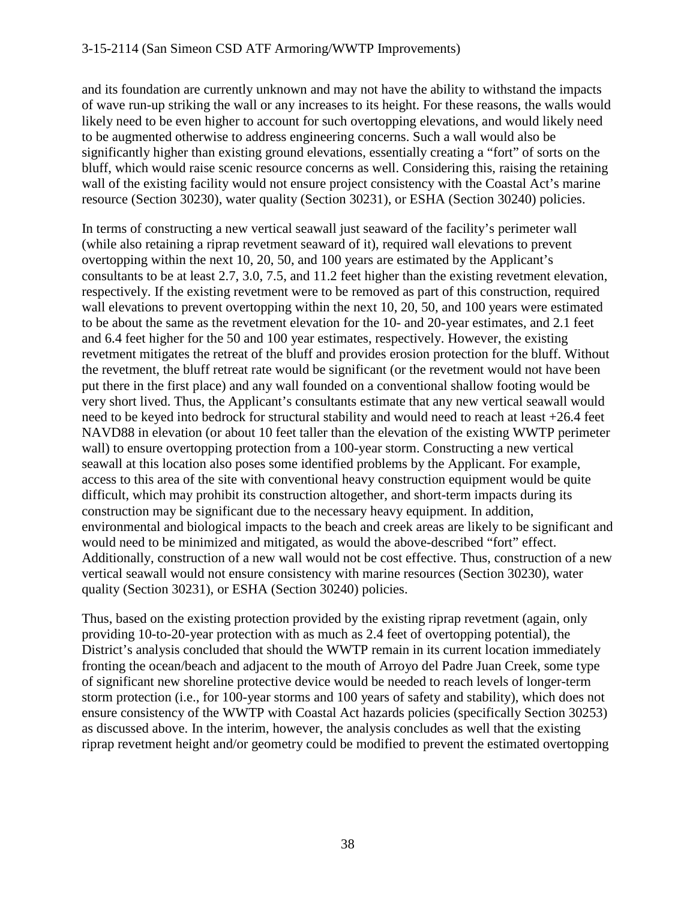and its foundation are currently unknown and may not have the ability to withstand the impacts of wave run-up striking the wall or any increases to its height. For these reasons, the walls would likely need to be even higher to account for such overtopping elevations, and would likely need to be augmented otherwise to address engineering concerns. Such a wall would also be significantly higher than existing ground elevations, essentially creating a "fort" of sorts on the bluff, which would raise scenic resource concerns as well. Considering this, raising the retaining wall of the existing facility would not ensure project consistency with the Coastal Act's marine resource (Section 30230), water quality (Section 30231), or ESHA (Section 30240) policies.

In terms of constructing a new vertical seawall just seaward of the facility's perimeter wall (while also retaining a riprap revetment seaward of it), required wall elevations to prevent overtopping within the next 10, 20, 50, and 100 years are estimated by the Applicant's consultants to be at least 2.7, 3.0, 7.5, and 11.2 feet higher than the existing revetment elevation, respectively. If the existing revetment were to be removed as part of this construction, required wall elevations to prevent overtopping within the next 10, 20, 50, and 100 years were estimated to be about the same as the revetment elevation for the 10- and 20-year estimates, and 2.1 feet and 6.4 feet higher for the 50 and 100 year estimates, respectively. However, the existing revetment mitigates the retreat of the bluff and provides erosion protection for the bluff. Without the revetment, the bluff retreat rate would be significant (or the revetment would not have been put there in the first place) and any wall founded on a conventional shallow footing would be very short lived. Thus, the Applicant's consultants estimate that any new vertical seawall would need to be keyed into bedrock for structural stability and would need to reach at least +26.4 feet NAVD88 in elevation (or about 10 feet taller than the elevation of the existing WWTP perimeter wall) to ensure overtopping protection from a 100-year storm. Constructing a new vertical seawall at this location also poses some identified problems by the Applicant. For example, access to this area of the site with conventional heavy construction equipment would be quite difficult, which may prohibit its construction altogether, and short-term impacts during its construction may be significant due to the necessary heavy equipment. In addition, environmental and biological impacts to the beach and creek areas are likely to be significant and would need to be minimized and mitigated, as would the above-described "fort" effect. Additionally, construction of a new wall would not be cost effective. Thus, construction of a new vertical seawall would not ensure consistency with marine resources (Section 30230), water quality (Section 30231), or ESHA (Section 30240) policies.

Thus, based on the existing protection provided by the existing riprap revetment (again, only providing 10-to-20-year protection with as much as 2.4 feet of overtopping potential), the District's analysis concluded that should the WWTP remain in its current location immediately fronting the ocean/beach and adjacent to the mouth of Arroyo del Padre Juan Creek, some type of significant new shoreline protective device would be needed to reach levels of longer-term storm protection (i.e., for 100-year storms and 100 years of safety and stability), which does not ensure consistency of the WWTP with Coastal Act hazards policies (specifically Section 30253) as discussed above. In the interim, however, the analysis concludes as well that the existing riprap revetment height and/or geometry could be modified to prevent the estimated overtopping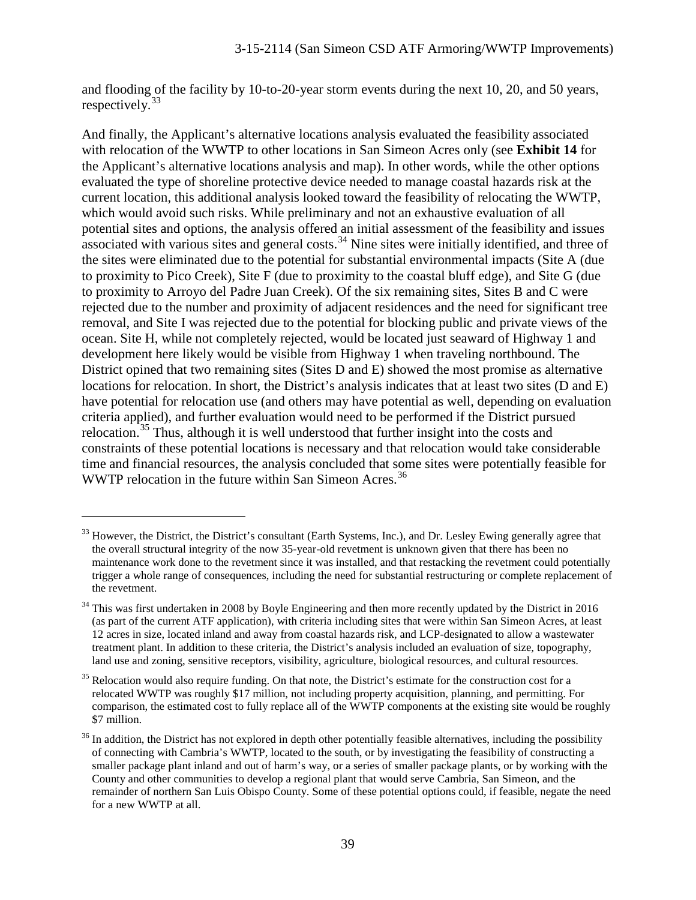and flooding of the facility by 10-to-20-year storm events during the next 10, 20, and 50 years, respectively. $33$ 

And finally, the Applicant's alternative locations analysis evaluated the feasibility associated with relocation of the WWTP to other locations in San Simeon Acres only (see **Exhibit 14** for the Applicant's alternative locations analysis and map). In other words, while the other options evaluated the type of shoreline protective device needed to manage coastal hazards risk at the current location, this additional analysis looked toward the feasibility of relocating the WWTP, which would avoid such risks. While preliminary and not an exhaustive evaluation of all potential sites and options, the analysis offered an initial assessment of the feasibility and issues associated with various sites and general costs. $34$  Nine sites were initially identified, and three of the sites were eliminated due to the potential for substantial environmental impacts (Site A (due to proximity to Pico Creek), Site F (due to proximity to the coastal bluff edge), and Site G (due to proximity to Arroyo del Padre Juan Creek). Of the six remaining sites, Sites B and C were rejected due to the number and proximity of adjacent residences and the need for significant tree removal, and Site I was rejected due to the potential for blocking public and private views of the ocean. Site H, while not completely rejected, would be located just seaward of Highway 1 and development here likely would be visible from Highway 1 when traveling northbound. The District opined that two remaining sites (Sites D and E) showed the most promise as alternative locations for relocation. In short, the District's analysis indicates that at least two sites (D and E) have potential for relocation use (and others may have potential as well, depending on evaluation criteria applied), and further evaluation would need to be performed if the District pursued relocation.<sup>[35](#page-38-2)</sup> Thus, although it is well understood that further insight into the costs and constraints of these potential locations is necessary and that relocation would take considerable time and financial resources, the analysis concluded that some sites were potentially feasible for WWTP relocation in the future within San Simeon Acres.<sup>[36](#page-38-3)</sup>

<span id="page-38-0"></span> $33$  However, the District, the District's consultant (Earth Systems, Inc.), and Dr. Lesley Ewing generally agree that the overall structural integrity of the now 35-year-old revetment is unknown given that there has been no maintenance work done to the revetment since it was installed, and that restacking the revetment could potentially trigger a whole range of consequences, including the need for substantial restructuring or complete replacement of the revetment.

<span id="page-38-1"></span> $34$  This was first undertaken in 2008 by Boyle Engineering and then more recently updated by the District in 2016 (as part of the current ATF application), with criteria including sites that were within San Simeon Acres, at least 12 acres in size, located inland and away from coastal hazards risk, and LCP-designated to allow a wastewater treatment plant. In addition to these criteria, the District's analysis included an evaluation of size, topography, land use and zoning, sensitive receptors, visibility, agriculture, biological resources, and cultural resources.

<span id="page-38-2"></span><sup>&</sup>lt;sup>35</sup> Relocation would also require funding. On that note, the District's estimate for the construction cost for a relocated WWTP was roughly \$17 million, not including property acquisition, planning, and permitting. For comparison, the estimated cost to fully replace all of the WWTP components at the existing site would be roughly \$7 million.

<span id="page-38-3"></span> $36$  In addition, the District has not explored in depth other potentially feasible alternatives, including the possibility of connecting with Cambria's WWTP, located to the south, or by investigating the feasibility of constructing a smaller package plant inland and out of harm's way, or a series of smaller package plants, or by working with the County and other communities to develop a regional plant that would serve Cambria, San Simeon, and the remainder of northern San Luis Obispo County. Some of these potential options could, if feasible, negate the need for a new WWTP at all.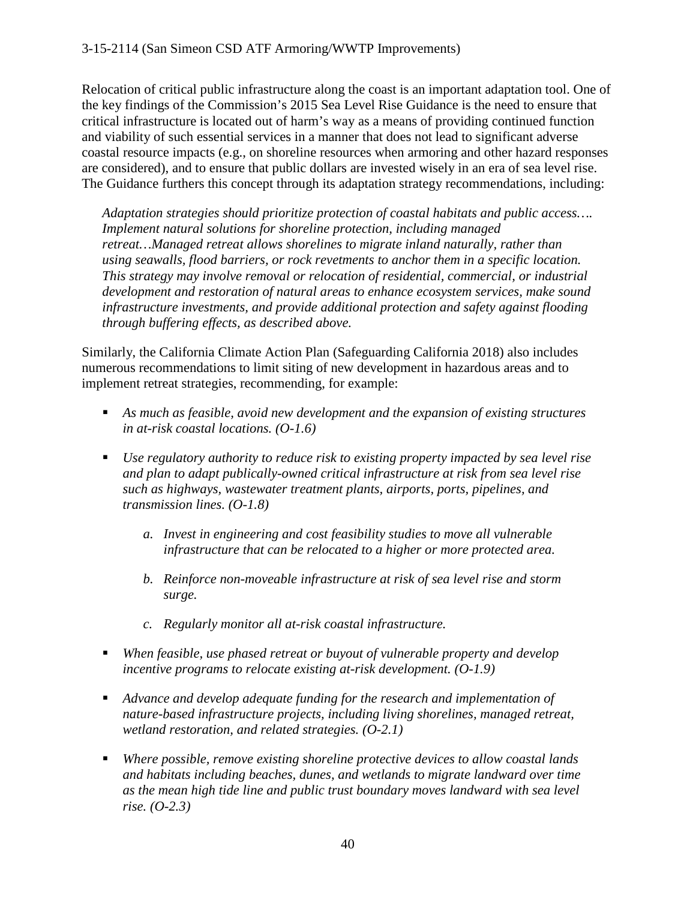Relocation of critical public infrastructure along the coast is an important adaptation tool. One of the key findings of the Commission's 2015 Sea Level Rise Guidance is the need to ensure that critical infrastructure is located out of harm's way as a means of providing continued function and viability of such essential services in a manner that does not lead to significant adverse coastal resource impacts (e.g., on shoreline resources when armoring and other hazard responses are considered), and to ensure that public dollars are invested wisely in an era of sea level rise. The Guidance furthers this concept through its adaptation strategy recommendations, including:

*Adaptation strategies should prioritize protection of coastal habitats and public access…. Implement natural solutions for shoreline protection, including managed retreat…Managed retreat allows shorelines to migrate inland naturally, rather than using seawalls, flood barriers, or rock revetments to anchor them in a specific location. This strategy may involve removal or relocation of residential, commercial, or industrial development and restoration of natural areas to enhance ecosystem services, make sound infrastructure investments, and provide additional protection and safety against flooding through buffering effects, as described above.*

Similarly, the California Climate Action Plan (Safeguarding California 2018) also includes numerous recommendations to limit siting of new development in hazardous areas and to implement retreat strategies, recommending, for example:

- *As much as feasible, avoid new development and the expansion of existing structures in at-risk coastal locations. (O-1.6)*
- *Use regulatory authority to reduce risk to existing property impacted by sea level rise and plan to adapt publically-owned critical infrastructure at risk from sea level rise such as highways, wastewater treatment plants, airports, ports, pipelines, and transmission lines. (O-1.8)*
	- *a. Invest in engineering and cost feasibility studies to move all vulnerable infrastructure that can be relocated to a higher or more protected area.*
	- *b. Reinforce non-moveable infrastructure at risk of sea level rise and storm surge.*
	- *c. Regularly monitor all at-risk coastal infrastructure.*
- *When feasible, use phased retreat or buyout of vulnerable property and develop incentive programs to relocate existing at-risk development. (O-1.9)*
- *Advance and develop adequate funding for the research and implementation of nature-based infrastructure projects, including living shorelines, managed retreat, wetland restoration, and related strategies. (O-2.1)*
- *Where possible, remove existing shoreline protective devices to allow coastal lands and habitats including beaches, dunes, and wetlands to migrate landward over time as the mean high tide line and public trust boundary moves landward with sea level rise. (O-2.3)*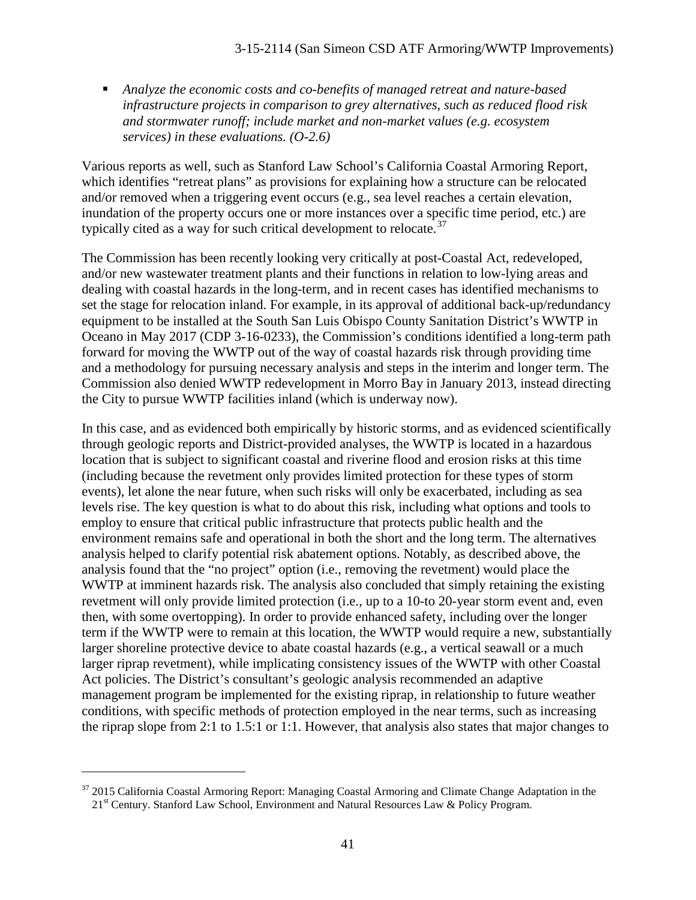*Analyze the economic costs and co-benefits of managed retreat and nature-based infrastructure projects in comparison to grey alternatives, such as reduced flood risk and stormwater runoff; include market and non-market values (e.g. ecosystem services) in these evaluations. (O-2.6)*

Various reports as well, such as Stanford Law School's California Coastal Armoring Report, which identifies "retreat plans" as provisions for explaining how a structure can be relocated and/or removed when a triggering event occurs (e.g., sea level reaches a certain elevation, inundation of the property occurs one or more instances over a specific time period, etc.) are typically cited as a way for such critical development to relocate.<sup>[37](#page-40-0)</sup>

The Commission has been recently looking very critically at post-Coastal Act, redeveloped, and/or new wastewater treatment plants and their functions in relation to low-lying areas and dealing with coastal hazards in the long-term, and in recent cases has identified mechanisms to set the stage for relocation inland. For example, in its approval of additional back-up/redundancy equipment to be installed at the South San Luis Obispo County Sanitation District's WWTP in Oceano in May 2017 (CDP 3-16-0233), the Commission's conditions identified a long-term path forward for moving the WWTP out of the way of coastal hazards risk through providing time and a methodology for pursuing necessary analysis and steps in the interim and longer term. The Commission also denied WWTP redevelopment in Morro Bay in January 2013, instead directing the City to pursue WWTP facilities inland (which is underway now).

In this case, and as evidenced both empirically by historic storms, and as evidenced scientifically through geologic reports and District-provided analyses, the WWTP is located in a hazardous location that is subject to significant coastal and riverine flood and erosion risks at this time (including because the revetment only provides limited protection for these types of storm events), let alone the near future, when such risks will only be exacerbated, including as sea levels rise. The key question is what to do about this risk, including what options and tools to employ to ensure that critical public infrastructure that protects public health and the environment remains safe and operational in both the short and the long term. The alternatives analysis helped to clarify potential risk abatement options. Notably, as described above, the analysis found that the "no project" option (i.e., removing the revetment) would place the WWTP at imminent hazards risk. The analysis also concluded that simply retaining the existing revetment will only provide limited protection (i.e., up to a 10-to 20-year storm event and, even then, with some overtopping). In order to provide enhanced safety, including over the longer term if the WWTP were to remain at this location, the WWTP would require a new, substantially larger shoreline protective device to abate coastal hazards (e.g., a vertical seawall or a much larger riprap revetment), while implicating consistency issues of the WWTP with other Coastal Act policies. The District's consultant's geologic analysis recommended an adaptive management program be implemented for the existing riprap, in relationship to future weather conditions, with specific methods of protection employed in the near terms, such as increasing the riprap slope from 2:1 to 1.5:1 or 1:1. However, that analysis also states that major changes to

<span id="page-40-0"></span> $37$  2015 California Coastal Armoring Report: Managing Coastal Armoring and Climate Change Adaptation in the 21<sup>st</sup> Century. Stanford Law School, Environment and Natural Resources Law & Policy Program.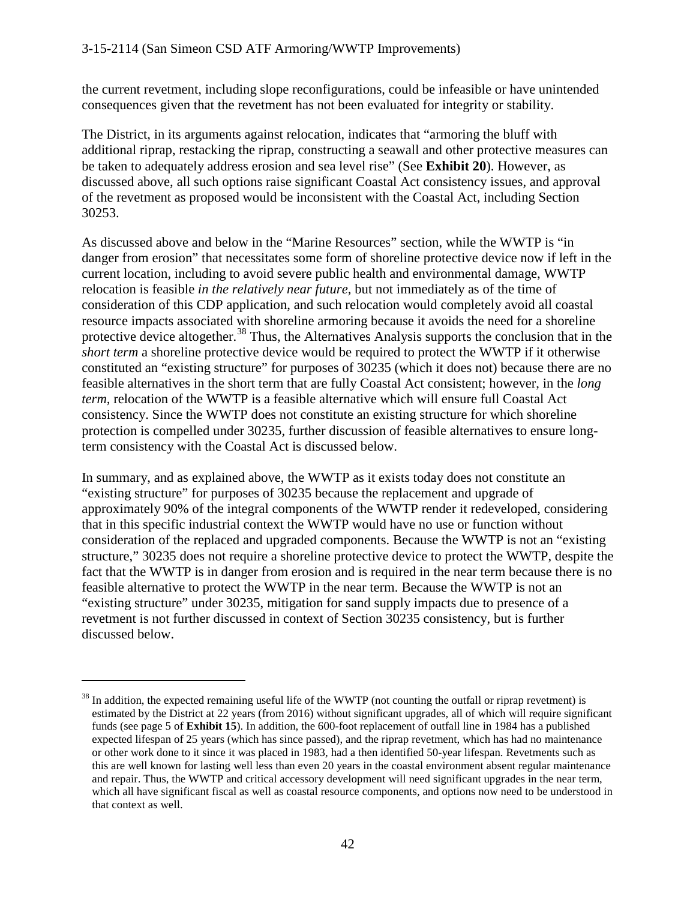the current revetment, including slope reconfigurations, could be infeasible or have unintended consequences given that the revetment has not been evaluated for integrity or stability.

The District, in its arguments against relocation, indicates that "armoring the bluff with additional riprap, restacking the riprap, constructing a seawall and other protective measures can be taken to adequately address erosion and sea level rise" (See **Exhibit 20**). However, as discussed above, all such options raise significant Coastal Act consistency issues, and approval of the revetment as proposed would be inconsistent with the Coastal Act, including Section 30253.

As discussed above and below in the "Marine Resources" section, while the WWTP is "in danger from erosion" that necessitates some form of shoreline protective device now if left in the current location, including to avoid severe public health and environmental damage, WWTP relocation is feasible *in the relatively near future,* but not immediately as of the time of consideration of this CDP application, and such relocation would completely avoid all coastal resource impacts associated with shoreline armoring because it avoids the need for a shoreline protective device altogether.<sup>[38](#page-41-0)</sup> Thus, the Alternatives Analysis supports the conclusion that in the *short term* a shoreline protective device would be required to protect the WWTP if it otherwise constituted an "existing structure" for purposes of 30235 (which it does not) because there are no feasible alternatives in the short term that are fully Coastal Act consistent; however, in the *long term,* relocation of the WWTP is a feasible alternative which will ensure full Coastal Act consistency. Since the WWTP does not constitute an existing structure for which shoreline protection is compelled under 30235, further discussion of feasible alternatives to ensure longterm consistency with the Coastal Act is discussed below.

In summary, and as explained above, the WWTP as it exists today does not constitute an "existing structure" for purposes of 30235 because the replacement and upgrade of approximately 90% of the integral components of the WWTP render it redeveloped, considering that in this specific industrial context the WWTP would have no use or function without consideration of the replaced and upgraded components. Because the WWTP is not an "existing structure," 30235 does not require a shoreline protective device to protect the WWTP, despite the fact that the WWTP is in danger from erosion and is required in the near term because there is no feasible alternative to protect the WWTP in the near term. Because the WWTP is not an "existing structure" under 30235, mitigation for sand supply impacts due to presence of a revetment is not further discussed in context of Section 30235 consistency, but is further discussed below.

<span id="page-41-0"></span> $38$  In addition, the expected remaining useful life of the WWTP (not counting the outfall or riprap revetment) is estimated by the District at 22 years (from 2016) without significant upgrades, all of which will require significant funds (see page 5 of **Exhibit 15**). In addition, the 600-foot replacement of outfall line in 1984 has a published expected lifespan of 25 years (which has since passed), and the riprap revetment, which has had no maintenance or other work done to it since it was placed in 1983, had a then identified 50-year lifespan. Revetments such as this are well known for lasting well less than even 20 years in the coastal environment absent regular maintenance and repair. Thus, the WWTP and critical accessory development will need significant upgrades in the near term, which all have significant fiscal as well as coastal resource components, and options now need to be understood in that context as well.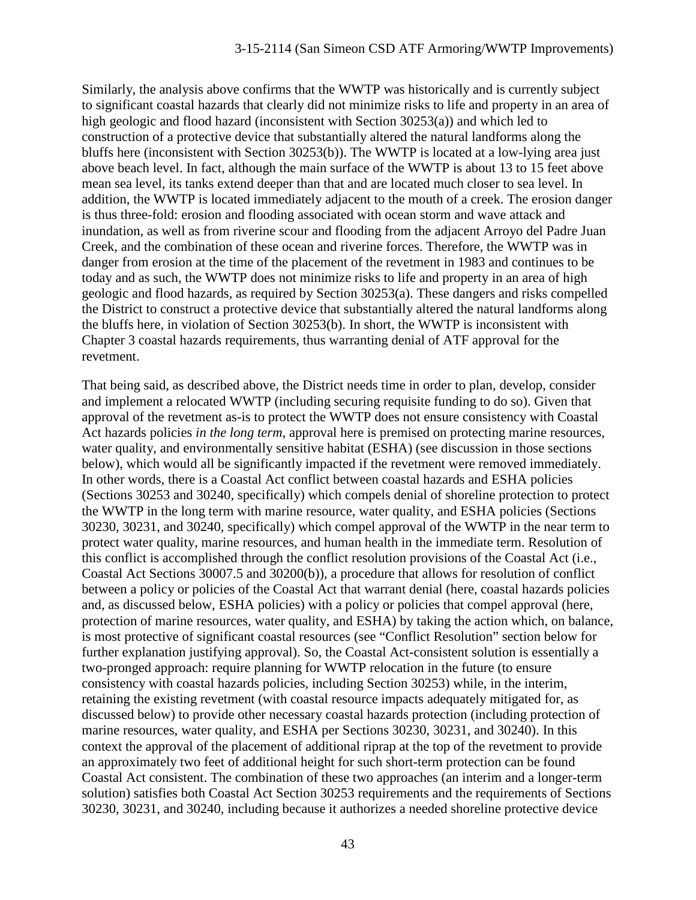Similarly, the analysis above confirms that the WWTP was historically and is currently subject to significant coastal hazards that clearly did not minimize risks to life and property in an area of high geologic and flood hazard (inconsistent with Section 30253(a)) and which led to construction of a protective device that substantially altered the natural landforms along the bluffs here (inconsistent with Section 30253(b)). The WWTP is located at a low-lying area just above beach level. In fact, although the main surface of the WWTP is about 13 to 15 feet above mean sea level, its tanks extend deeper than that and are located much closer to sea level. In addition, the WWTP is located immediately adjacent to the mouth of a creek. The erosion danger is thus three-fold: erosion and flooding associated with ocean storm and wave attack and inundation, as well as from riverine scour and flooding from the adjacent Arroyo del Padre Juan Creek, and the combination of these ocean and riverine forces. Therefore, the WWTP was in danger from erosion at the time of the placement of the revetment in 1983 and continues to be today and as such, the WWTP does not minimize risks to life and property in an area of high geologic and flood hazards, as required by Section 30253(a). These dangers and risks compelled the District to construct a protective device that substantially altered the natural landforms along the bluffs here, in violation of Section 30253(b). In short, the WWTP is inconsistent with Chapter 3 coastal hazards requirements, thus warranting denial of ATF approval for the revetment.

That being said, as described above, the District needs time in order to plan, develop, consider and implement a relocated WWTP (including securing requisite funding to do so). Given that approval of the revetment as-is to protect the WWTP does not ensure consistency with Coastal Act hazards policies *in the long term*, approval here is premised on protecting marine resources, water quality, and environmentally sensitive habitat (ESHA) (see discussion in those sections below), which would all be significantly impacted if the revetment were removed immediately. In other words, there is a Coastal Act conflict between coastal hazards and ESHA policies (Sections 30253 and 30240, specifically) which compels denial of shoreline protection to protect the WWTP in the long term with marine resource, water quality, and ESHA policies (Sections 30230, 30231, and 30240, specifically) which compel approval of the WWTP in the near term to protect water quality, marine resources, and human health in the immediate term. Resolution of this conflict is accomplished through the conflict resolution provisions of the Coastal Act (i.e., Coastal Act Sections 30007.5 and 30200(b)), a procedure that allows for resolution of conflict between a policy or policies of the Coastal Act that warrant denial (here, coastal hazards policies and, as discussed below, ESHA policies) with a policy or policies that compel approval (here, protection of marine resources, water quality, and ESHA) by taking the action which, on balance, is most protective of significant coastal resources (see "Conflict Resolution" section below for further explanation justifying approval). So, the Coastal Act-consistent solution is essentially a two-pronged approach: require planning for WWTP relocation in the future (to ensure consistency with coastal hazards policies, including Section 30253) while, in the interim, retaining the existing revetment (with coastal resource impacts adequately mitigated for, as discussed below) to provide other necessary coastal hazards protection (including protection of marine resources, water quality, and ESHA per Sections 30230, 30231, and 30240). In this context the approval of the placement of additional riprap at the top of the revetment to provide an approximately two feet of additional height for such short-term protection can be found Coastal Act consistent. The combination of these two approaches (an interim and a longer-term solution) satisfies both Coastal Act Section 30253 requirements and the requirements of Sections 30230, 30231, and 30240, including because it authorizes a needed shoreline protective device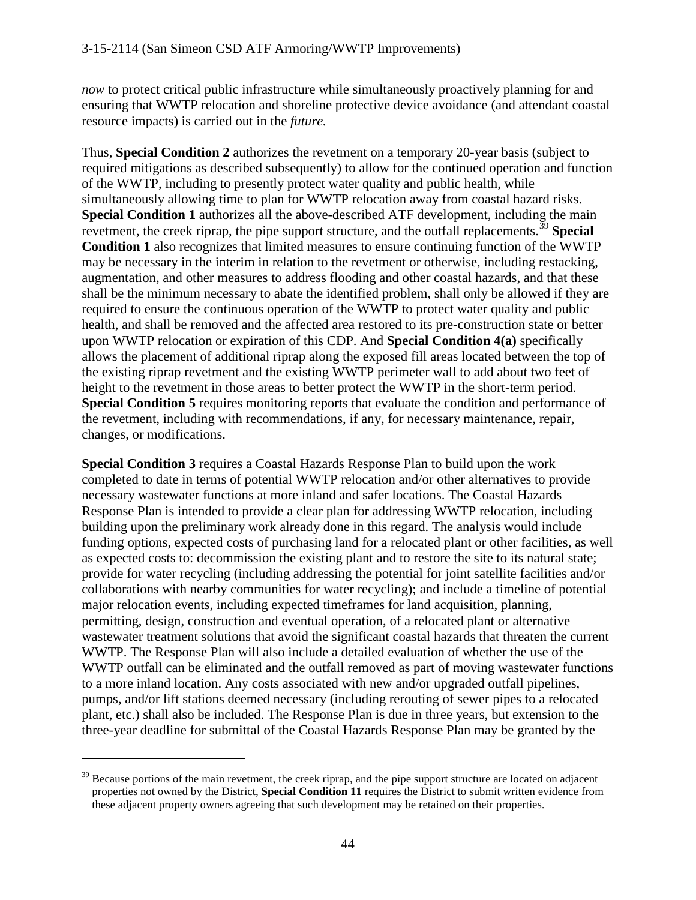*now* to protect critical public infrastructure while simultaneously proactively planning for and ensuring that WWTP relocation and shoreline protective device avoidance (and attendant coastal resource impacts) is carried out in the *future.*

Thus, **Special Condition 2** authorizes the revetment on a temporary 20-year basis (subject to required mitigations as described subsequently) to allow for the continued operation and function of the WWTP, including to presently protect water quality and public health, while simultaneously allowing time to plan for WWTP relocation away from coastal hazard risks. **Special Condition 1** authorizes all the above-described ATF development, including the main revetment, the creek riprap, the pipe support structure, and the outfall replacements.<sup>[39](#page-43-0)</sup> Special **Condition 1** also recognizes that limited measures to ensure continuing function of the WWTP may be necessary in the interim in relation to the revetment or otherwise, including restacking, augmentation, and other measures to address flooding and other coastal hazards, and that these shall be the minimum necessary to abate the identified problem, shall only be allowed if they are required to ensure the continuous operation of the WWTP to protect water quality and public health, and shall be removed and the affected area restored to its pre-construction state or better upon WWTP relocation or expiration of this CDP. And **Special Condition 4(a)** specifically allows the placement of additional riprap along the exposed fill areas located between the top of the existing riprap revetment and the existing WWTP perimeter wall to add about two feet of height to the revetment in those areas to better protect the WWTP in the short-term period. **Special Condition 5** requires monitoring reports that evaluate the condition and performance of the revetment, including with recommendations, if any, for necessary maintenance, repair, changes, or modifications.

**Special Condition 3** requires a Coastal Hazards Response Plan to build upon the work completed to date in terms of potential WWTP relocation and/or other alternatives to provide necessary wastewater functions at more inland and safer locations. The Coastal Hazards Response Plan is intended to provide a clear plan for addressing WWTP relocation, including building upon the preliminary work already done in this regard. The analysis would include funding options, expected costs of purchasing land for a relocated plant or other facilities, as well as expected costs to: decommission the existing plant and to restore the site to its natural state; provide for water recycling (including addressing the potential for joint satellite facilities and/or collaborations with nearby communities for water recycling); and include a timeline of potential major relocation events, including expected timeframes for land acquisition, planning, permitting, design, construction and eventual operation, of a relocated plant or alternative wastewater treatment solutions that avoid the significant coastal hazards that threaten the current WWTP. The Response Plan will also include a detailed evaluation of whether the use of the WWTP outfall can be eliminated and the outfall removed as part of moving wastewater functions to a more inland location. Any costs associated with new and/or upgraded outfall pipelines, pumps, and/or lift stations deemed necessary (including rerouting of sewer pipes to a relocated plant, etc.) shall also be included. The Response Plan is due in three years, but extension to the three-year deadline for submittal of the Coastal Hazards Response Plan may be granted by the

<span id="page-43-0"></span> $39$  Because portions of the main revetment, the creek riprap, and the pipe support structure are located on adjacent properties not owned by the District, **Special Condition 11** requires the District to submit written evidence from these adjacent property owners agreeing that such development may be retained on their properties.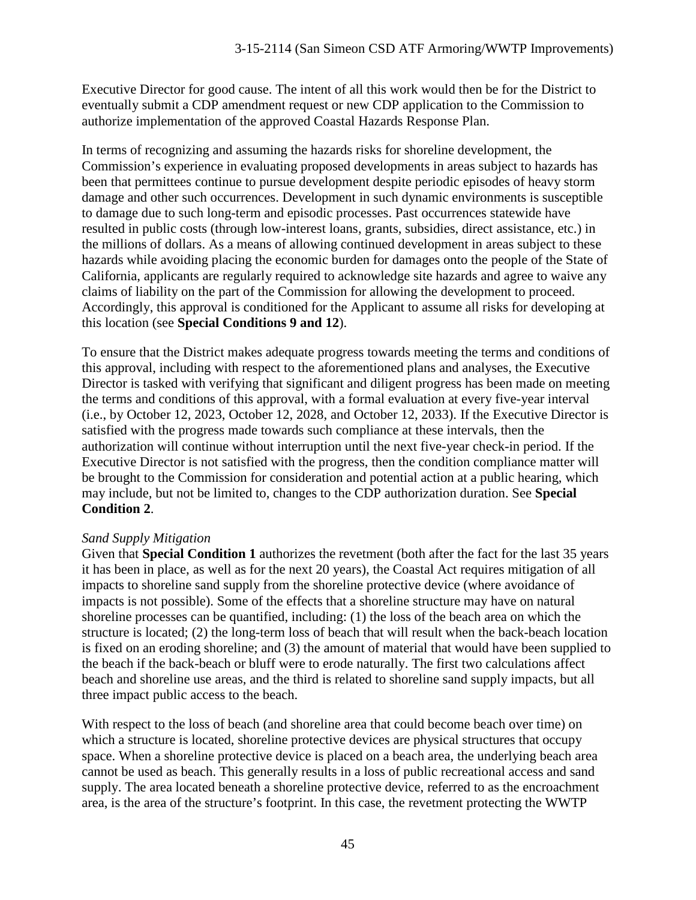Executive Director for good cause. The intent of all this work would then be for the District to eventually submit a CDP amendment request or new CDP application to the Commission to authorize implementation of the approved Coastal Hazards Response Plan.

In terms of recognizing and assuming the hazards risks for shoreline development, the Commission's experience in evaluating proposed developments in areas subject to hazards has been that permittees continue to pursue development despite periodic episodes of heavy storm damage and other such occurrences. Development in such dynamic environments is susceptible to damage due to such long-term and episodic processes. Past occurrences statewide have resulted in public costs (through low-interest loans, grants, subsidies, direct assistance, etc.) in the millions of dollars. As a means of allowing continued development in areas subject to these hazards while avoiding placing the economic burden for damages onto the people of the State of California, applicants are regularly required to acknowledge site hazards and agree to waive any claims of liability on the part of the Commission for allowing the development to proceed. Accordingly, this approval is conditioned for the Applicant to assume all risks for developing at this location (see **Special Conditions 9 and 12**).

To ensure that the District makes adequate progress towards meeting the terms and conditions of this approval, including with respect to the aforementioned plans and analyses, the Executive Director is tasked with verifying that significant and diligent progress has been made on meeting the terms and conditions of this approval, with a formal evaluation at every five-year interval (i.e., by October 12, 2023, October 12, 2028, and October 12, 2033). If the Executive Director is satisfied with the progress made towards such compliance at these intervals, then the authorization will continue without interruption until the next five-year check-in period. If the Executive Director is not satisfied with the progress, then the condition compliance matter will be brought to the Commission for consideration and potential action at a public hearing, which may include, but not be limited to, changes to the CDP authorization duration. See **Special Condition 2**.

## *Sand Supply Mitigation*

Given that **Special Condition 1** authorizes the revetment (both after the fact for the last 35 years it has been in place, as well as for the next 20 years), the Coastal Act requires mitigation of all impacts to shoreline sand supply from the shoreline protective device (where avoidance of impacts is not possible). Some of the effects that a shoreline structure may have on natural shoreline processes can be quantified, including: (1) the loss of the beach area on which the structure is located; (2) the long-term loss of beach that will result when the back-beach location is fixed on an eroding shoreline; and (3) the amount of material that would have been supplied to the beach if the back-beach or bluff were to erode naturally. The first two calculations affect beach and shoreline use areas, and the third is related to shoreline sand supply impacts, but all three impact public access to the beach.

With respect to the loss of beach (and shoreline area that could become beach over time) on which a structure is located, shoreline protective devices are physical structures that occupy space. When a shoreline protective device is placed on a beach area, the underlying beach area cannot be used as beach. This generally results in a loss of public recreational access and sand supply. The area located beneath a shoreline protective device, referred to as the encroachment area, is the area of the structure's footprint. In this case, the revetment protecting the WWTP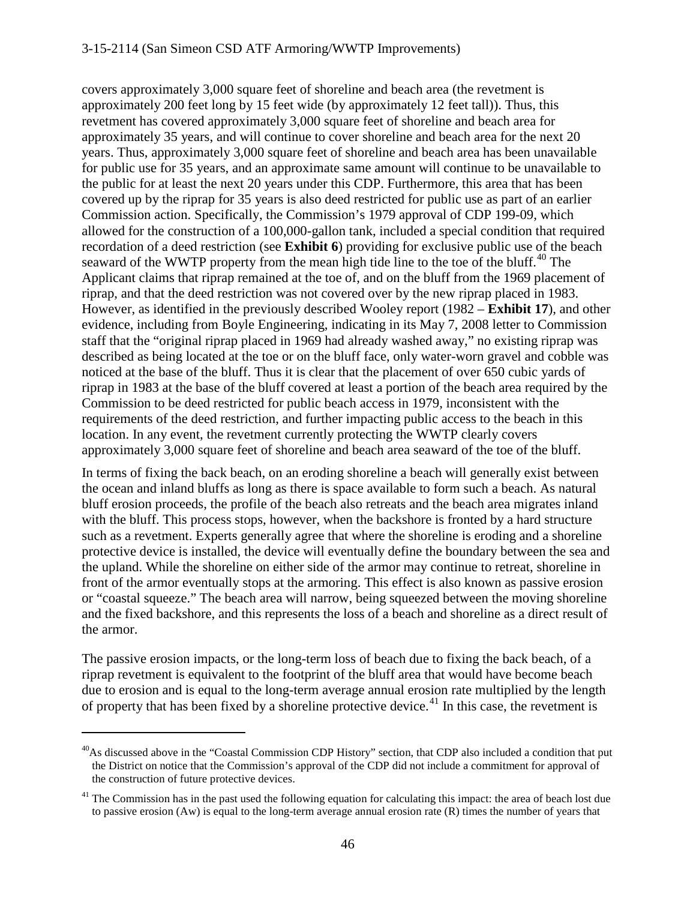covers approximately 3,000 square feet of shoreline and beach area (the revetment is approximately 200 feet long by 15 feet wide (by approximately 12 feet tall)). Thus, this revetment has covered approximately 3,000 square feet of shoreline and beach area for approximately 35 years, and will continue to cover shoreline and beach area for the next 20 years. Thus, approximately 3,000 square feet of shoreline and beach area has been unavailable for public use for 35 years, and an approximate same amount will continue to be unavailable to the public for at least the next 20 years under this CDP. Furthermore, this area that has been covered up by the riprap for 35 years is also deed restricted for public use as part of an earlier Commission action. Specifically, the Commission's 1979 approval of CDP 199-09, which allowed for the construction of a 100,000-gallon tank, included a special condition that required recordation of a deed restriction (see **Exhibit 6**) providing for exclusive public use of the beach seaward of the WWTP property from the mean high tide line to the toe of the bluff.<sup>[40](#page-45-0)</sup> The Applicant claims that riprap remained at the toe of, and on the bluff from the 1969 placement of riprap, and that the deed restriction was not covered over by the new riprap placed in 1983. However, as identified in the previously described Wooley report (1982 – **Exhibit 17**), and other evidence, including from Boyle Engineering, indicating in its May 7, 2008 letter to Commission staff that the "original riprap placed in 1969 had already washed away," no existing riprap was described as being located at the toe or on the bluff face, only water-worn gravel and cobble was noticed at the base of the bluff. Thus it is clear that the placement of over 650 cubic yards of riprap in 1983 at the base of the bluff covered at least a portion of the beach area required by the Commission to be deed restricted for public beach access in 1979, inconsistent with the requirements of the deed restriction, and further impacting public access to the beach in this location. In any event, the revetment currently protecting the WWTP clearly covers approximately 3,000 square feet of shoreline and beach area seaward of the toe of the bluff.

In terms of fixing the back beach, on an eroding shoreline a beach will generally exist between the ocean and inland bluffs as long as there is space available to form such a beach. As natural bluff erosion proceeds, the profile of the beach also retreats and the beach area migrates inland with the bluff. This process stops, however, when the backshore is fronted by a hard structure such as a revetment. Experts generally agree that where the shoreline is eroding and a shoreline protective device is installed, the device will eventually define the boundary between the sea and the upland. While the shoreline on either side of the armor may continue to retreat, shoreline in front of the armor eventually stops at the armoring. This effect is also known as passive erosion or "coastal squeeze." The beach area will narrow, being squeezed between the moving shoreline and the fixed backshore, and this represents the loss of a beach and shoreline as a direct result of the armor.

The passive erosion impacts, or the long-term loss of beach due to fixing the back beach, of a riprap revetment is equivalent to the footprint of the bluff area that would have become beach due to erosion and is equal to the long-term average annual erosion rate multiplied by the length of property that has been fixed by a shoreline protective device.<sup>[41](#page-45-1)</sup> In this case, the revetment is

<span id="page-45-0"></span> $^{40}$ As discussed above in the "Coastal Commission CDP History" section, that CDP also included a condition that put the District on notice that the Commission's approval of the CDP did not include a commitment for approval of the construction of future protective devices.

<span id="page-45-1"></span> $<sup>41</sup>$  The Commission has in the past used the following equation for calculating this impact: the area of beach lost due</sup> to passive erosion (Aw) is equal to the long-term average annual erosion rate (R) times the number of years that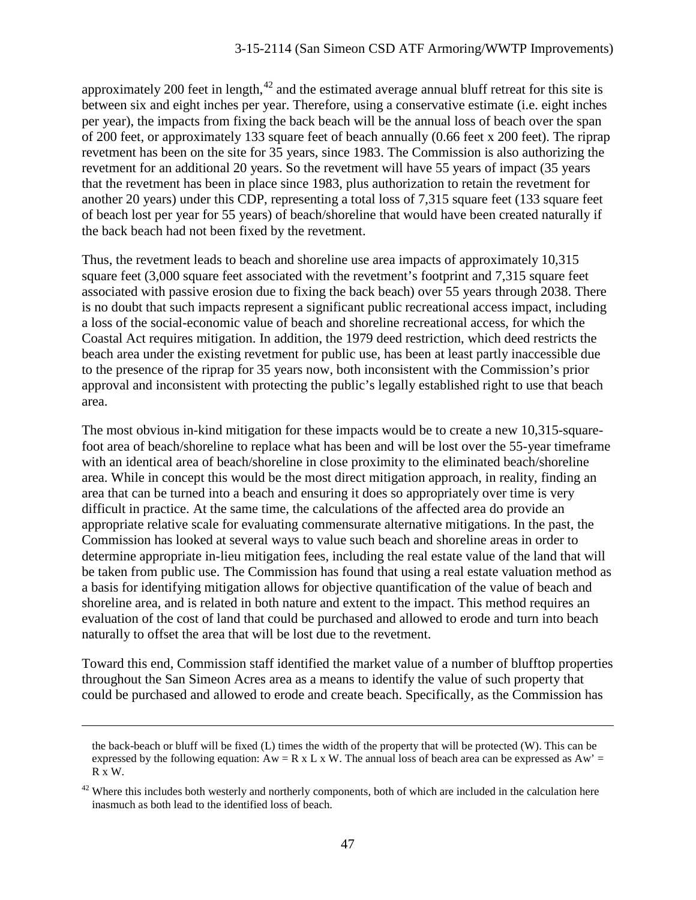approximately 200 feet in length,  $42$  and the estimated average annual bluff retreat for this site is between six and eight inches per year. Therefore, using a conservative estimate (i.e. eight inches per year), the impacts from fixing the back beach will be the annual loss of beach over the span of 200 feet, or approximately 133 square feet of beach annually (0.66 feet x 200 feet). The riprap revetment has been on the site for 35 years, since 1983. The Commission is also authorizing the revetment for an additional 20 years. So the revetment will have 55 years of impact (35 years that the revetment has been in place since 1983, plus authorization to retain the revetment for another 20 years) under this CDP, representing a total loss of 7,315 square feet (133 square feet of beach lost per year for 55 years) of beach/shoreline that would have been created naturally if the back beach had not been fixed by the revetment.

Thus, the revetment leads to beach and shoreline use area impacts of approximately 10,315 square feet (3,000 square feet associated with the revetment's footprint and 7,315 square feet associated with passive erosion due to fixing the back beach) over 55 years through 2038. There is no doubt that such impacts represent a significant public recreational access impact, including a loss of the social-economic value of beach and shoreline recreational access, for which the Coastal Act requires mitigation. In addition, the 1979 deed restriction, which deed restricts the beach area under the existing revetment for public use, has been at least partly inaccessible due to the presence of the riprap for 35 years now, both inconsistent with the Commission's prior approval and inconsistent with protecting the public's legally established right to use that beach area.

The most obvious in-kind mitigation for these impacts would be to create a new 10,315-squarefoot area of beach/shoreline to replace what has been and will be lost over the 55-year timeframe with an identical area of beach/shoreline in close proximity to the eliminated beach/shoreline area. While in concept this would be the most direct mitigation approach, in reality, finding an area that can be turned into a beach and ensuring it does so appropriately over time is very difficult in practice. At the same time, the calculations of the affected area do provide an appropriate relative scale for evaluating commensurate alternative mitigations. In the past, the Commission has looked at several ways to value such beach and shoreline areas in order to determine appropriate in-lieu mitigation fees, including the real estate value of the land that will be taken from public use. The Commission has found that using a real estate valuation method as a basis for identifying mitigation allows for objective quantification of the value of beach and shoreline area, and is related in both nature and extent to the impact. This method requires an evaluation of the cost of land that could be purchased and allowed to erode and turn into beach naturally to offset the area that will be lost due to the revetment.

Toward this end, Commission staff identified the market value of a number of blufftop properties throughout the San Simeon Acres area as a means to identify the value of such property that could be purchased and allowed to erode and create beach. Specifically, as the Commission has

the back-beach or bluff will be fixed (L) times the width of the property that will be protected (W). This can be expressed by the following equation:  $Aw = R \times L \times W$ . The annual loss of beach area can be expressed as  $Aw' =$ R x W.

<span id="page-46-0"></span> $42$  Where this includes both westerly and northerly components, both of which are included in the calculation here inasmuch as both lead to the identified loss of beach.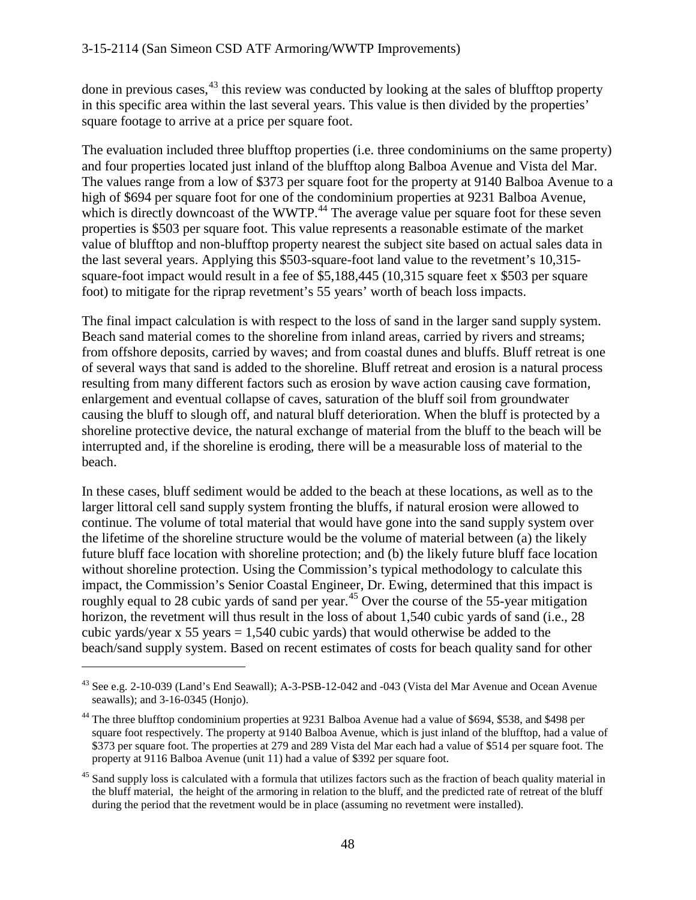done in previous cases, <sup>[43](#page-47-0)</sup> this review was conducted by looking at the sales of blufftop property in this specific area within the last several years. This value is then divided by the properties' square footage to arrive at a price per square foot.

The evaluation included three blufftop properties (i.e. three condominiums on the same property) and four properties located just inland of the blufftop along Balboa Avenue and Vista del Mar. The values range from a low of \$373 per square foot for the property at 9140 Balboa Avenue to a high of \$694 per square foot for one of the condominium properties at 9231 Balboa Avenue, which is directly downcoast of the WWTP.<sup>[44](#page-47-1)</sup> The average value per square foot for these seven properties is \$503 per square foot. This value represents a reasonable estimate of the market value of blufftop and non-blufftop property nearest the subject site based on actual sales data in the last several years. Applying this \$503-square-foot land value to the revetment's 10,315 square-foot impact would result in a fee of \$5,188,445 (10,315 square feet x \$503 per square foot) to mitigate for the riprap revetment's 55 years' worth of beach loss impacts.

The final impact calculation is with respect to the loss of sand in the larger sand supply system. Beach sand material comes to the shoreline from inland areas, carried by rivers and streams; from offshore deposits, carried by waves; and from coastal dunes and bluffs. Bluff retreat is one of several ways that sand is added to the shoreline. Bluff retreat and erosion is a natural process resulting from many different factors such as erosion by wave action causing cave formation, enlargement and eventual collapse of caves, saturation of the bluff soil from groundwater causing the bluff to slough off, and natural bluff deterioration. When the bluff is protected by a shoreline protective device, the natural exchange of material from the bluff to the beach will be interrupted and, if the shoreline is eroding, there will be a measurable loss of material to the beach.

In these cases, bluff sediment would be added to the beach at these locations, as well as to the larger littoral cell sand supply system fronting the bluffs, if natural erosion were allowed to continue. The volume of total material that would have gone into the sand supply system over the lifetime of the shoreline structure would be the volume of material between (a) the likely future bluff face location with shoreline protection; and (b) the likely future bluff face location without shoreline protection. Using the Commission's typical methodology to calculate this impact, the Commission's Senior Coastal Engineer, Dr. Ewing, determined that this impact is roughly equal to 28 cubic yards of sand per year.<sup>[45](#page-47-2)</sup> Over the course of the 55-year mitigation horizon, the revetment will thus result in the loss of about 1,540 cubic vards of sand (i.e., 28) cubic yards/year x 55 years  $= 1,540$  cubic yards) that would otherwise be added to the beach/sand supply system. Based on recent estimates of costs for beach quality sand for other

<span id="page-47-0"></span><sup>43</sup> See e.g. 2-10-039 (Land's End Seawall); A-3-PSB-12-042 and -043 (Vista del Mar Avenue and Ocean Avenue seawalls); and 3-16-0345 (Honjo).

<span id="page-47-1"></span><sup>&</sup>lt;sup>44</sup> The three blufftop condominium properties at 9231 Balboa Avenue had a value of \$694, \$538, and \$498 per square foot respectively. The property at 9140 Balboa Avenue, which is just inland of the blufftop, had a value of \$373 per square foot. The properties at 279 and 289 Vista del Mar each had a value of \$514 per square foot. The property at 9116 Balboa Avenue (unit 11) had a value of \$392 per square foot.

<span id="page-47-2"></span><sup>&</sup>lt;sup>45</sup> Sand supply loss is calculated with a formula that utilizes factors such as the fraction of beach quality material in the bluff material, the height of the armoring in relation to the bluff, and the predicted rate of retreat of the bluff during the period that the revetment would be in place (assuming no revetment were installed).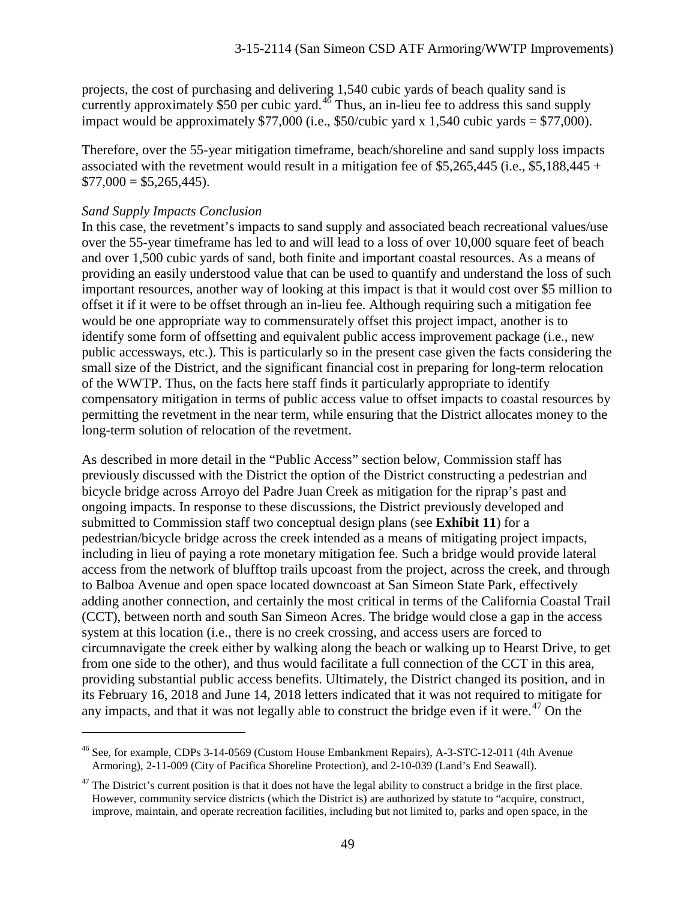projects, the cost of purchasing and delivering 1,540 cubic yards of beach quality sand is currently approximately \$50 per cubic yard. $4\overline{6}$  Thus, an in-lieu fee to address this sand supply impact would be approximately \$77,000 (i.e., \$50/cubic yard x 1,540 cubic yards = \$77,000).

Therefore, over the 55-year mitigation timeframe, beach/shoreline and sand supply loss impacts associated with the revetment would result in a mitigation fee of \$5,265,445 (i.e., \$5,188,445 +  $$77,000 = $5,265,445$ .

#### *Sand Supply Impacts Conclusion*

 $\overline{a}$ 

In this case, the revetment's impacts to sand supply and associated beach recreational values/use over the 55-year timeframe has led to and will lead to a loss of over 10,000 square feet of beach and over 1,500 cubic yards of sand, both finite and important coastal resources. As a means of providing an easily understood value that can be used to quantify and understand the loss of such important resources, another way of looking at this impact is that it would cost over \$5 million to offset it if it were to be offset through an in-lieu fee. Although requiring such a mitigation fee would be one appropriate way to commensurately offset this project impact, another is to identify some form of offsetting and equivalent public access improvement package (i.e., new public accessways, etc.). This is particularly so in the present case given the facts considering the small size of the District, and the significant financial cost in preparing for long-term relocation of the WWTP. Thus, on the facts here staff finds it particularly appropriate to identify compensatory mitigation in terms of public access value to offset impacts to coastal resources by permitting the revetment in the near term, while ensuring that the District allocates money to the long-term solution of relocation of the revetment.

As described in more detail in the "Public Access" section below, Commission staff has previously discussed with the District the option of the District constructing a pedestrian and bicycle bridge across Arroyo del Padre Juan Creek as mitigation for the riprap's past and ongoing impacts. In response to these discussions, the District previously developed and submitted to Commission staff two conceptual design plans (see **Exhibit 11**) for a pedestrian/bicycle bridge across the creek intended as a means of mitigating project impacts, including in lieu of paying a rote monetary mitigation fee. Such a bridge would provide lateral access from the network of blufftop trails upcoast from the project, across the creek, and through to Balboa Avenue and open space located downcoast at San Simeon State Park, effectively adding another connection, and certainly the most critical in terms of the California Coastal Trail (CCT), between north and south San Simeon Acres. The bridge would close a gap in the access system at this location (i.e., there is no creek crossing, and access users are forced to circumnavigate the creek either by walking along the beach or walking up to Hearst Drive, to get from one side to the other), and thus would facilitate a full connection of the CCT in this area, providing substantial public access benefits. Ultimately, the District changed its position, and in its February 16, 2018 and June 14, 2018 letters indicated that it was not required to mitigate for any impacts, and that it was not legally able to construct the bridge even if it were.<sup>[47](#page-48-1)</sup> On the

<span id="page-48-0"></span><sup>46</sup> See, for example, CDPs 3-14-0569 (Custom House Embankment Repairs), A-3-STC-12-011 (4th Avenue Armoring), 2-11-009 (City of Pacifica Shoreline Protection), and 2-10-039 (Land's End Seawall).

<span id="page-48-1"></span> $47$  The District's current position is that it does not have the legal ability to construct a bridge in the first place. However, community service districts (which the District is) are authorized by statute to "acquire, construct, improve, maintain, and operate recreation facilities, including but not limited to, parks and open space, in the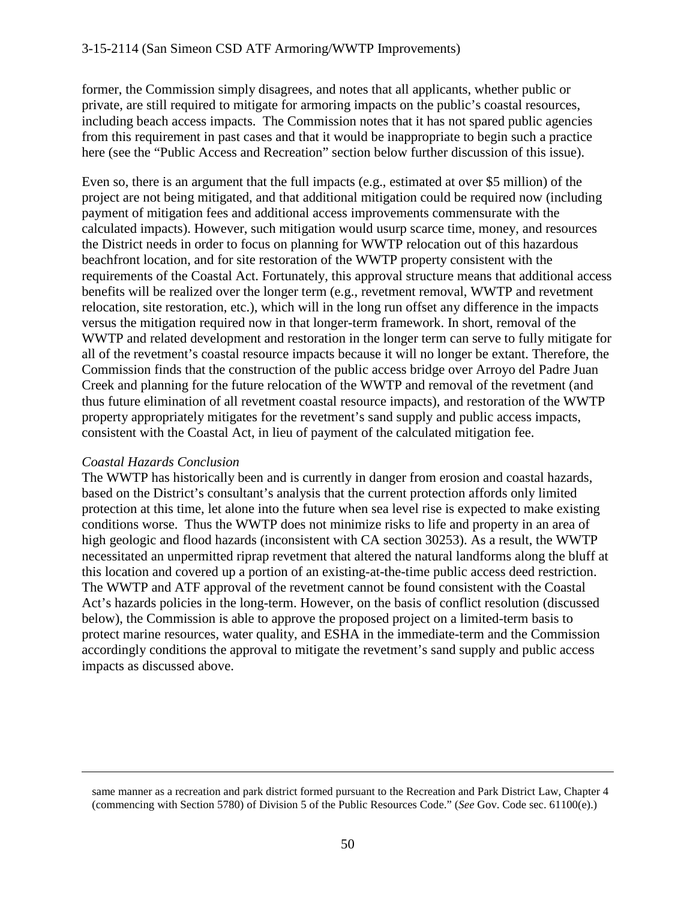former, the Commission simply disagrees, and notes that all applicants, whether public or private, are still required to mitigate for armoring impacts on the public's coastal resources, including beach access impacts. The Commission notes that it has not spared public agencies from this requirement in past cases and that it would be inappropriate to begin such a practice here (see the "Public Access and Recreation" section below further discussion of this issue).

Even so, there is an argument that the full impacts (e.g., estimated at over \$5 million) of the project are not being mitigated, and that additional mitigation could be required now (including payment of mitigation fees and additional access improvements commensurate with the calculated impacts). However, such mitigation would usurp scarce time, money, and resources the District needs in order to focus on planning for WWTP relocation out of this hazardous beachfront location, and for site restoration of the WWTP property consistent with the requirements of the Coastal Act. Fortunately, this approval structure means that additional access benefits will be realized over the longer term (e.g., revetment removal, WWTP and revetment relocation, site restoration, etc.), which will in the long run offset any difference in the impacts versus the mitigation required now in that longer-term framework. In short, removal of the WWTP and related development and restoration in the longer term can serve to fully mitigate for all of the revetment's coastal resource impacts because it will no longer be extant. Therefore, the Commission finds that the construction of the public access bridge over Arroyo del Padre Juan Creek and planning for the future relocation of the WWTP and removal of the revetment (and thus future elimination of all revetment coastal resource impacts), and restoration of the WWTP property appropriately mitigates for the revetment's sand supply and public access impacts, consistent with the Coastal Act, in lieu of payment of the calculated mitigation fee.

## *Coastal Hazards Conclusion*

 $\overline{a}$ 

The WWTP has historically been and is currently in danger from erosion and coastal hazards, based on the District's consultant's analysis that the current protection affords only limited protection at this time, let alone into the future when sea level rise is expected to make existing conditions worse. Thus the WWTP does not minimize risks to life and property in an area of high geologic and flood hazards (inconsistent with CA section 30253). As a result, the WWTP necessitated an unpermitted riprap revetment that altered the natural landforms along the bluff at this location and covered up a portion of an existing-at-the-time public access deed restriction. The WWTP and ATF approval of the revetment cannot be found consistent with the Coastal Act's hazards policies in the long-term. However, on the basis of conflict resolution (discussed below), the Commission is able to approve the proposed project on a limited-term basis to protect marine resources, water quality, and ESHA in the immediate-term and the Commission accordingly conditions the approval to mitigate the revetment's sand supply and public access impacts as discussed above.

same manner as a recreation and park district formed pursuant to the Recreation and Park District Law, Chapter 4 (commencing with Section 5780) of Division 5 of the Public Resources Code." (*See* Gov. Code sec. 61100(e).)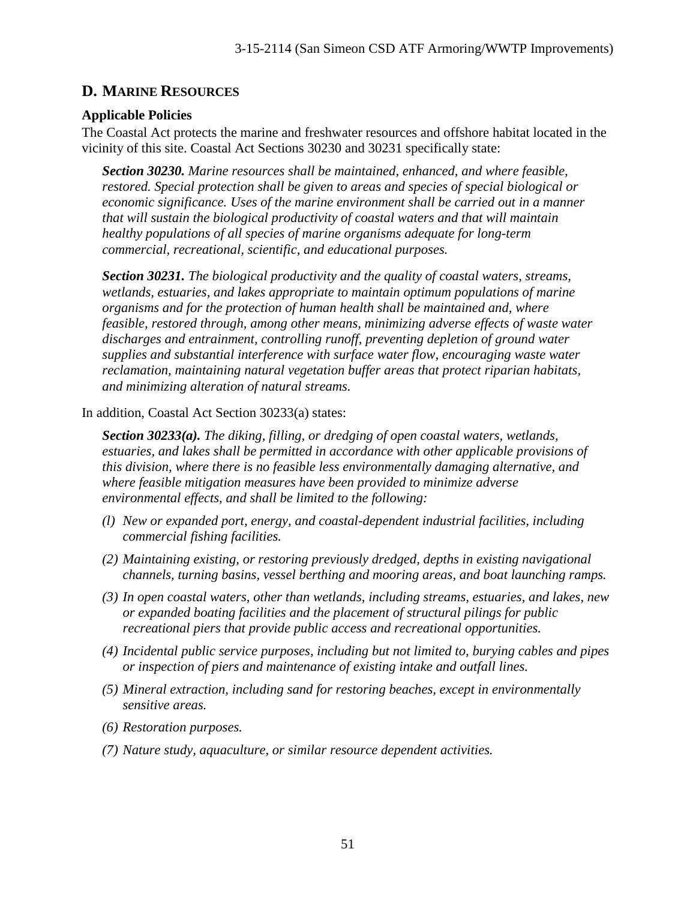# **D. MARINE RESOURCES**

# **Applicable Policies**

The Coastal Act protects the marine and freshwater resources and offshore habitat located in the vicinity of this site. Coastal Act Sections 30230 and 30231 specifically state:

*Section 30230. Marine resources shall be maintained, enhanced, and where feasible, restored. Special protection shall be given to areas and species of special biological or economic significance. Uses of the marine environment shall be carried out in a manner that will sustain the biological productivity of coastal waters and that will maintain healthy populations of all species of marine organisms adequate for long-term commercial, recreational, scientific, and educational purposes.*

*Section 30231. The biological productivity and the quality of coastal waters, streams, wetlands, estuaries, and lakes appropriate to maintain optimum populations of marine organisms and for the protection of human health shall be maintained and, where feasible, restored through, among other means, minimizing adverse effects of waste water discharges and entrainment, controlling runoff, preventing depletion of ground water supplies and substantial interference with surface water flow, encouraging waste water reclamation, maintaining natural vegetation buffer areas that protect riparian habitats, and minimizing alteration of natural streams.*

In addition, Coastal Act Section 30233(a) states:

*Section 30233(a). The diking, filling, or dredging of open coastal waters, wetlands, estuaries, and lakes shall be permitted in accordance with other applicable provisions of this division, where there is no feasible less environmentally damaging alternative, and where feasible mitigation measures have been provided to minimize adverse environmental effects, and shall be limited to the following:*

- *(l) New or expanded port, energy, and coastal-dependent industrial facilities, including commercial fishing facilities.*
- *(2) Maintaining existing, or restoring previously dredged, depths in existing navigational channels, turning basins, vessel berthing and mooring areas, and boat launching ramps.*
- *(3) In open coastal waters, other than wetlands, including streams, estuaries, and lakes, new or expanded boating facilities and the placement of structural pilings for public recreational piers that provide public access and recreational opportunities.*
- *(4) Incidental public service purposes, including but not limited to, burying cables and pipes or inspection of piers and maintenance of existing intake and outfall lines.*
- *(5) Mineral extraction, including sand for restoring beaches, except in environmentally sensitive areas.*
- *(6) Restoration purposes.*
- *(7) Nature study, aquaculture, or similar resource dependent activities.*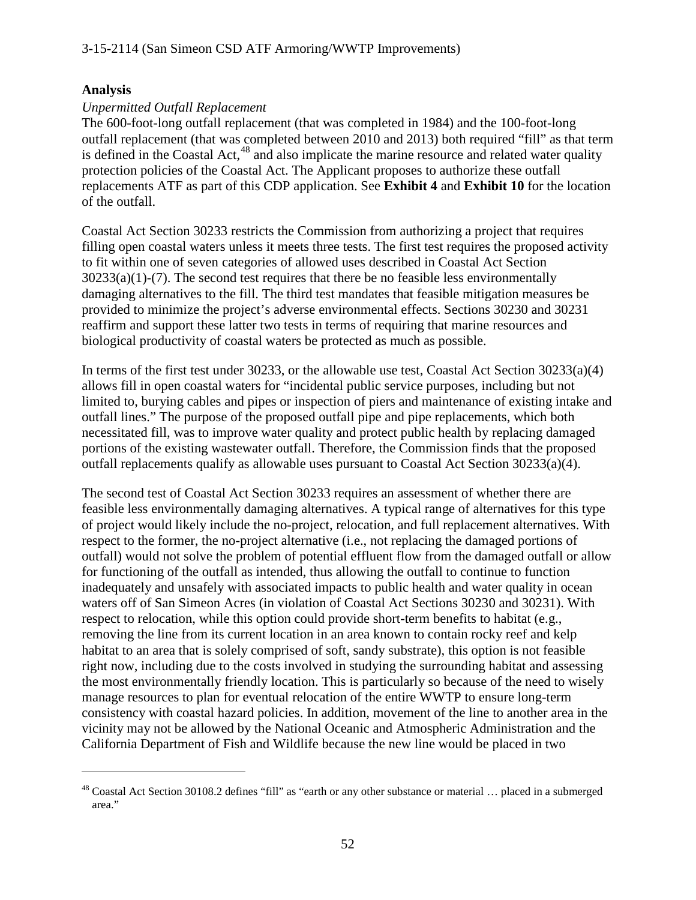## **Analysis**

 $\overline{a}$ 

# *Unpermitted Outfall Replacement*

The 600-foot-long outfall replacement (that was completed in 1984) and the 100-foot-long outfall replacement (that was completed between 2010 and 2013) both required "fill" as that term is defined in the Coastal Act, $48$  and also implicate the marine resource and related water quality protection policies of the Coastal Act. The Applicant proposes to authorize these outfall replacements ATF as part of this CDP application. See **Exhibit 4** and **Exhibit 10** for the location of the outfall.

Coastal Act Section 30233 restricts the Commission from authorizing a project that requires filling open coastal waters unless it meets three tests. The first test requires the proposed activity to fit within one of seven categories of allowed uses described in Coastal Act Section  $30233(a)(1)-(7)$ . The second test requires that there be no feasible less environmentally damaging alternatives to the fill. The third test mandates that feasible mitigation measures be provided to minimize the project's adverse environmental effects. Sections 30230 and 30231 reaffirm and support these latter two tests in terms of requiring that marine resources and biological productivity of coastal waters be protected as much as possible.

In terms of the first test under 30233, or the allowable use test, Coastal Act Section 30233(a)(4) allows fill in open coastal waters for "incidental public service purposes, including but not limited to, burying cables and pipes or inspection of piers and maintenance of existing intake and outfall lines." The purpose of the proposed outfall pipe and pipe replacements, which both necessitated fill, was to improve water quality and protect public health by replacing damaged portions of the existing wastewater outfall. Therefore, the Commission finds that the proposed outfall replacements qualify as allowable uses pursuant to Coastal Act Section 30233(a)(4).

The second test of Coastal Act Section 30233 requires an assessment of whether there are feasible less environmentally damaging alternatives. A typical range of alternatives for this type of project would likely include the no-project, relocation, and full replacement alternatives. With respect to the former, the no-project alternative (i.e., not replacing the damaged portions of outfall) would not solve the problem of potential effluent flow from the damaged outfall or allow for functioning of the outfall as intended, thus allowing the outfall to continue to function inadequately and unsafely with associated impacts to public health and water quality in ocean waters off of San Simeon Acres (in violation of Coastal Act Sections 30230 and 30231). With respect to relocation, while this option could provide short-term benefits to habitat (e.g., removing the line from its current location in an area known to contain rocky reef and kelp habitat to an area that is solely comprised of soft, sandy substrate), this option is not feasible right now, including due to the costs involved in studying the surrounding habitat and assessing the most environmentally friendly location. This is particularly so because of the need to wisely manage resources to plan for eventual relocation of the entire WWTP to ensure long-term consistency with coastal hazard policies. In addition, movement of the line to another area in the vicinity may not be allowed by the National Oceanic and Atmospheric Administration and the California Department of Fish and Wildlife because the new line would be placed in two

<span id="page-51-0"></span><sup>&</sup>lt;sup>48</sup> Coastal Act Section 30108.2 defines "fill" as "earth or any other substance or material ... placed in a submerged area."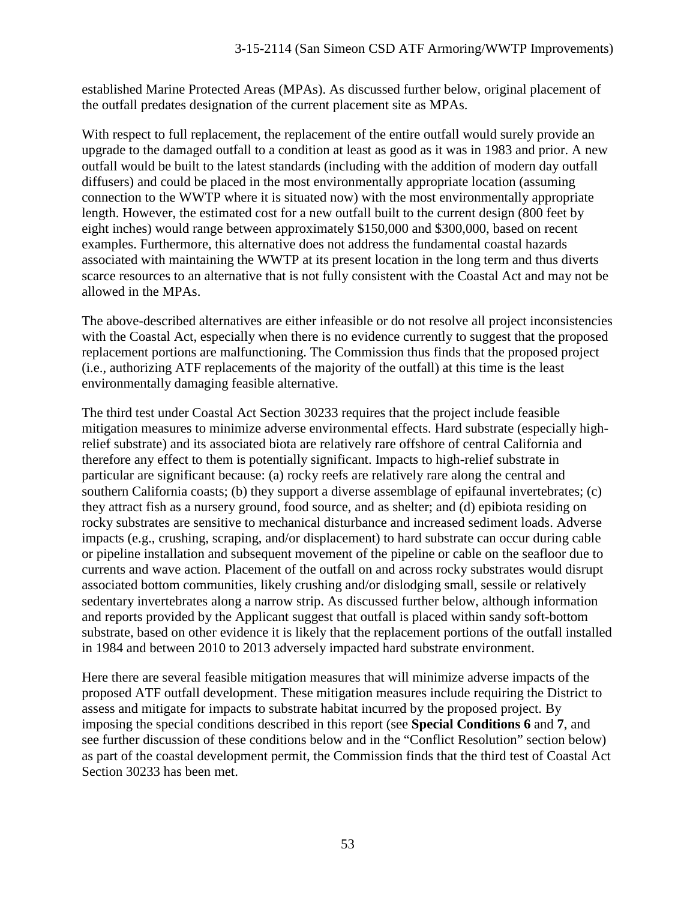established Marine Protected Areas (MPAs). As discussed further below, original placement of the outfall predates designation of the current placement site as MPAs.

With respect to full replacement, the replacement of the entire outfall would surely provide an upgrade to the damaged outfall to a condition at least as good as it was in 1983 and prior. A new outfall would be built to the latest standards (including with the addition of modern day outfall diffusers) and could be placed in the most environmentally appropriate location (assuming connection to the WWTP where it is situated now) with the most environmentally appropriate length. However, the estimated cost for a new outfall built to the current design (800 feet by eight inches) would range between approximately \$150,000 and \$300,000, based on recent examples. Furthermore, this alternative does not address the fundamental coastal hazards associated with maintaining the WWTP at its present location in the long term and thus diverts scarce resources to an alternative that is not fully consistent with the Coastal Act and may not be allowed in the MPAs.

The above-described alternatives are either infeasible or do not resolve all project inconsistencies with the Coastal Act, especially when there is no evidence currently to suggest that the proposed replacement portions are malfunctioning. The Commission thus finds that the proposed project (i.e., authorizing ATF replacements of the majority of the outfall) at this time is the least environmentally damaging feasible alternative.

The third test under Coastal Act Section 30233 requires that the project include feasible mitigation measures to minimize adverse environmental effects. Hard substrate (especially highrelief substrate) and its associated biota are relatively rare offshore of central California and therefore any effect to them is potentially significant. Impacts to high-relief substrate in particular are significant because: (a) rocky reefs are relatively rare along the central and southern California coasts; (b) they support a diverse assemblage of epifaunal invertebrates; (c) they attract fish as a nursery ground, food source, and as shelter; and (d) epibiota residing on rocky substrates are sensitive to mechanical disturbance and increased sediment loads. Adverse impacts (e.g., crushing, scraping, and/or displacement) to hard substrate can occur during cable or pipeline installation and subsequent movement of the pipeline or cable on the seafloor due to currents and wave action. Placement of the outfall on and across rocky substrates would disrupt associated bottom communities, likely crushing and/or dislodging small, sessile or relatively sedentary invertebrates along a narrow strip. As discussed further below, although information and reports provided by the Applicant suggest that outfall is placed within sandy soft-bottom substrate, based on other evidence it is likely that the replacement portions of the outfall installed in 1984 and between 2010 to 2013 adversely impacted hard substrate environment.

Here there are several feasible mitigation measures that will minimize adverse impacts of the proposed ATF outfall development. These mitigation measures include requiring the District to assess and mitigate for impacts to substrate habitat incurred by the proposed project. By imposing the special conditions described in this report (see **Special Conditions 6** and **7**, and see further discussion of these conditions below and in the "Conflict Resolution" section below) as part of the coastal development permit, the Commission finds that the third test of Coastal Act Section 30233 has been met.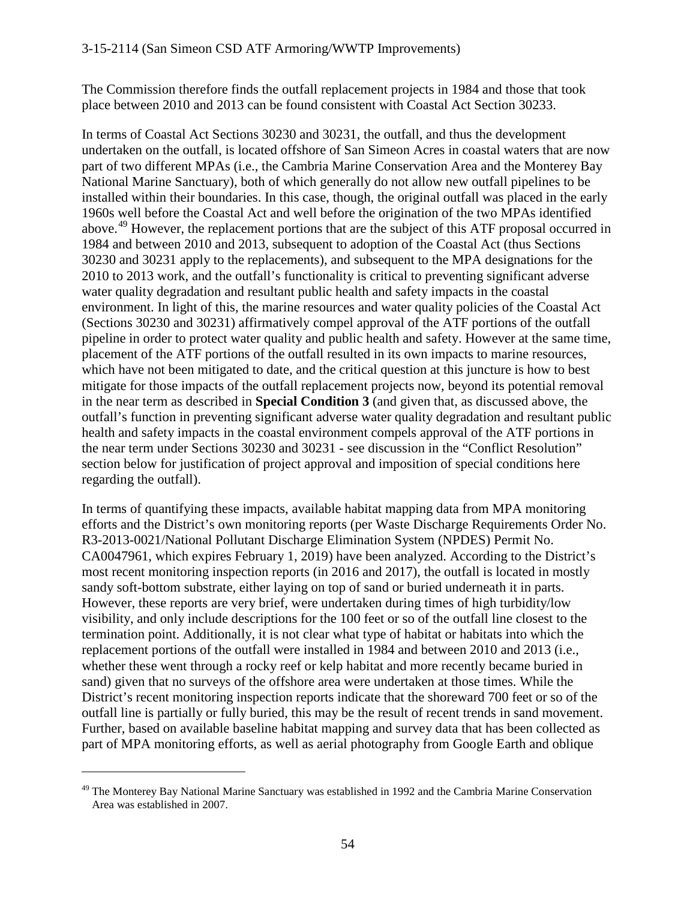The Commission therefore finds the outfall replacement projects in 1984 and those that took place between 2010 and 2013 can be found consistent with Coastal Act Section 30233.

In terms of Coastal Act Sections 30230 and 30231, the outfall, and thus the development undertaken on the outfall, is located offshore of San Simeon Acres in coastal waters that are now part of two different MPAs (i.e., the Cambria Marine Conservation Area and the Monterey Bay National Marine Sanctuary), both of which generally do not allow new outfall pipelines to be installed within their boundaries. In this case, though, the original outfall was placed in the early 1960s well before the Coastal Act and well before the origination of the two MPAs identified above.<sup>[49](#page-53-0)</sup> However, the replacement portions that are the subject of this ATF proposal occurred in 1984 and between 2010 and 2013, subsequent to adoption of the Coastal Act (thus Sections 30230 and 30231 apply to the replacements), and subsequent to the MPA designations for the 2010 to 2013 work, and the outfall's functionality is critical to preventing significant adverse water quality degradation and resultant public health and safety impacts in the coastal environment. In light of this, the marine resources and water quality policies of the Coastal Act (Sections 30230 and 30231) affirmatively compel approval of the ATF portions of the outfall pipeline in order to protect water quality and public health and safety. However at the same time, placement of the ATF portions of the outfall resulted in its own impacts to marine resources, which have not been mitigated to date, and the critical question at this juncture is how to best mitigate for those impacts of the outfall replacement projects now, beyond its potential removal in the near term as described in **Special Condition 3** (and given that, as discussed above, the outfall's function in preventing significant adverse water quality degradation and resultant public health and safety impacts in the coastal environment compels approval of the ATF portions in the near term under Sections 30230 and 30231 - see discussion in the "Conflict Resolution" section below for justification of project approval and imposition of special conditions here regarding the outfall).

In terms of quantifying these impacts, available habitat mapping data from MPA monitoring efforts and the District's own monitoring reports (per Waste Discharge Requirements Order No. R3-2013-0021/National Pollutant Discharge Elimination System (NPDES) Permit No. CA0047961, which expires February 1, 2019) have been analyzed. According to the District's most recent monitoring inspection reports (in 2016 and 2017), the outfall is located in mostly sandy soft-bottom substrate, either laying on top of sand or buried underneath it in parts. However, these reports are very brief, were undertaken during times of high turbidity/low visibility, and only include descriptions for the 100 feet or so of the outfall line closest to the termination point. Additionally, it is not clear what type of habitat or habitats into which the replacement portions of the outfall were installed in 1984 and between 2010 and 2013 (i.e., whether these went through a rocky reef or kelp habitat and more recently became buried in sand) given that no surveys of the offshore area were undertaken at those times. While the District's recent monitoring inspection reports indicate that the shoreward 700 feet or so of the outfall line is partially or fully buried, this may be the result of recent trends in sand movement. Further, based on available baseline habitat mapping and survey data that has been collected as part of MPA monitoring efforts, as well as aerial photography from Google Earth and oblique

<span id="page-53-0"></span> $49$  The Monterey Bay National Marine Sanctuary was established in 1992 and the Cambria Marine Conservation Area was established in 2007.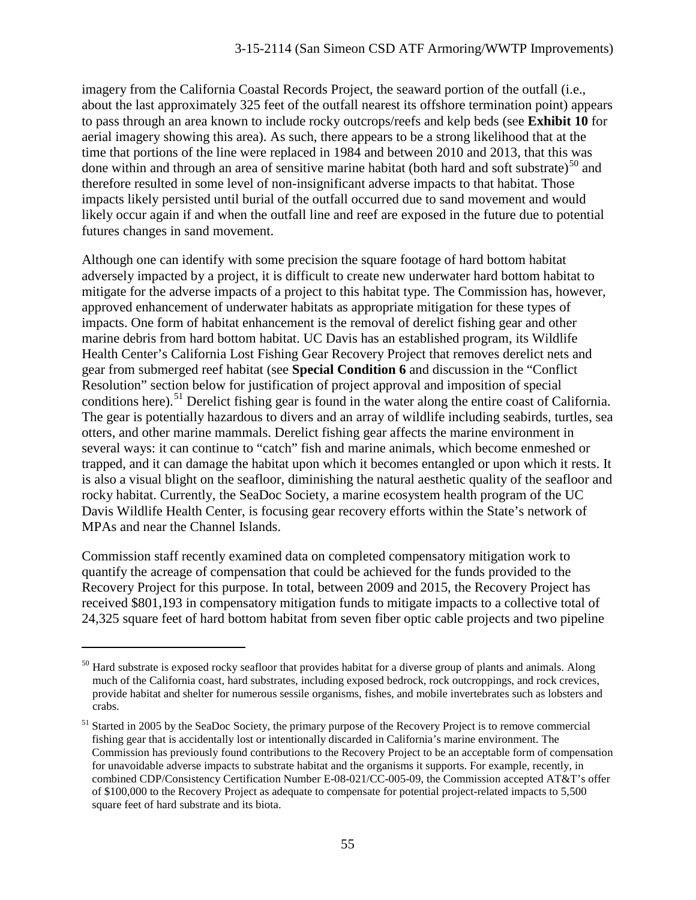imagery from the California Coastal Records Project, the seaward portion of the outfall (i.e., about the last approximately 325 feet of the outfall nearest its offshore termination point) appears to pass through an area known to include rocky outcrops/reefs and kelp beds (see **Exhibit 10** for aerial imagery showing this area). As such, there appears to be a strong likelihood that at the time that portions of the line were replaced in 1984 and between 2010 and 2013, that this was done within and through an area of sensitive marine habitat (both hard and soft substrate) $^{50}$  $^{50}$  $^{50}$  and therefore resulted in some level of non-insignificant adverse impacts to that habitat. Those impacts likely persisted until burial of the outfall occurred due to sand movement and would likely occur again if and when the outfall line and reef are exposed in the future due to potential futures changes in sand movement.

Although one can identify with some precision the square footage of hard bottom habitat adversely impacted by a project, it is difficult to create new underwater hard bottom habitat to mitigate for the adverse impacts of a project to this habitat type. The Commission has, however, approved enhancement of underwater habitats as appropriate mitigation for these types of impacts. One form of habitat enhancement is the removal of derelict fishing gear and other marine debris from hard bottom habitat. UC Davis has an established program, its Wildlife Health Center's California Lost Fishing Gear Recovery Project that removes derelict nets and gear from submerged reef habitat (see **Special Condition 6** and discussion in the "Conflict Resolution" section below for justification of project approval and imposition of special conditions here).<sup>[51](#page-54-1)</sup> Derelict fishing gear is found in the water along the entire coast of California. The gear is potentially hazardous to divers and an array of wildlife including seabirds, turtles, sea otters, and other marine mammals. Derelict fishing gear affects the marine environment in several ways: it can continue to "catch" fish and marine animals, which become enmeshed or trapped, and it can damage the habitat upon which it becomes entangled or upon which it rests. It is also a visual blight on the seafloor, diminishing the natural aesthetic quality of the seafloor and rocky habitat. Currently, the SeaDoc Society, a marine ecosystem health program of the UC Davis Wildlife Health Center, is focusing gear recovery efforts within the State's network of MPAs and near the Channel Islands.

Commission staff recently examined data on completed compensatory mitigation work to quantify the acreage of compensation that could be achieved for the funds provided to the Recovery Project for this purpose. In total, between 2009 and 2015, the Recovery Project has received \$801,193 in compensatory mitigation funds to mitigate impacts to a collective total of 24,325 square feet of hard bottom habitat from seven fiber optic cable projects and two pipeline

<span id="page-54-0"></span><sup>&</sup>lt;sup>50</sup> Hard substrate is exposed rocky seafloor that provides habitat for a diverse group of plants and animals. Along much of the California coast, hard substrates, including exposed bedrock, rock outcroppings, and rock crevices, provide habitat and shelter for numerous sessile organisms, fishes, and mobile invertebrates such as lobsters and crabs.

<span id="page-54-1"></span><sup>&</sup>lt;sup>51</sup> Started in 2005 by the SeaDoc Society, the primary purpose of the Recovery Project is to remove commercial fishing gear that is accidentally lost or intentionally discarded in California's marine environment. The Commission has previously found contributions to the Recovery Project to be an acceptable form of compensation for unavoidable adverse impacts to substrate habitat and the organisms it supports. For example, recently, in combined CDP/Consistency Certification Number E-08-021/CC-005-09, the Commission accepted AT&T's offer of \$100,000 to the Recovery Project as adequate to compensate for potential project-related impacts to 5,500 square feet of hard substrate and its biota.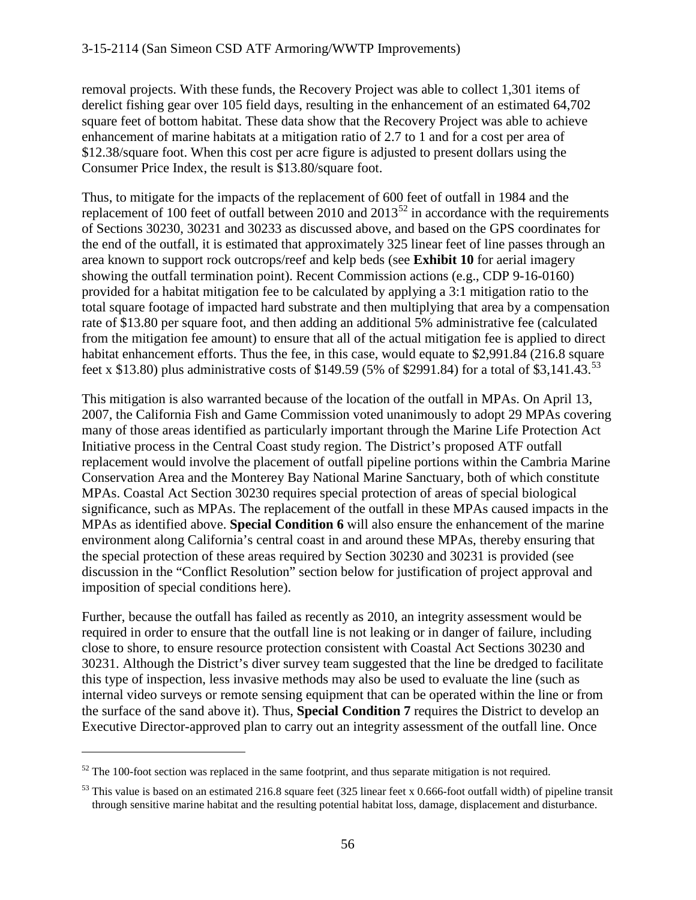removal projects. With these funds, the Recovery Project was able to collect 1,301 items of derelict fishing gear over 105 field days, resulting in the enhancement of an estimated 64,702 square feet of bottom habitat. These data show that the Recovery Project was able to achieve enhancement of marine habitats at a mitigation ratio of 2.7 to 1 and for a cost per area of \$12.38/square foot. When this cost per acre figure is adjusted to present dollars using the Consumer Price Index, the result is \$13.80/square foot.

Thus, to mitigate for the impacts of the replacement of 600 feet of outfall in 1984 and the replacement of 100 feet of outfall between 2010 and  $2013^{52}$  $2013^{52}$  $2013^{52}$  in accordance with the requirements of Sections 30230, 30231 and 30233 as discussed above, and based on the GPS coordinates for the end of the outfall, it is estimated that approximately 325 linear feet of line passes through an area known to support rock outcrops/reef and kelp beds (see **Exhibit 10** for aerial imagery showing the outfall termination point). Recent Commission actions (e.g., CDP 9-16-0160) provided for a habitat mitigation fee to be calculated by applying a 3:1 mitigation ratio to the total square footage of impacted hard substrate and then multiplying that area by a compensation rate of \$13.80 per square foot, and then adding an additional 5% administrative fee (calculated from the mitigation fee amount) to ensure that all of the actual mitigation fee is applied to direct habitat enhancement efforts. Thus the fee, in this case, would equate to \$2,991.84 (216.8 square feet x \$13.80) plus administrative costs of \$149.59 (5% of \$2991.84) for a total of \$3,141.43.<sup>[53](#page-55-1)</sup>

This mitigation is also warranted because of the location of the outfall in MPAs. On April 13, 2007, the California Fish and Game Commission voted unanimously to adopt 29 MPAs covering many of those areas identified as particularly important through the Marine Life Protection Act Initiative process in the Central Coast study region. The District's proposed ATF outfall replacement would involve the placement of outfall pipeline portions within the Cambria Marine Conservation Area and the Monterey Bay National Marine Sanctuary, both of which constitute MPAs. Coastal Act Section 30230 requires special protection of areas of special biological significance, such as MPAs. The replacement of the outfall in these MPAs caused impacts in the MPAs as identified above. **Special Condition 6** will also ensure the enhancement of the marine environment along California's central coast in and around these MPAs, thereby ensuring that the special protection of these areas required by Section 30230 and 30231 is provided (see discussion in the "Conflict Resolution" section below for justification of project approval and imposition of special conditions here).

Further, because the outfall has failed as recently as 2010, an integrity assessment would be required in order to ensure that the outfall line is not leaking or in danger of failure, including close to shore, to ensure resource protection consistent with Coastal Act Sections 30230 and 30231. Although the District's diver survey team suggested that the line be dredged to facilitate this type of inspection, less invasive methods may also be used to evaluate the line (such as internal video surveys or remote sensing equipment that can be operated within the line or from the surface of the sand above it). Thus, **Special Condition 7** requires the District to develop an Executive Director-approved plan to carry out an integrity assessment of the outfall line. Once

<span id="page-55-0"></span> $52$  The 100-foot section was replaced in the same footprint, and thus separate mitigation is not required.

<span id="page-55-1"></span> $53$  This value is based on an estimated 216.8 square feet (325 linear feet x 0.666-foot outfall width) of pipeline transit through sensitive marine habitat and the resulting potential habitat loss, damage, displacement and disturbance.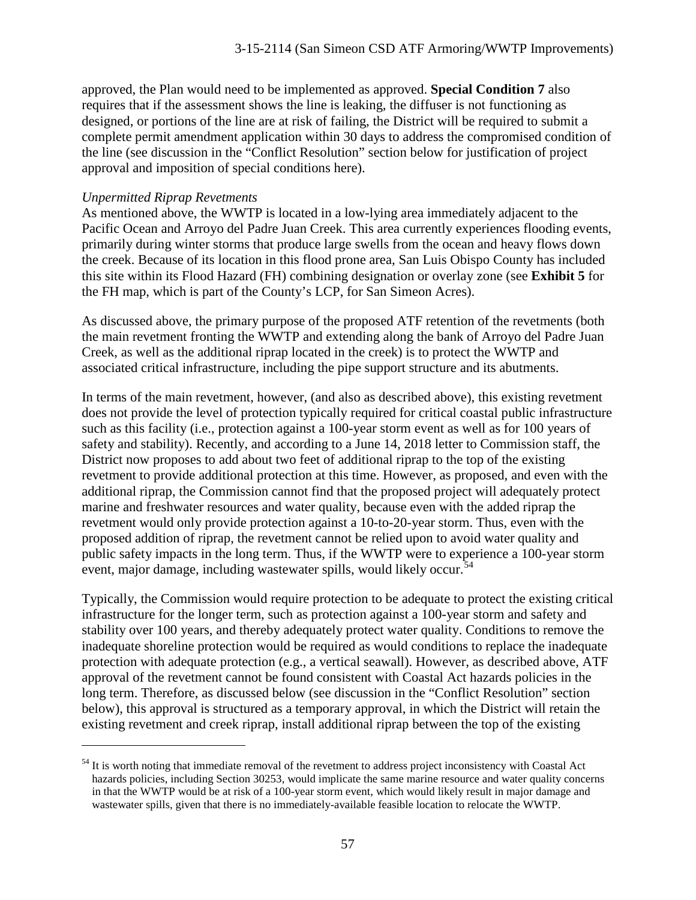approved, the Plan would need to be implemented as approved. **Special Condition 7** also requires that if the assessment shows the line is leaking, the diffuser is not functioning as designed, or portions of the line are at risk of failing, the District will be required to submit a complete permit amendment application within 30 days to address the compromised condition of the line (see discussion in the "Conflict Resolution" section below for justification of project approval and imposition of special conditions here).

#### *Unpermitted Riprap Revetments*

 $\overline{a}$ 

As mentioned above, the WWTP is located in a low-lying area immediately adjacent to the Pacific Ocean and Arroyo del Padre Juan Creek. This area currently experiences flooding events, primarily during winter storms that produce large swells from the ocean and heavy flows down the creek. Because of its location in this flood prone area, San Luis Obispo County has included this site within its Flood Hazard (FH) combining designation or overlay zone (see **Exhibit 5** for the FH map, which is part of the County's LCP, for San Simeon Acres).

As discussed above, the primary purpose of the proposed ATF retention of the revetments (both the main revetment fronting the WWTP and extending along the bank of Arroyo del Padre Juan Creek, as well as the additional riprap located in the creek) is to protect the WWTP and associated critical infrastructure, including the pipe support structure and its abutments.

In terms of the main revetment, however, (and also as described above), this existing revetment does not provide the level of protection typically required for critical coastal public infrastructure such as this facility (i.e., protection against a 100-year storm event as well as for 100 years of safety and stability). Recently, and according to a June 14, 2018 letter to Commission staff, the District now proposes to add about two feet of additional riprap to the top of the existing revetment to provide additional protection at this time. However, as proposed, and even with the additional riprap, the Commission cannot find that the proposed project will adequately protect marine and freshwater resources and water quality, because even with the added riprap the revetment would only provide protection against a 10-to-20-year storm. Thus, even with the proposed addition of riprap, the revetment cannot be relied upon to avoid water quality and public safety impacts in the long term. Thus, if the WWTP were to experience a 100-year storm event, major damage, including wastewater spills, would likely occur.<sup>[54](#page-56-0)</sup>

Typically, the Commission would require protection to be adequate to protect the existing critical infrastructure for the longer term, such as protection against a 100-year storm and safety and stability over 100 years, and thereby adequately protect water quality. Conditions to remove the inadequate shoreline protection would be required as would conditions to replace the inadequate protection with adequate protection (e.g., a vertical seawall). However, as described above, ATF approval of the revetment cannot be found consistent with Coastal Act hazards policies in the long term. Therefore, as discussed below (see discussion in the "Conflict Resolution" section below), this approval is structured as a temporary approval, in which the District will retain the existing revetment and creek riprap, install additional riprap between the top of the existing

<span id="page-56-0"></span><sup>&</sup>lt;sup>54</sup> It is worth noting that immediate removal of the revetment to address project inconsistency with Coastal Act hazards policies, including Section 30253, would implicate the same marine resource and water quality concerns in that the WWTP would be at risk of a 100-year storm event, which would likely result in major damage and wastewater spills, given that there is no immediately-available feasible location to relocate the WWTP.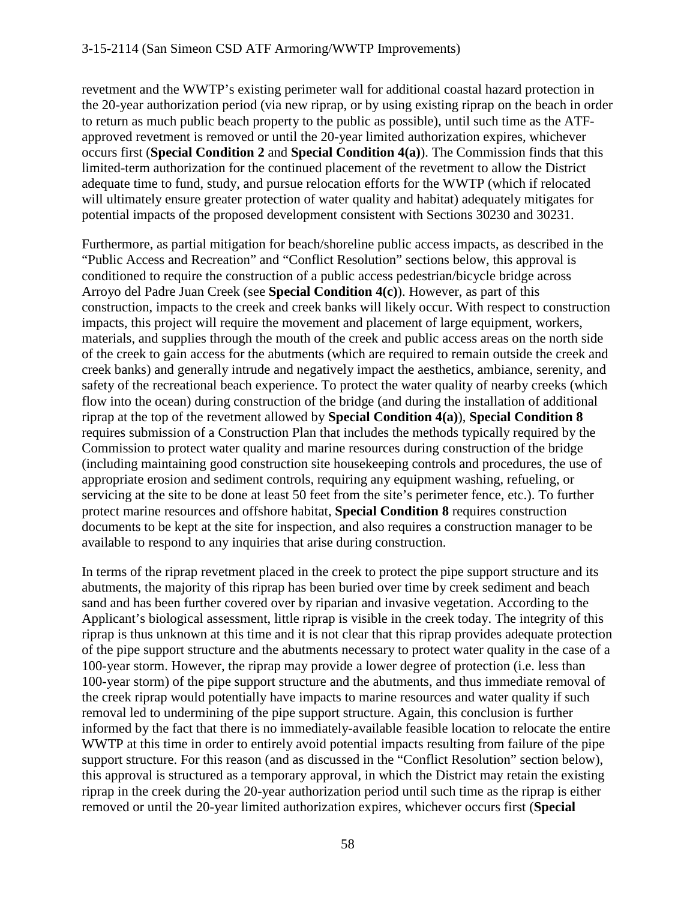revetment and the WWTP's existing perimeter wall for additional coastal hazard protection in the 20-year authorization period (via new riprap, or by using existing riprap on the beach in order to return as much public beach property to the public as possible), until such time as the ATFapproved revetment is removed or until the 20-year limited authorization expires, whichever occurs first (**Special Condition 2** and **Special Condition 4(a)**). The Commission finds that this limited-term authorization for the continued placement of the revetment to allow the District adequate time to fund, study, and pursue relocation efforts for the WWTP (which if relocated will ultimately ensure greater protection of water quality and habitat) adequately mitigates for potential impacts of the proposed development consistent with Sections 30230 and 30231.

Furthermore, as partial mitigation for beach/shoreline public access impacts, as described in the "Public Access and Recreation" and "Conflict Resolution" sections below, this approval is conditioned to require the construction of a public access pedestrian/bicycle bridge across Arroyo del Padre Juan Creek (see **Special Condition 4(c)**). However, as part of this construction, impacts to the creek and creek banks will likely occur. With respect to construction impacts, this project will require the movement and placement of large equipment, workers, materials, and supplies through the mouth of the creek and public access areas on the north side of the creek to gain access for the abutments (which are required to remain outside the creek and creek banks) and generally intrude and negatively impact the aesthetics, ambiance, serenity, and safety of the recreational beach experience. To protect the water quality of nearby creeks (which flow into the ocean) during construction of the bridge (and during the installation of additional riprap at the top of the revetment allowed by **Special Condition 4(a)**), **Special Condition 8** requires submission of a Construction Plan that includes the methods typically required by the Commission to protect water quality and marine resources during construction of the bridge (including maintaining good construction site housekeeping controls and procedures, the use of appropriate erosion and sediment controls, requiring any equipment washing, refueling, or servicing at the site to be done at least 50 feet from the site's perimeter fence, etc.). To further protect marine resources and offshore habitat, **Special Condition 8** requires construction documents to be kept at the site for inspection, and also requires a construction manager to be available to respond to any inquiries that arise during construction.

In terms of the riprap revetment placed in the creek to protect the pipe support structure and its abutments, the majority of this riprap has been buried over time by creek sediment and beach sand and has been further covered over by riparian and invasive vegetation. According to the Applicant's biological assessment, little riprap is visible in the creek today. The integrity of this riprap is thus unknown at this time and it is not clear that this riprap provides adequate protection of the pipe support structure and the abutments necessary to protect water quality in the case of a 100-year storm. However, the riprap may provide a lower degree of protection (i.e. less than 100-year storm) of the pipe support structure and the abutments, and thus immediate removal of the creek riprap would potentially have impacts to marine resources and water quality if such removal led to undermining of the pipe support structure. Again, this conclusion is further informed by the fact that there is no immediately-available feasible location to relocate the entire WWTP at this time in order to entirely avoid potential impacts resulting from failure of the pipe support structure. For this reason (and as discussed in the "Conflict Resolution" section below), this approval is structured as a temporary approval, in which the District may retain the existing riprap in the creek during the 20-year authorization period until such time as the riprap is either removed or until the 20-year limited authorization expires, whichever occurs first (**Special**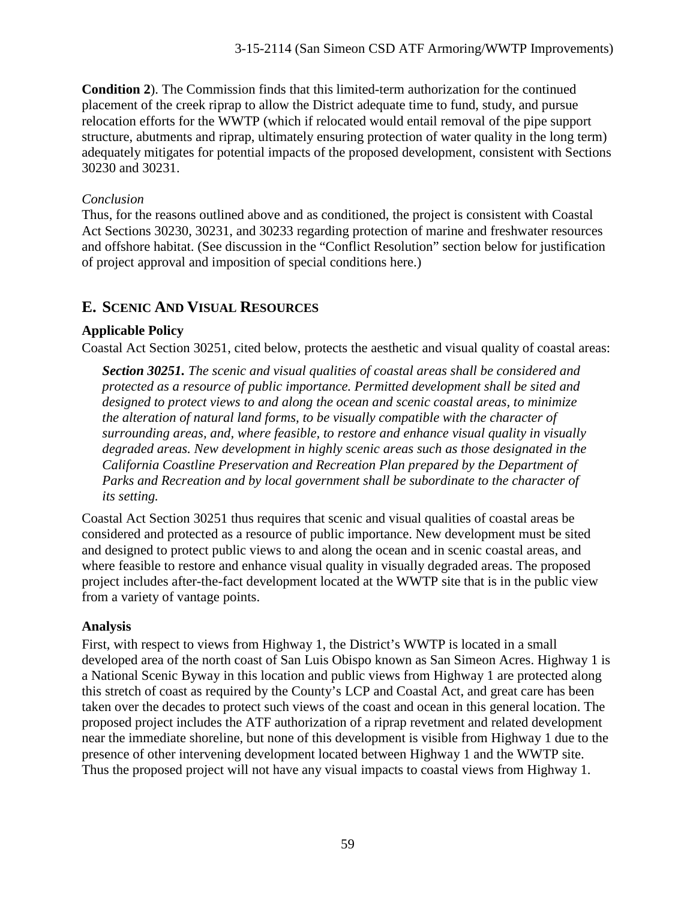**Condition 2**). The Commission finds that this limited-term authorization for the continued placement of the creek riprap to allow the District adequate time to fund, study, and pursue relocation efforts for the WWTP (which if relocated would entail removal of the pipe support structure, abutments and riprap, ultimately ensuring protection of water quality in the long term) adequately mitigates for potential impacts of the proposed development, consistent with Sections 30230 and 30231.

# *Conclusion*

Thus, for the reasons outlined above and as conditioned, the project is consistent with Coastal Act Sections 30230, 30231, and 30233 regarding protection of marine and freshwater resources and offshore habitat. (See discussion in the "Conflict Resolution" section below for justification of project approval and imposition of special conditions here.)

# **E. SCENIC AND VISUAL RESOURCES**

# **Applicable Policy**

Coastal Act Section 30251, cited below, protects the aesthetic and visual quality of coastal areas:

*Section 30251. The scenic and visual qualities of coastal areas shall be considered and protected as a resource of public importance. Permitted development shall be sited and designed to protect views to and along the ocean and scenic coastal areas, to minimize the alteration of natural land forms, to be visually compatible with the character of surrounding areas, and, where feasible, to restore and enhance visual quality in visually degraded areas. New development in highly scenic areas such as those designated in the California Coastline Preservation and Recreation Plan prepared by the Department of*  Parks and Recreation and by local government shall be subordinate to the character of *its setting.*

Coastal Act Section 30251 thus requires that scenic and visual qualities of coastal areas be considered and protected as a resource of public importance. New development must be sited and designed to protect public views to and along the ocean and in scenic coastal areas, and where feasible to restore and enhance visual quality in visually degraded areas. The proposed project includes after-the-fact development located at the WWTP site that is in the public view from a variety of vantage points.

# **Analysis**

First, with respect to views from Highway 1, the District's WWTP is located in a small developed area of the north coast of San Luis Obispo known as San Simeon Acres. Highway 1 is a National Scenic Byway in this location and public views from Highway 1 are protected along this stretch of coast as required by the County's LCP and Coastal Act, and great care has been taken over the decades to protect such views of the coast and ocean in this general location. The proposed project includes the ATF authorization of a riprap revetment and related development near the immediate shoreline, but none of this development is visible from Highway 1 due to the presence of other intervening development located between Highway 1 and the WWTP site. Thus the proposed project will not have any visual impacts to coastal views from Highway 1.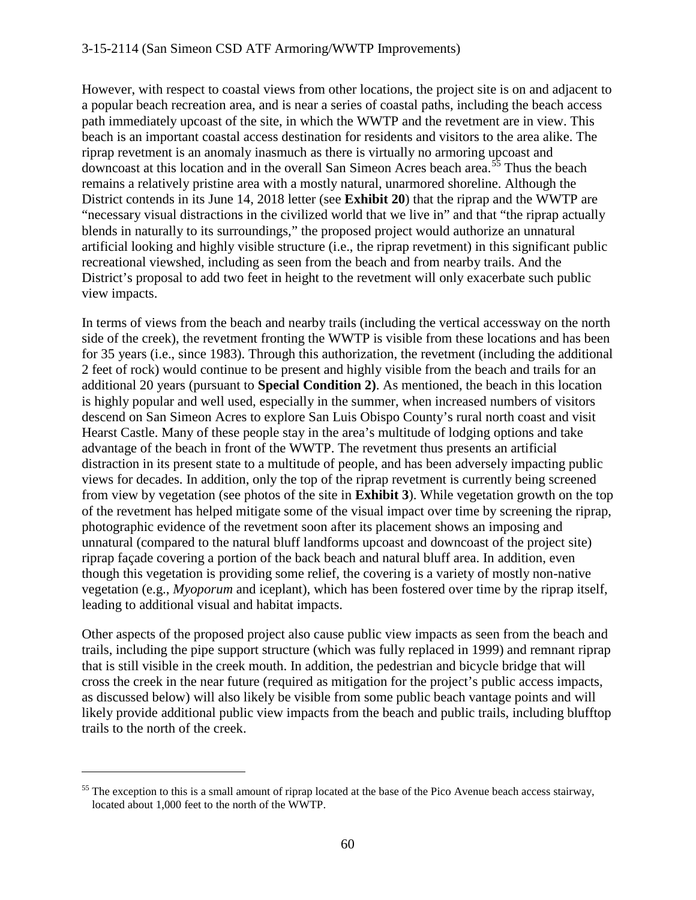#### 3-15-2114 (San Simeon CSD ATF Armoring/WWTP Improvements)

However, with respect to coastal views from other locations, the project site is on and adjacent to a popular beach recreation area, and is near a series of coastal paths, including the beach access path immediately upcoast of the site, in which the WWTP and the revetment are in view. This beach is an important coastal access destination for residents and visitors to the area alike. The riprap revetment is an anomaly inasmuch as there is virtually no armoring upcoast and downcoast at this location and in the overall San Simeon Acres beach area.<sup>[55](#page-59-0)</sup> Thus the beach remains a relatively pristine area with a mostly natural, unarmored shoreline. Although the District contends in its June 14, 2018 letter (see **Exhibit 20**) that the riprap and the WWTP are "necessary visual distractions in the civilized world that we live in" and that "the riprap actually blends in naturally to its surroundings," the proposed project would authorize an unnatural artificial looking and highly visible structure (i.e., the riprap revetment) in this significant public recreational viewshed, including as seen from the beach and from nearby trails. And the District's proposal to add two feet in height to the revetment will only exacerbate such public view impacts.

In terms of views from the beach and nearby trails (including the vertical accessway on the north side of the creek), the revetment fronting the WWTP is visible from these locations and has been for 35 years (i.e., since 1983). Through this authorization, the revetment (including the additional 2 feet of rock) would continue to be present and highly visible from the beach and trails for an additional 20 years (pursuant to **Special Condition 2)**. As mentioned, the beach in this location is highly popular and well used, especially in the summer, when increased numbers of visitors descend on San Simeon Acres to explore San Luis Obispo County's rural north coast and visit Hearst Castle. Many of these people stay in the area's multitude of lodging options and take advantage of the beach in front of the WWTP. The revetment thus presents an artificial distraction in its present state to a multitude of people, and has been adversely impacting public views for decades. In addition, only the top of the riprap revetment is currently being screened from view by vegetation (see photos of the site in **Exhibit 3**). While vegetation growth on the top of the revetment has helped mitigate some of the visual impact over time by screening the riprap, photographic evidence of the revetment soon after its placement shows an imposing and unnatural (compared to the natural bluff landforms upcoast and downcoast of the project site) riprap façade covering a portion of the back beach and natural bluff area. In addition, even though this vegetation is providing some relief, the covering is a variety of mostly non-native vegetation (e.g., *Myoporum* and iceplant), which has been fostered over time by the riprap itself, leading to additional visual and habitat impacts.

Other aspects of the proposed project also cause public view impacts as seen from the beach and trails, including the pipe support structure (which was fully replaced in 1999) and remnant riprap that is still visible in the creek mouth. In addition, the pedestrian and bicycle bridge that will cross the creek in the near future (required as mitigation for the project's public access impacts, as discussed below) will also likely be visible from some public beach vantage points and will likely provide additional public view impacts from the beach and public trails, including blufftop trails to the north of the creek.

<span id="page-59-0"></span> $55$  The exception to this is a small amount of riprap located at the base of the Pico Avenue beach access stairway, located about 1,000 feet to the north of the WWTP.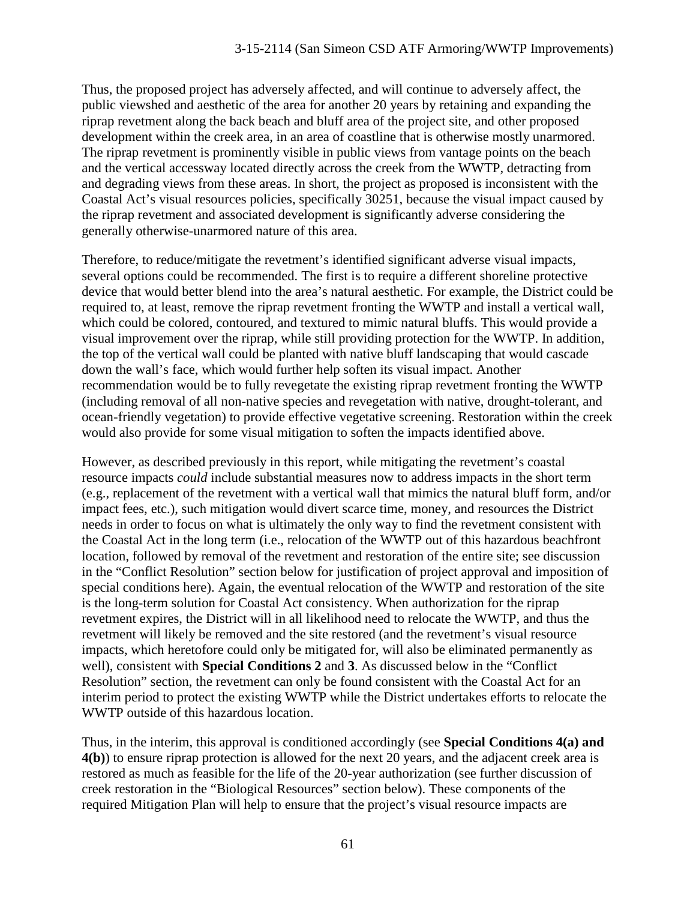Thus, the proposed project has adversely affected, and will continue to adversely affect, the public viewshed and aesthetic of the area for another 20 years by retaining and expanding the riprap revetment along the back beach and bluff area of the project site, and other proposed development within the creek area, in an area of coastline that is otherwise mostly unarmored. The riprap revetment is prominently visible in public views from vantage points on the beach and the vertical accessway located directly across the creek from the WWTP, detracting from and degrading views from these areas. In short, the project as proposed is inconsistent with the Coastal Act's visual resources policies, specifically 30251, because the visual impact caused by the riprap revetment and associated development is significantly adverse considering the generally otherwise-unarmored nature of this area.

Therefore, to reduce/mitigate the revetment's identified significant adverse visual impacts, several options could be recommended. The first is to require a different shoreline protective device that would better blend into the area's natural aesthetic. For example, the District could be required to, at least, remove the riprap revetment fronting the WWTP and install a vertical wall, which could be colored, contoured, and textured to mimic natural bluffs. This would provide a visual improvement over the riprap, while still providing protection for the WWTP. In addition, the top of the vertical wall could be planted with native bluff landscaping that would cascade down the wall's face, which would further help soften its visual impact. Another recommendation would be to fully revegetate the existing riprap revetment fronting the WWTP (including removal of all non-native species and revegetation with native, drought-tolerant, and ocean-friendly vegetation) to provide effective vegetative screening. Restoration within the creek would also provide for some visual mitigation to soften the impacts identified above.

However, as described previously in this report, while mitigating the revetment's coastal resource impacts *could* include substantial measures now to address impacts in the short term (e.g., replacement of the revetment with a vertical wall that mimics the natural bluff form, and/or impact fees, etc.), such mitigation would divert scarce time, money, and resources the District needs in order to focus on what is ultimately the only way to find the revetment consistent with the Coastal Act in the long term (i.e., relocation of the WWTP out of this hazardous beachfront location, followed by removal of the revetment and restoration of the entire site; see discussion in the "Conflict Resolution" section below for justification of project approval and imposition of special conditions here). Again, the eventual relocation of the WWTP and restoration of the site is the long-term solution for Coastal Act consistency. When authorization for the riprap revetment expires, the District will in all likelihood need to relocate the WWTP, and thus the revetment will likely be removed and the site restored (and the revetment's visual resource impacts, which heretofore could only be mitigated for, will also be eliminated permanently as well), consistent with **Special Conditions 2** and **3**. As discussed below in the "Conflict Resolution" section, the revetment can only be found consistent with the Coastal Act for an interim period to protect the existing WWTP while the District undertakes efforts to relocate the WWTP outside of this hazardous location.

Thus, in the interim, this approval is conditioned accordingly (see **Special Conditions 4(a) and 4(b)**) to ensure riprap protection is allowed for the next 20 years, and the adjacent creek area is restored as much as feasible for the life of the 20-year authorization (see further discussion of creek restoration in the "Biological Resources" section below). These components of the required Mitigation Plan will help to ensure that the project's visual resource impacts are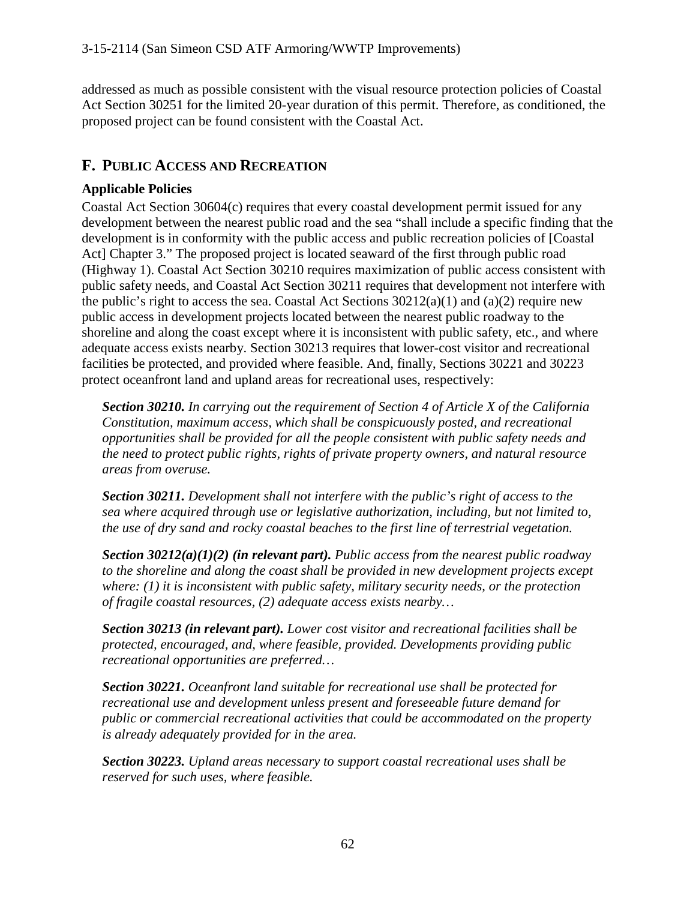addressed as much as possible consistent with the visual resource protection policies of Coastal Act Section 30251 for the limited 20-year duration of this permit. Therefore, as conditioned, the proposed project can be found consistent with the Coastal Act.

# **F. PUBLIC ACCESS AND RECREATION**

# **Applicable Policies**

Coastal Act Section 30604(c) requires that every coastal development permit issued for any development between the nearest public road and the sea "shall include a specific finding that the development is in conformity with the public access and public recreation policies of [Coastal Act] Chapter 3." The proposed project is located seaward of the first through public road (Highway 1). Coastal Act Section 30210 requires maximization of public access consistent with public safety needs, and Coastal Act Section 30211 requires that development not interfere with the public's right to access the sea. Coastal Act Sections  $30212(a)(1)$  and  $(a)(2)$  require new public access in development projects located between the nearest public roadway to the shoreline and along the coast except where it is inconsistent with public safety, etc., and where adequate access exists nearby. Section 30213 requires that lower-cost visitor and recreational facilities be protected, and provided where feasible. And, finally, Sections 30221 and 30223 protect oceanfront land and upland areas for recreational uses, respectively:

*Section 30210. In carrying out the requirement of Section 4 of Article X of the California Constitution, maximum access, which shall be conspicuously posted, and recreational opportunities shall be provided for all the people consistent with public safety needs and the need to protect public rights, rights of private property owners, and natural resource areas from overuse.*

*Section 30211. Development shall not interfere with the public's right of access to the sea where acquired through use or legislative authorization, including, but not limited to, the use of dry sand and rocky coastal beaches to the first line of terrestrial vegetation.*

*Section 30212(a)(1)(2) (in relevant part). Public access from the nearest public roadway to the shoreline and along the coast shall be provided in new development projects except where: (1) it is inconsistent with public safety, military security needs, or the protection of fragile coastal resources, (2) adequate access exists nearby…* 

*Section 30213 (in relevant part). Lower cost visitor and recreational facilities shall be protected, encouraged, and, where feasible, provided. Developments providing public recreational opportunities are preferred…*

*Section 30221. Oceanfront land suitable for recreational use shall be protected for recreational use and development unless present and foreseeable future demand for public or commercial recreational activities that could be accommodated on the property is already adequately provided for in the area.*

*Section 30223. Upland areas necessary to support coastal recreational uses shall be reserved for such uses, where feasible.*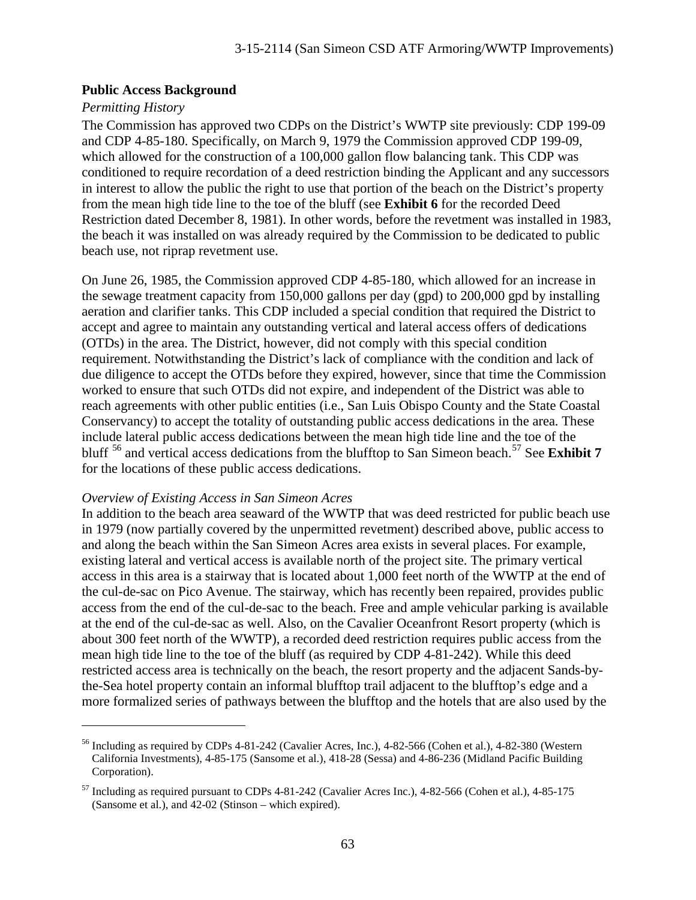#### **Public Access Background**

#### *Permitting History*

 $\overline{a}$ 

The Commission has approved two CDPs on the District's WWTP site previously: CDP 199-09 and CDP 4-85-180. Specifically, on March 9, 1979 the Commission approved CDP 199-09, which allowed for the construction of a 100,000 gallon flow balancing tank. This CDP was conditioned to require recordation of a deed restriction binding the Applicant and any successors in interest to allow the public the right to use that portion of the beach on the District's property from the mean high tide line to the toe of the bluff (see **Exhibit 6** for the recorded Deed Restriction dated December 8, 1981). In other words, before the revetment was installed in 1983, the beach it was installed on was already required by the Commission to be dedicated to public beach use, not riprap revetment use.

On June 26, 1985, the Commission approved CDP 4-85-180, which allowed for an increase in the sewage treatment capacity from 150,000 gallons per day (gpd) to 200,000 gpd by installing aeration and clarifier tanks. This CDP included a special condition that required the District to accept and agree to maintain any outstanding vertical and lateral access offers of dedications (OTDs) in the area. The District, however, did not comply with this special condition requirement. Notwithstanding the District's lack of compliance with the condition and lack of due diligence to accept the OTDs before they expired, however, since that time the Commission worked to ensure that such OTDs did not expire, and independent of the District was able to reach agreements with other public entities (i.e., San Luis Obispo County and the State Coastal Conservancy) to accept the totality of outstanding public access dedications in the area. These include lateral public access dedications between the mean high tide line and the toe of the bluff<sup>[56](#page-62-0)</sup> and vertical access dedications from the blufftop to San Simeon beach.<sup>[57](#page-62-1)</sup> See **Exhibit 7** for the locations of these public access dedications.

#### *Overview of Existing Access in San Simeon Acres*

In addition to the beach area seaward of the WWTP that was deed restricted for public beach use in 1979 (now partially covered by the unpermitted revetment) described above, public access to and along the beach within the San Simeon Acres area exists in several places. For example, existing lateral and vertical access is available north of the project site. The primary vertical access in this area is a stairway that is located about 1,000 feet north of the WWTP at the end of the cul-de-sac on Pico Avenue. The stairway, which has recently been repaired, provides public access from the end of the cul-de-sac to the beach. Free and ample vehicular parking is available at the end of the cul-de-sac as well. Also, on the Cavalier Oceanfront Resort property (which is about 300 feet north of the WWTP), a recorded deed restriction requires public access from the mean high tide line to the toe of the bluff (as required by CDP 4-81-242). While this deed restricted access area is technically on the beach, the resort property and the adjacent Sands-bythe-Sea hotel property contain an informal blufftop trail adjacent to the blufftop's edge and a more formalized series of pathways between the blufftop and the hotels that are also used by the

<span id="page-62-0"></span><sup>&</sup>lt;sup>56</sup> Including as required by CDPs 4-81-242 (Cavalier Acres, Inc.), 4-82-566 (Cohen et al.), 4-82-380 (Western California Investments), 4-85-175 (Sansome et al.), 418-28 (Sessa) and 4-86-236 (Midland Pacific Building Corporation).

<span id="page-62-1"></span> $57$  Including as required pursuant to CDPs 4-81-242 (Cavalier Acres Inc.), 4-82-566 (Cohen et al.), 4-85-175 (Sansome et al.), and 42-02 (Stinson – which expired).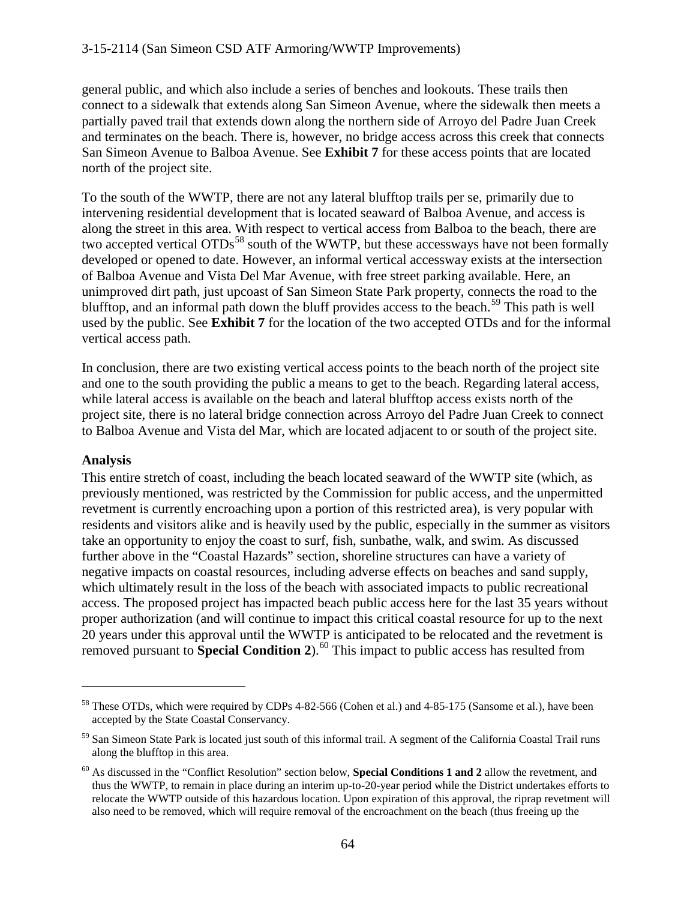general public, and which also include a series of benches and lookouts. These trails then connect to a sidewalk that extends along San Simeon Avenue, where the sidewalk then meets a partially paved trail that extends down along the northern side of Arroyo del Padre Juan Creek and terminates on the beach. There is, however, no bridge access across this creek that connects San Simeon Avenue to Balboa Avenue. See **Exhibit 7** for these access points that are located north of the project site.

To the south of the WWTP, there are not any lateral blufftop trails per se, primarily due to intervening residential development that is located seaward of Balboa Avenue, and access is along the street in this area. With respect to vertical access from Balboa to the beach, there are two accepted vertical OTDs<sup>[58](#page-63-0)</sup> south of the WWTP, but these accessways have not been formally developed or opened to date. However, an informal vertical accessway exists at the intersection of Balboa Avenue and Vista Del Mar Avenue, with free street parking available. Here, an unimproved dirt path, just upcoast of San Simeon State Park property, connects the road to the blufftop, and an informal path down the bluff provides access to the beach.<sup>[59](#page-63-1)</sup> This path is well used by the public. See **Exhibit 7** for the location of the two accepted OTDs and for the informal vertical access path.

In conclusion, there are two existing vertical access points to the beach north of the project site and one to the south providing the public a means to get to the beach. Regarding lateral access, while lateral access is available on the beach and lateral blufftop access exists north of the project site, there is no lateral bridge connection across Arroyo del Padre Juan Creek to connect to Balboa Avenue and Vista del Mar, which are located adjacent to or south of the project site.

## **Analysis**

 $\overline{a}$ 

This entire stretch of coast, including the beach located seaward of the WWTP site (which, as previously mentioned, was restricted by the Commission for public access, and the unpermitted revetment is currently encroaching upon a portion of this restricted area), is very popular with residents and visitors alike and is heavily used by the public, especially in the summer as visitors take an opportunity to enjoy the coast to surf, fish, sunbathe, walk, and swim. As discussed further above in the "Coastal Hazards" section, shoreline structures can have a variety of negative impacts on coastal resources, including adverse effects on beaches and sand supply, which ultimately result in the loss of the beach with associated impacts to public recreational access. The proposed project has impacted beach public access here for the last 35 years without proper authorization (and will continue to impact this critical coastal resource for up to the next 20 years under this approval until the WWTP is anticipated to be relocated and the revetment is removed pursuant to **Special Condition 2**). [60](#page-63-2) This impact to public access has resulted from

<span id="page-63-0"></span><sup>&</sup>lt;sup>58</sup> These OTDs, which were required by CDPs 4-82-566 (Cohen et al.) and 4-85-175 (Sansome et al.), have been accepted by the State Coastal Conservancy.

<span id="page-63-1"></span><sup>&</sup>lt;sup>59</sup> San Simeon State Park is located just south of this informal trail. A segment of the California Coastal Trail runs along the blufftop in this area.

<span id="page-63-2"></span><sup>60</sup> As discussed in the "Conflict Resolution" section below, **Special Conditions 1 and 2** allow the revetment, and thus the WWTP, to remain in place during an interim up-to-20-year period while the District undertakes efforts to relocate the WWTP outside of this hazardous location. Upon expiration of this approval, the riprap revetment will also need to be removed, which will require removal of the encroachment on the beach (thus freeing up the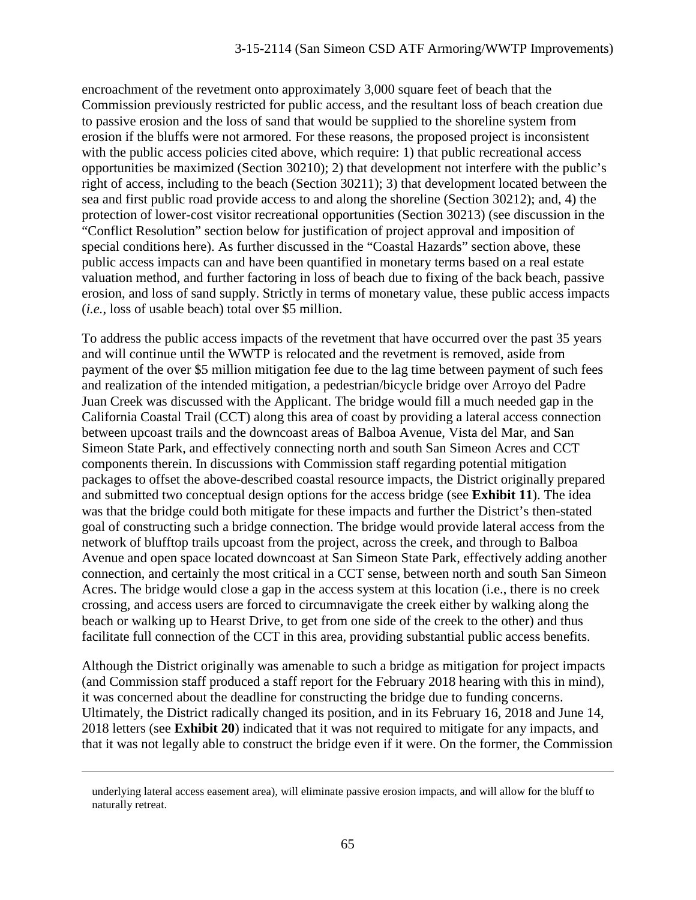encroachment of the revetment onto approximately 3,000 square feet of beach that the Commission previously restricted for public access, and the resultant loss of beach creation due to passive erosion and the loss of sand that would be supplied to the shoreline system from erosion if the bluffs were not armored. For these reasons, the proposed project is inconsistent with the public access policies cited above, which require: 1) that public recreational access opportunities be maximized (Section 30210); 2) that development not interfere with the public's right of access, including to the beach (Section 30211); 3) that development located between the sea and first public road provide access to and along the shoreline (Section 30212); and, 4) the protection of lower-cost visitor recreational opportunities (Section 30213) (see discussion in the "Conflict Resolution" section below for justification of project approval and imposition of special conditions here). As further discussed in the "Coastal Hazards" section above, these public access impacts can and have been quantified in monetary terms based on a real estate valuation method, and further factoring in loss of beach due to fixing of the back beach, passive erosion, and loss of sand supply. Strictly in terms of monetary value, these public access impacts (*i.e.*, loss of usable beach) total over \$5 million.

To address the public access impacts of the revetment that have occurred over the past 35 years and will continue until the WWTP is relocated and the revetment is removed, aside from payment of the over \$5 million mitigation fee due to the lag time between payment of such fees and realization of the intended mitigation, a pedestrian/bicycle bridge over Arroyo del Padre Juan Creek was discussed with the Applicant. The bridge would fill a much needed gap in the California Coastal Trail (CCT) along this area of coast by providing a lateral access connection between upcoast trails and the downcoast areas of Balboa Avenue, Vista del Mar, and San Simeon State Park, and effectively connecting north and south San Simeon Acres and CCT components therein. In discussions with Commission staff regarding potential mitigation packages to offset the above-described coastal resource impacts, the District originally prepared and submitted two conceptual design options for the access bridge (see **Exhibit 11**). The idea was that the bridge could both mitigate for these impacts and further the District's then-stated goal of constructing such a bridge connection. The bridge would provide lateral access from the network of blufftop trails upcoast from the project, across the creek, and through to Balboa Avenue and open space located downcoast at San Simeon State Park, effectively adding another connection, and certainly the most critical in a CCT sense, between north and south San Simeon Acres. The bridge would close a gap in the access system at this location (i.e., there is no creek crossing, and access users are forced to circumnavigate the creek either by walking along the beach or walking up to Hearst Drive, to get from one side of the creek to the other) and thus facilitate full connection of the CCT in this area, providing substantial public access benefits.

Although the District originally was amenable to such a bridge as mitigation for project impacts (and Commission staff produced a staff report for the February 2018 hearing with this in mind), it was concerned about the deadline for constructing the bridge due to funding concerns. Ultimately, the District radically changed its position, and in its February 16, 2018 and June 14, 2018 letters (see **Exhibit 20**) indicated that it was not required to mitigate for any impacts, and that it was not legally able to construct the bridge even if it were. On the former, the Commission

underlying lateral access easement area), will eliminate passive erosion impacts, and will allow for the bluff to naturally retreat.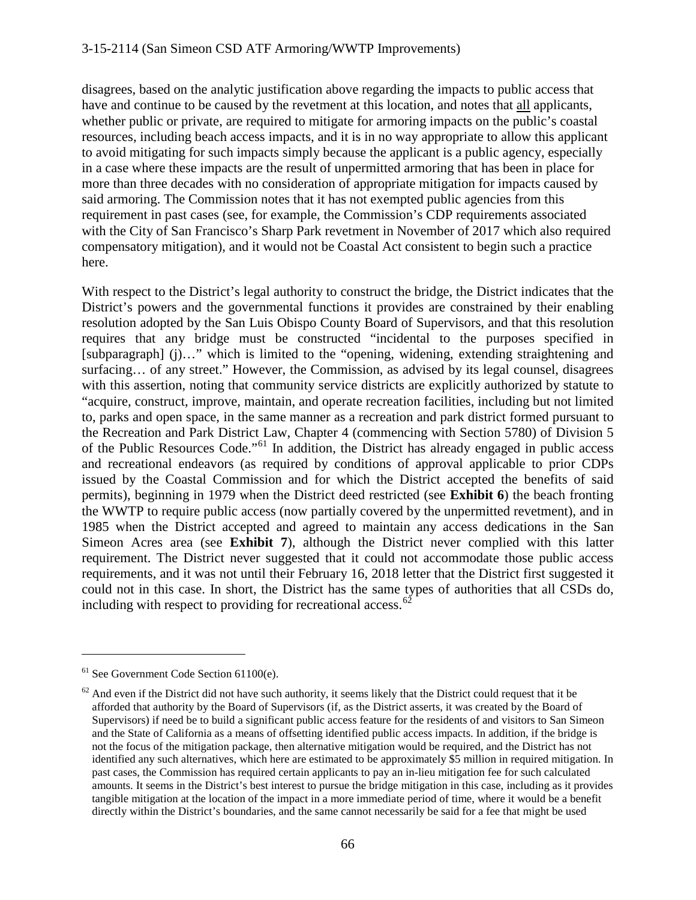disagrees, based on the analytic justification above regarding the impacts to public access that have and continue to be caused by the revetment at this location, and notes that all applicants, whether public or private, are required to mitigate for armoring impacts on the public's coastal resources, including beach access impacts, and it is in no way appropriate to allow this applicant to avoid mitigating for such impacts simply because the applicant is a public agency, especially in a case where these impacts are the result of unpermitted armoring that has been in place for more than three decades with no consideration of appropriate mitigation for impacts caused by said armoring. The Commission notes that it has not exempted public agencies from this requirement in past cases (see, for example, the Commission's CDP requirements associated with the City of San Francisco's Sharp Park revetment in November of 2017 which also required compensatory mitigation), and it would not be Coastal Act consistent to begin such a practice here.

With respect to the District's legal authority to construct the bridge, the District indicates that the District's powers and the governmental functions it provides are constrained by their enabling resolution adopted by the San Luis Obispo County Board of Supervisors, and that this resolution requires that any bridge must be constructed "incidental to the purposes specified in [subparagraph] (j)…" which is limited to the "opening, widening, extending straightening and surfacing… of any street." However, the Commission, as advised by its legal counsel, disagrees with this assertion, noting that community service districts are explicitly authorized by statute to "acquire, construct, improve, maintain, and operate recreation facilities, including but not limited to, parks and open space, in the same manner as a recreation and park district formed pursuant to the Recreation and Park District Law, Chapter 4 (commencing with Section 5780) of Division 5 of the Public Resources Code."[61](#page-65-0) In addition, the District has already engaged in public access and recreational endeavors (as required by conditions of approval applicable to prior CDPs issued by the Coastal Commission and for which the District accepted the benefits of said permits), beginning in 1979 when the District deed restricted (see **Exhibit 6**) the beach fronting the WWTP to require public access (now partially covered by the unpermitted revetment), and in 1985 when the District accepted and agreed to maintain any access dedications in the San Simeon Acres area (see **Exhibit 7**), although the District never complied with this latter requirement. The District never suggested that it could not accommodate those public access requirements, and it was not until their February 16, 2018 letter that the District first suggested it could not in this case. In short, the District has the same types of authorities that all CSDs do, including with respect to providing for recreational access.<sup>[62](#page-65-1)</sup>

<span id="page-65-0"></span> $<sup>61</sup>$  See Government Code Section 61100(e).</sup>

<span id="page-65-1"></span> $62$  And even if the District did not have such authority, it seems likely that the District could request that it be afforded that authority by the Board of Supervisors (if, as the District asserts, it was created by the Board of Supervisors) if need be to build a significant public access feature for the residents of and visitors to San Simeon and the State of California as a means of offsetting identified public access impacts. In addition, if the bridge is not the focus of the mitigation package, then alternative mitigation would be required, and the District has not identified any such alternatives, which here are estimated to be approximately \$5 million in required mitigation. In past cases, the Commission has required certain applicants to pay an in-lieu mitigation fee for such calculated amounts. It seems in the District's best interest to pursue the bridge mitigation in this case, including as it provides tangible mitigation at the location of the impact in a more immediate period of time, where it would be a benefit directly within the District's boundaries, and the same cannot necessarily be said for a fee that might be used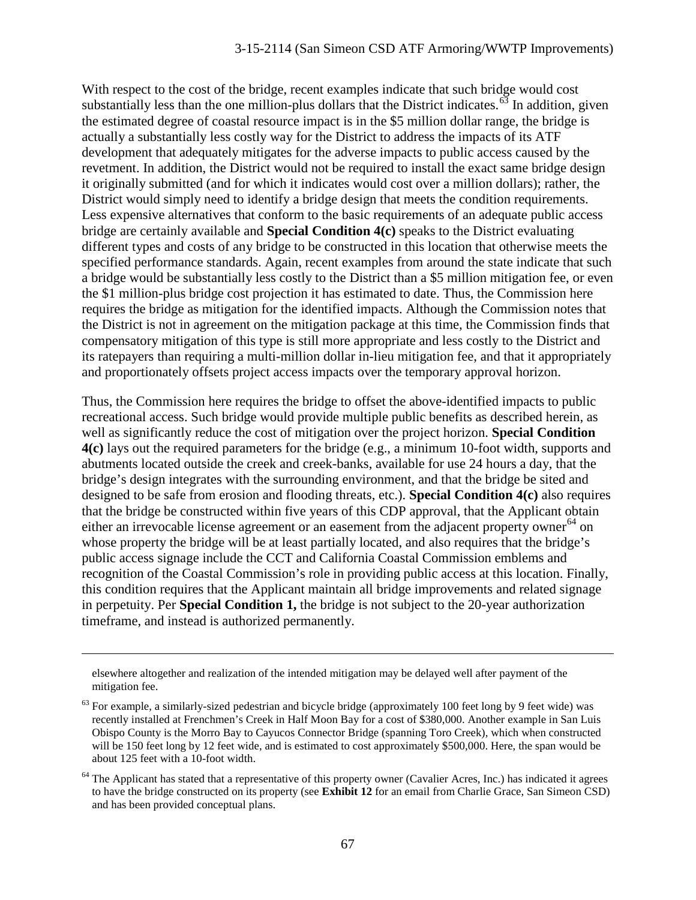With respect to the cost of the bridge, recent examples indicate that such bridge would cost substantially less than the one million-plus dollars that the District indicates.<sup>[63](#page-66-0)</sup> In addition, given the estimated degree of coastal resource impact is in the \$5 million dollar range, the bridge is actually a substantially less costly way for the District to address the impacts of its ATF development that adequately mitigates for the adverse impacts to public access caused by the revetment. In addition, the District would not be required to install the exact same bridge design it originally submitted (and for which it indicates would cost over a million dollars); rather, the District would simply need to identify a bridge design that meets the condition requirements. Less expensive alternatives that conform to the basic requirements of an adequate public access bridge are certainly available and **Special Condition 4(c)** speaks to the District evaluating different types and costs of any bridge to be constructed in this location that otherwise meets the specified performance standards. Again, recent examples from around the state indicate that such a bridge would be substantially less costly to the District than a \$5 million mitigation fee, or even the \$1 million-plus bridge cost projection it has estimated to date. Thus, the Commission here requires the bridge as mitigation for the identified impacts. Although the Commission notes that the District is not in agreement on the mitigation package at this time, the Commission finds that compensatory mitigation of this type is still more appropriate and less costly to the District and its ratepayers than requiring a multi-million dollar in-lieu mitigation fee, and that it appropriately and proportionately offsets project access impacts over the temporary approval horizon.

Thus, the Commission here requires the bridge to offset the above-identified impacts to public recreational access. Such bridge would provide multiple public benefits as described herein, as well as significantly reduce the cost of mitigation over the project horizon. **Special Condition 4(c)** lays out the required parameters for the bridge (e.g., a minimum 10-foot width, supports and abutments located outside the creek and creek-banks, available for use 24 hours a day, that the bridge's design integrates with the surrounding environment, and that the bridge be sited and designed to be safe from erosion and flooding threats, etc.). **Special Condition 4(c)** also requires that the bridge be constructed within five years of this CDP approval, that the Applicant obtain either an irrevocable license agreement or an easement from the adjacent property owner<sup>[64](#page-66-1)</sup> on whose property the bridge will be at least partially located, and also requires that the bridge's public access signage include the CCT and California Coastal Commission emblems and recognition of the Coastal Commission's role in providing public access at this location. Finally, this condition requires that the Applicant maintain all bridge improvements and related signage in perpetuity. Per **Special Condition 1,** the bridge is not subject to the 20-year authorization timeframe, and instead is authorized permanently.

elsewhere altogether and realization of the intended mitigation may be delayed well after payment of the mitigation fee.

<span id="page-66-0"></span> $63$  For example, a similarly-sized pedestrian and bicycle bridge (approximately 100 feet long by 9 feet wide) was recently installed at Frenchmen's Creek in Half Moon Bay for a cost of \$380,000. Another example in San Luis Obispo County is the Morro Bay to Cayucos Connector Bridge (spanning Toro Creek), which when constructed will be 150 feet long by 12 feet wide, and is estimated to cost approximately \$500,000. Here, the span would be about 125 feet with a 10-foot width.

<span id="page-66-1"></span> $64$  The Applicant has stated that a representative of this property owner (Cavalier Acres, Inc.) has indicated it agrees to have the bridge constructed on its property (see **Exhibit 12** for an email from Charlie Grace, San Simeon CSD) and has been provided conceptual plans.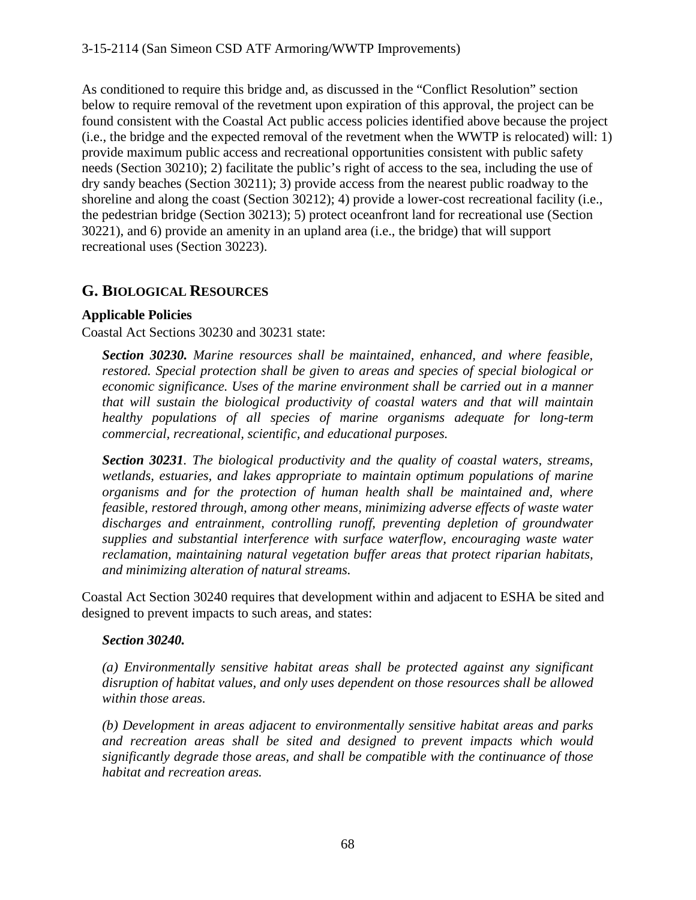As conditioned to require this bridge and, as discussed in the "Conflict Resolution" section below to require removal of the revetment upon expiration of this approval, the project can be found consistent with the Coastal Act public access policies identified above because the project (i.e., the bridge and the expected removal of the revetment when the WWTP is relocated) will: 1) provide maximum public access and recreational opportunities consistent with public safety needs (Section 30210); 2) facilitate the public's right of access to the sea, including the use of dry sandy beaches (Section 30211); 3) provide access from the nearest public roadway to the shoreline and along the coast (Section 30212); 4) provide a lower-cost recreational facility (i.e., the pedestrian bridge (Section 30213); 5) protect oceanfront land for recreational use (Section 30221), and 6) provide an amenity in an upland area (i.e., the bridge) that will support recreational uses (Section 30223).

# **G. BIOLOGICAL RESOURCES**

## **Applicable Policies**

Coastal Act Sections 30230 and 30231 state:

*Section 30230. Marine resources shall be maintained, enhanced, and where feasible, restored. Special protection shall be given to areas and species of special biological or economic significance. Uses of the marine environment shall be carried out in a manner that will sustain the biological productivity of coastal waters and that will maintain healthy populations of all species of marine organisms adequate for long-term commercial, recreational, scientific, and educational purposes.*

*Section 30231. The biological productivity and the quality of coastal waters, streams, wetlands, estuaries, and lakes appropriate to maintain optimum populations of marine organisms and for the protection of human health shall be maintained and, where feasible, restored through, among other means, minimizing adverse effects of waste water*  discharges and entrainment, controlling runoff, preventing depletion of groundwater *supplies and substantial interference with surface waterflow, encouraging waste water reclamation, maintaining natural vegetation buffer areas that protect riparian habitats, and minimizing alteration of natural streams.*

Coastal Act Section 30240 requires that development within and adjacent to ESHA be sited and designed to prevent impacts to such areas, and states:

#### *Section 30240.*

*(a) Environmentally sensitive habitat areas shall be protected against any significant disruption of habitat values, and only uses dependent on those resources shall be allowed within those areas.*

*(b) Development in areas adjacent to environmentally sensitive habitat areas and parks and recreation areas shall be sited and designed to prevent impacts which would significantly degrade those areas, and shall be compatible with the continuance of those habitat and recreation areas.*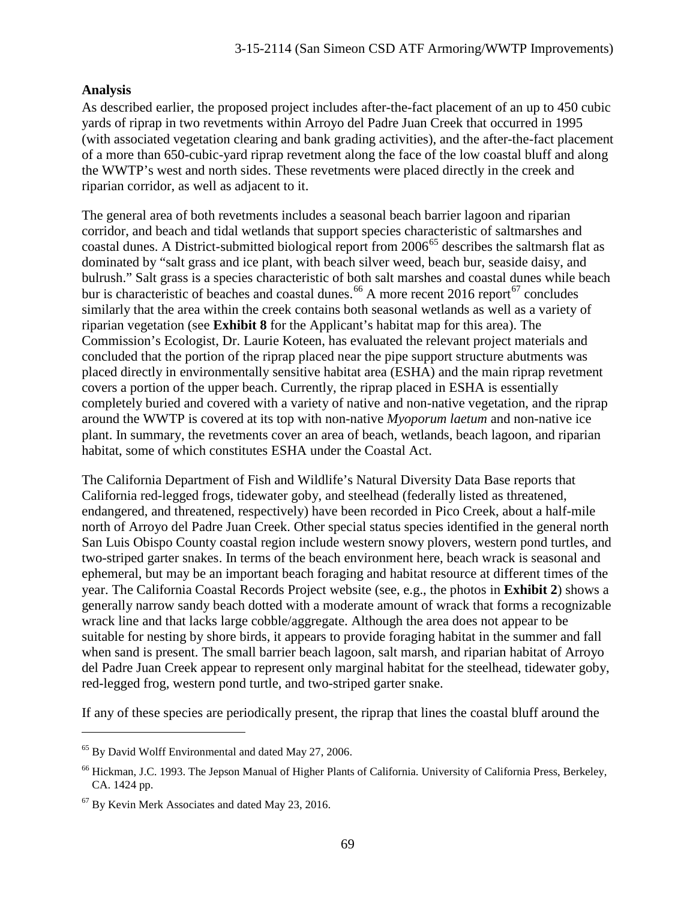#### **Analysis**

As described earlier, the proposed project includes after-the-fact placement of an up to 450 cubic yards of riprap in two revetments within Arroyo del Padre Juan Creek that occurred in 1995 (with associated vegetation clearing and bank grading activities), and the after-the-fact placement of a more than 650-cubic-yard riprap revetment along the face of the low coastal bluff and along the WWTP's west and north sides. These revetments were placed directly in the creek and riparian corridor, as well as adjacent to it.

The general area of both revetments includes a seasonal beach barrier lagoon and riparian corridor, and beach and tidal wetlands that support species characteristic of saltmarshes and coastal dunes. A District-submitted biological report from 2006<sup>[65](#page-68-0)</sup> describes the saltmarsh flat as dominated by "salt grass and ice plant, with beach silver weed, beach bur, seaside daisy, and bulrush." Salt grass is a species characteristic of both salt marshes and coastal dunes while beach bur is characteristic of beaches and coastal dunes.<sup>[66](#page-68-1)</sup> A more recent 2016 report<sup>[67](#page-68-2)</sup> concludes similarly that the area within the creek contains both seasonal wetlands as well as a variety of riparian vegetation (see **Exhibit 8** for the Applicant's habitat map for this area). The Commission's Ecologist, Dr. Laurie Koteen, has evaluated the relevant project materials and concluded that the portion of the riprap placed near the pipe support structure abutments was placed directly in environmentally sensitive habitat area (ESHA) and the main riprap revetment covers a portion of the upper beach. Currently, the riprap placed in ESHA is essentially completely buried and covered with a variety of native and non-native vegetation, and the riprap around the WWTP is covered at its top with non-native *Myoporum laetum* and non-native ice plant. In summary, the revetments cover an area of beach, wetlands, beach lagoon, and riparian habitat, some of which constitutes ESHA under the Coastal Act.

The California Department of Fish and Wildlife's Natural Diversity Data Base reports that California red-legged frogs, tidewater goby, and steelhead (federally listed as threatened, endangered, and threatened, respectively) have been recorded in Pico Creek, about a half-mile north of Arroyo del Padre Juan Creek. Other special status species identified in the general north San Luis Obispo County coastal region include western snowy plovers, western pond turtles, and two-striped garter snakes. In terms of the beach environment here, beach wrack is seasonal and ephemeral, but may be an important beach foraging and habitat resource at different times of the year. The California Coastal Records Project website (see, e.g., the photos in **Exhibit 2**) shows a generally narrow sandy beach dotted with a moderate amount of wrack that forms a recognizable wrack line and that lacks large cobble/aggregate. Although the area does not appear to be suitable for nesting by shore birds, it appears to provide foraging habitat in the summer and fall when sand is present. The small barrier beach lagoon, salt marsh, and riparian habitat of Arroyo del Padre Juan Creek appear to represent only marginal habitat for the steelhead, tidewater goby, red-legged frog, western pond turtle, and two-striped garter snake.

If any of these species are periodically present, the riprap that lines the coastal bluff around the

<span id="page-68-0"></span><sup>65</sup> By David Wolff Environmental and dated May 27, 2006.

<span id="page-68-1"></span><sup>&</sup>lt;sup>66</sup> Hickman, J.C. 1993. The Jepson Manual of Higher Plants of California. University of California Press, Berkeley, CA. 1424 pp.

<span id="page-68-2"></span><sup>67</sup> By Kevin Merk Associates and dated May 23, 2016.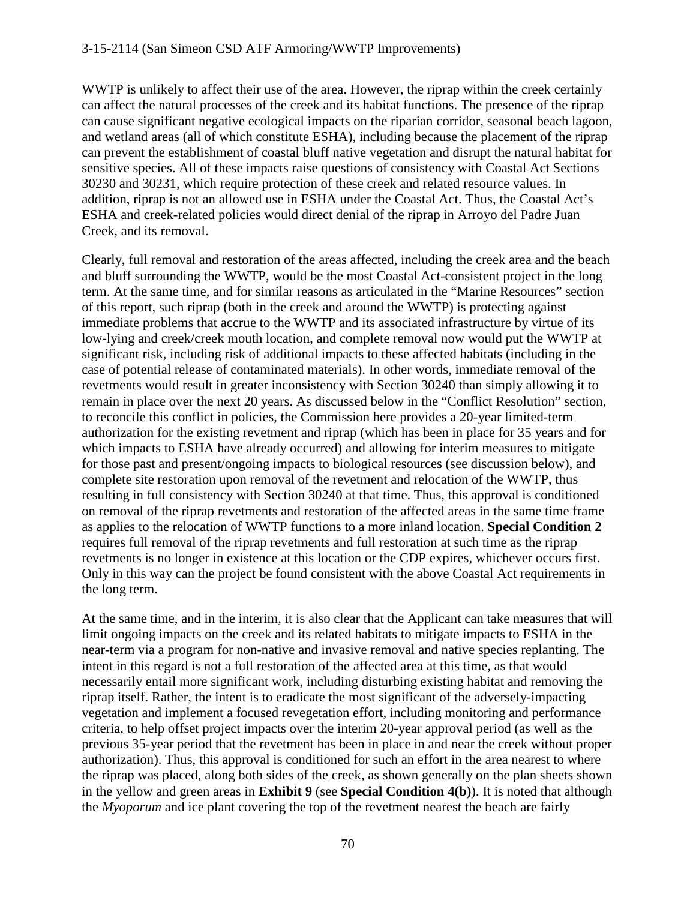WWTP is unlikely to affect their use of the area. However, the riprap within the creek certainly can affect the natural processes of the creek and its habitat functions. The presence of the riprap can cause significant negative ecological impacts on the riparian corridor, seasonal beach lagoon, and wetland areas (all of which constitute ESHA), including because the placement of the riprap can prevent the establishment of coastal bluff native vegetation and disrupt the natural habitat for sensitive species. All of these impacts raise questions of consistency with Coastal Act Sections 30230 and 30231, which require protection of these creek and related resource values. In addition, riprap is not an allowed use in ESHA under the Coastal Act. Thus, the Coastal Act's ESHA and creek-related policies would direct denial of the riprap in Arroyo del Padre Juan Creek, and its removal.

Clearly, full removal and restoration of the areas affected, including the creek area and the beach and bluff surrounding the WWTP, would be the most Coastal Act-consistent project in the long term. At the same time, and for similar reasons as articulated in the "Marine Resources" section of this report, such riprap (both in the creek and around the WWTP) is protecting against immediate problems that accrue to the WWTP and its associated infrastructure by virtue of its low-lying and creek/creek mouth location, and complete removal now would put the WWTP at significant risk, including risk of additional impacts to these affected habitats (including in the case of potential release of contaminated materials). In other words, immediate removal of the revetments would result in greater inconsistency with Section 30240 than simply allowing it to remain in place over the next 20 years. As discussed below in the "Conflict Resolution" section, to reconcile this conflict in policies, the Commission here provides a 20-year limited-term authorization for the existing revetment and riprap (which has been in place for 35 years and for which impacts to ESHA have already occurred) and allowing for interim measures to mitigate for those past and present/ongoing impacts to biological resources (see discussion below), and complete site restoration upon removal of the revetment and relocation of the WWTP, thus resulting in full consistency with Section 30240 at that time. Thus, this approval is conditioned on removal of the riprap revetments and restoration of the affected areas in the same time frame as applies to the relocation of WWTP functions to a more inland location. **Special Condition 2** requires full removal of the riprap revetments and full restoration at such time as the riprap revetments is no longer in existence at this location or the CDP expires, whichever occurs first. Only in this way can the project be found consistent with the above Coastal Act requirements in the long term.

At the same time, and in the interim, it is also clear that the Applicant can take measures that will limit ongoing impacts on the creek and its related habitats to mitigate impacts to ESHA in the near-term via a program for non-native and invasive removal and native species replanting. The intent in this regard is not a full restoration of the affected area at this time, as that would necessarily entail more significant work, including disturbing existing habitat and removing the riprap itself. Rather, the intent is to eradicate the most significant of the adversely-impacting vegetation and implement a focused revegetation effort, including monitoring and performance criteria, to help offset project impacts over the interim 20-year approval period (as well as the previous 35-year period that the revetment has been in place in and near the creek without proper authorization). Thus, this approval is conditioned for such an effort in the area nearest to where the riprap was placed, along both sides of the creek, as shown generally on the plan sheets shown in the yellow and green areas in **Exhibit 9** (see **Special Condition 4(b)**). It is noted that although the *Myoporum* and ice plant covering the top of the revetment nearest the beach are fairly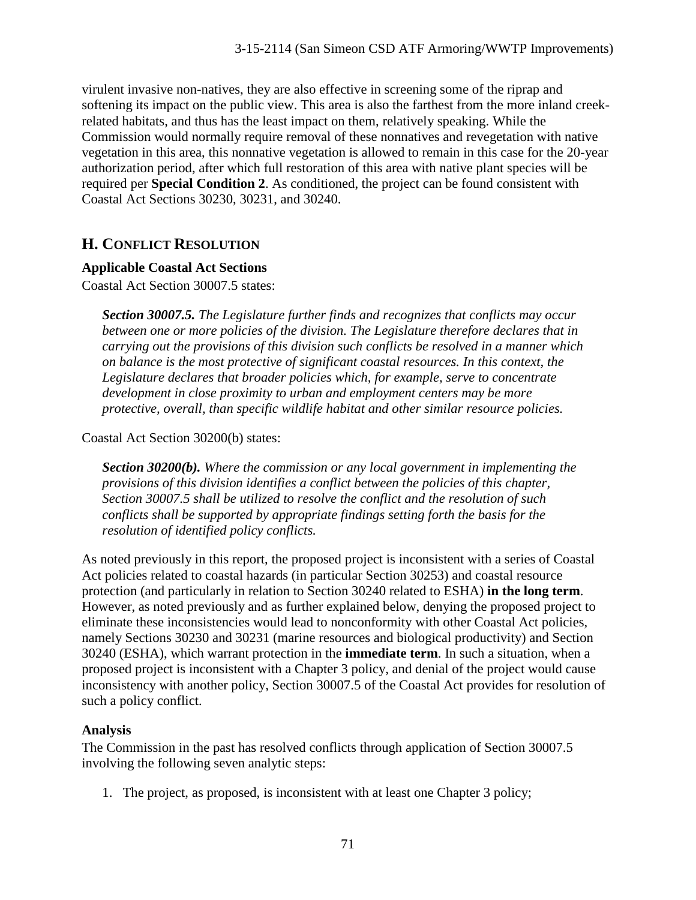virulent invasive non-natives, they are also effective in screening some of the riprap and softening its impact on the public view. This area is also the farthest from the more inland creekrelated habitats, and thus has the least impact on them, relatively speaking. While the Commission would normally require removal of these nonnatives and revegetation with native vegetation in this area, this nonnative vegetation is allowed to remain in this case for the 20-year authorization period, after which full restoration of this area with native plant species will be required per **Special Condition 2**. As conditioned, the project can be found consistent with Coastal Act Sections 30230, 30231, and 30240.

# **H. CONFLICT RESOLUTION**

#### **Applicable Coastal Act Sections**

Coastal Act Section 30007.5 states:

*Section 30007.5. The Legislature further finds and recognizes that conflicts may occur between one or more policies of the division. The Legislature therefore declares that in carrying out the provisions of this division such conflicts be resolved in a manner which on balance is the most protective of significant coastal resources. In this context, the Legislature declares that broader policies which, for example, serve to concentrate development in close proximity to urban and employment centers may be more protective, overall, than specific wildlife habitat and other similar resource policies.* 

Coastal Act Section 30200(b) states:

*Section 30200(b). Where the commission or any local government in implementing the provisions of this division identifies a conflict between the policies of this chapter, Section 30007.5 shall be utilized to resolve the conflict and the resolution of such conflicts shall be supported by appropriate findings setting forth the basis for the resolution of identified policy conflicts.* 

As noted previously in this report, the proposed project is inconsistent with a series of Coastal Act policies related to coastal hazards (in particular Section 30253) and coastal resource protection (and particularly in relation to Section 30240 related to ESHA) **in the long term**. However, as noted previously and as further explained below, denying the proposed project to eliminate these inconsistencies would lead to nonconformity with other Coastal Act policies, namely Sections 30230 and 30231 (marine resources and biological productivity) and Section 30240 (ESHA), which warrant protection in the **immediate term**. In such a situation, when a proposed project is inconsistent with a Chapter 3 policy, and denial of the project would cause inconsistency with another policy, Section 30007.5 of the Coastal Act provides for resolution of such a policy conflict.

## **Analysis**

The Commission in the past has resolved conflicts through application of Section 30007.5 involving the following seven analytic steps:

1. The project, as proposed, is inconsistent with at least one Chapter 3 policy;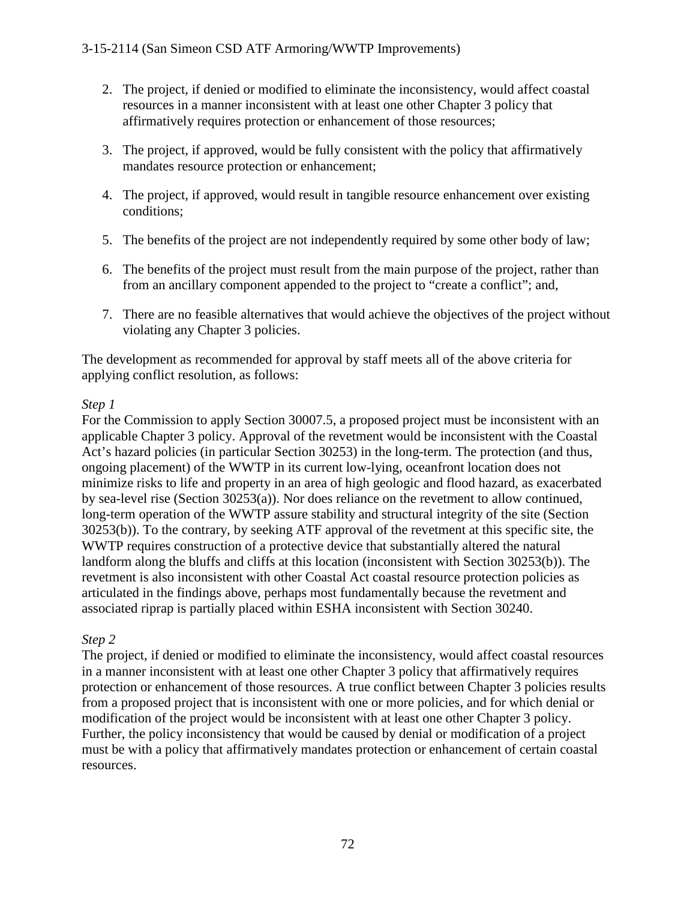- 2. The project, if denied or modified to eliminate the inconsistency, would affect coastal resources in a manner inconsistent with at least one other Chapter 3 policy that affirmatively requires protection or enhancement of those resources;
- 3. The project, if approved, would be fully consistent with the policy that affirmatively mandates resource protection or enhancement;
- 4. The project, if approved, would result in tangible resource enhancement over existing conditions;
- 5. The benefits of the project are not independently required by some other body of law;
- 6. The benefits of the project must result from the main purpose of the project, rather than from an ancillary component appended to the project to "create a conflict"; and,
- 7. There are no feasible alternatives that would achieve the objectives of the project without violating any Chapter 3 policies.

The development as recommended for approval by staff meets all of the above criteria for applying conflict resolution, as follows:

# *Step 1*

For the Commission to apply Section 30007.5, a proposed project must be inconsistent with an applicable Chapter 3 policy. Approval of the revetment would be inconsistent with the Coastal Act's hazard policies (in particular Section 30253) in the long-term. The protection (and thus, ongoing placement) of the WWTP in its current low-lying, oceanfront location does not minimize risks to life and property in an area of high geologic and flood hazard, as exacerbated by sea-level rise (Section 30253(a)). Nor does reliance on the revetment to allow continued, long-term operation of the WWTP assure stability and structural integrity of the site (Section 30253(b)). To the contrary, by seeking ATF approval of the revetment at this specific site, the WWTP requires construction of a protective device that substantially altered the natural landform along the bluffs and cliffs at this location (inconsistent with Section 30253(b)). The revetment is also inconsistent with other Coastal Act coastal resource protection policies as articulated in the findings above, perhaps most fundamentally because the revetment and associated riprap is partially placed within ESHA inconsistent with Section 30240.

## *Step 2*

The project, if denied or modified to eliminate the inconsistency, would affect coastal resources in a manner inconsistent with at least one other Chapter 3 policy that affirmatively requires protection or enhancement of those resources. A true conflict between Chapter 3 policies results from a proposed project that is inconsistent with one or more policies, and for which denial or modification of the project would be inconsistent with at least one other Chapter 3 policy. Further, the policy inconsistency that would be caused by denial or modification of a project must be with a policy that affirmatively mandates protection or enhancement of certain coastal resources.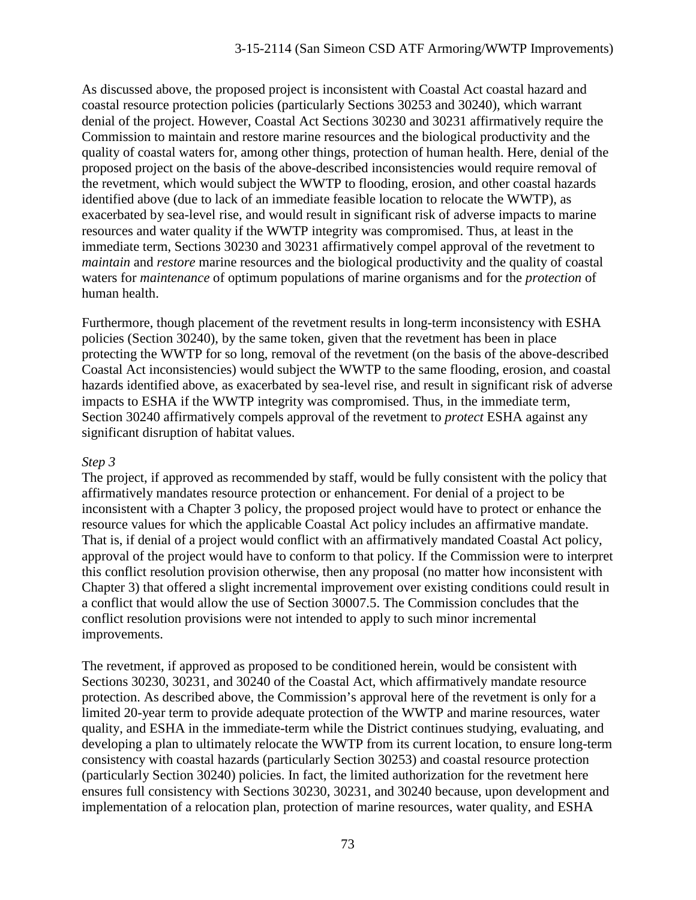As discussed above, the proposed project is inconsistent with Coastal Act coastal hazard and coastal resource protection policies (particularly Sections 30253 and 30240), which warrant denial of the project. However, Coastal Act Sections 30230 and 30231 affirmatively require the Commission to maintain and restore marine resources and the biological productivity and the quality of coastal waters for, among other things, protection of human health. Here, denial of the proposed project on the basis of the above-described inconsistencies would require removal of the revetment, which would subject the WWTP to flooding, erosion, and other coastal hazards identified above (due to lack of an immediate feasible location to relocate the WWTP), as exacerbated by sea-level rise, and would result in significant risk of adverse impacts to marine resources and water quality if the WWTP integrity was compromised. Thus, at least in the immediate term, Sections 30230 and 30231 affirmatively compel approval of the revetment to *maintain* and *restore* marine resources and the biological productivity and the quality of coastal waters for *maintenance* of optimum populations of marine organisms and for the *protection* of human health.

Furthermore, though placement of the revetment results in long-term inconsistency with ESHA policies (Section 30240), by the same token, given that the revetment has been in place protecting the WWTP for so long, removal of the revetment (on the basis of the above-described Coastal Act inconsistencies) would subject the WWTP to the same flooding, erosion, and coastal hazards identified above, as exacerbated by sea-level rise, and result in significant risk of adverse impacts to ESHA if the WWTP integrity was compromised. Thus, in the immediate term, Section 30240 affirmatively compels approval of the revetment to *protect* ESHA against any significant disruption of habitat values.

### *Step 3*

The project, if approved as recommended by staff, would be fully consistent with the policy that affirmatively mandates resource protection or enhancement. For denial of a project to be inconsistent with a Chapter 3 policy, the proposed project would have to protect or enhance the resource values for which the applicable Coastal Act policy includes an affirmative mandate. That is, if denial of a project would conflict with an affirmatively mandated Coastal Act policy, approval of the project would have to conform to that policy. If the Commission were to interpret this conflict resolution provision otherwise, then any proposal (no matter how inconsistent with Chapter 3) that offered a slight incremental improvement over existing conditions could result in a conflict that would allow the use of Section 30007.5. The Commission concludes that the conflict resolution provisions were not intended to apply to such minor incremental improvements.

The revetment, if approved as proposed to be conditioned herein, would be consistent with Sections 30230, 30231, and 30240 of the Coastal Act, which affirmatively mandate resource protection. As described above, the Commission's approval here of the revetment is only for a limited 20-year term to provide adequate protection of the WWTP and marine resources, water quality, and ESHA in the immediate-term while the District continues studying, evaluating, and developing a plan to ultimately relocate the WWTP from its current location, to ensure long-term consistency with coastal hazards (particularly Section 30253) and coastal resource protection (particularly Section 30240) policies. In fact, the limited authorization for the revetment here ensures full consistency with Sections 30230, 30231, and 30240 because, upon development and implementation of a relocation plan, protection of marine resources, water quality, and ESHA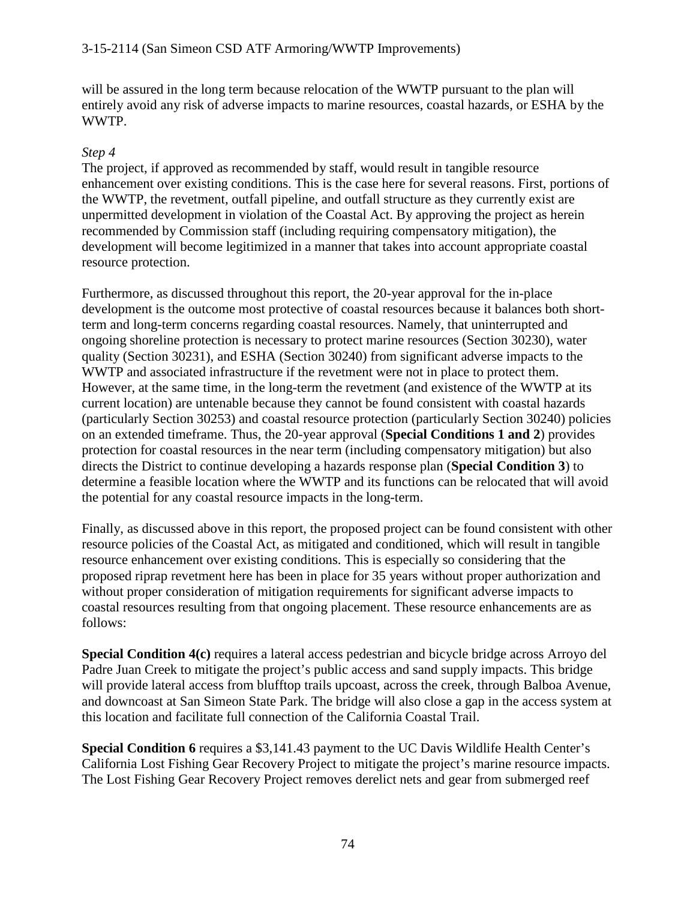#### 3-15-2114 (San Simeon CSD ATF Armoring/WWTP Improvements)

will be assured in the long term because relocation of the WWTP pursuant to the plan will entirely avoid any risk of adverse impacts to marine resources, coastal hazards, or ESHA by the WWTP.

#### *Step 4*

The project, if approved as recommended by staff, would result in tangible resource enhancement over existing conditions. This is the case here for several reasons. First, portions of the WWTP, the revetment, outfall pipeline, and outfall structure as they currently exist are unpermitted development in violation of the Coastal Act. By approving the project as herein recommended by Commission staff (including requiring compensatory mitigation), the development will become legitimized in a manner that takes into account appropriate coastal resource protection.

Furthermore, as discussed throughout this report, the 20-year approval for the in-place development is the outcome most protective of coastal resources because it balances both shortterm and long-term concerns regarding coastal resources. Namely, that uninterrupted and ongoing shoreline protection is necessary to protect marine resources (Section 30230), water quality (Section 30231), and ESHA (Section 30240) from significant adverse impacts to the WWTP and associated infrastructure if the revetment were not in place to protect them. However, at the same time, in the long-term the revetment (and existence of the WWTP at its current location) are untenable because they cannot be found consistent with coastal hazards (particularly Section 30253) and coastal resource protection (particularly Section 30240) policies on an extended timeframe. Thus, the 20-year approval (**Special Conditions 1 and 2**) provides protection for coastal resources in the near term (including compensatory mitigation) but also directs the District to continue developing a hazards response plan (**Special Condition 3**) to determine a feasible location where the WWTP and its functions can be relocated that will avoid the potential for any coastal resource impacts in the long-term.

Finally, as discussed above in this report, the proposed project can be found consistent with other resource policies of the Coastal Act, as mitigated and conditioned, which will result in tangible resource enhancement over existing conditions. This is especially so considering that the proposed riprap revetment here has been in place for 35 years without proper authorization and without proper consideration of mitigation requirements for significant adverse impacts to coastal resources resulting from that ongoing placement. These resource enhancements are as follows:

**Special Condition 4(c)** requires a lateral access pedestrian and bicycle bridge across Arroyo del Padre Juan Creek to mitigate the project's public access and sand supply impacts. This bridge will provide lateral access from blufftop trails upcoast, across the creek, through Balboa Avenue, and downcoast at San Simeon State Park. The bridge will also close a gap in the access system at this location and facilitate full connection of the California Coastal Trail.

**Special Condition 6** requires a \$3,141.43 payment to the UC Davis Wildlife Health Center's California Lost Fishing Gear Recovery Project to mitigate the project's marine resource impacts. The Lost Fishing Gear Recovery Project removes derelict nets and gear from submerged reef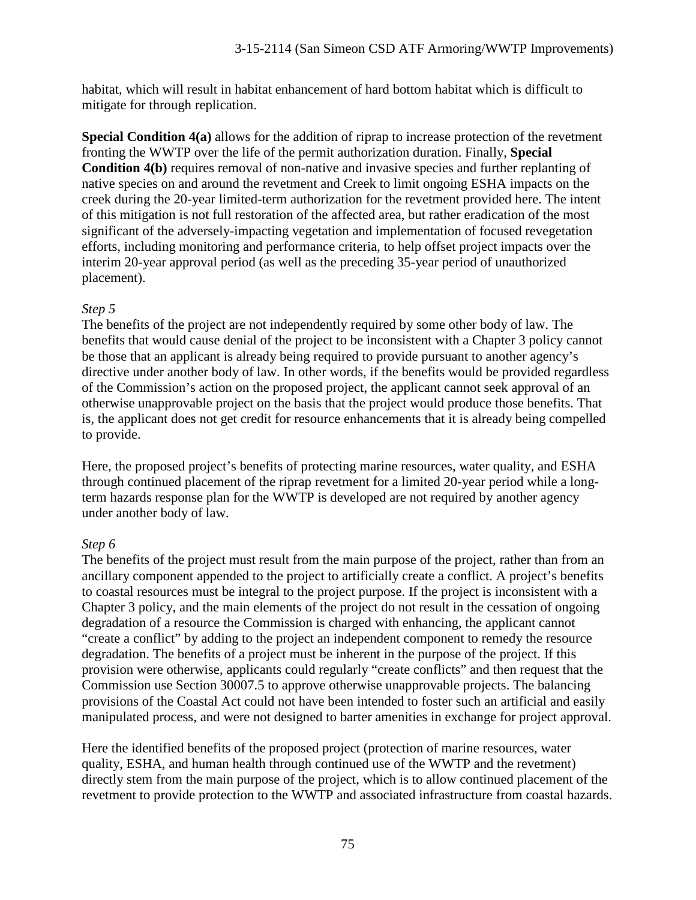habitat, which will result in habitat enhancement of hard bottom habitat which is difficult to mitigate for through replication.

**Special Condition 4(a)** allows for the addition of riprap to increase protection of the revetment fronting the WWTP over the life of the permit authorization duration. Finally, **Special Condition 4(b)** requires removal of non-native and invasive species and further replanting of native species on and around the revetment and Creek to limit ongoing ESHA impacts on the creek during the 20-year limited-term authorization for the revetment provided here. The intent of this mitigation is not full restoration of the affected area, but rather eradication of the most significant of the adversely-impacting vegetation and implementation of focused revegetation efforts, including monitoring and performance criteria, to help offset project impacts over the interim 20-year approval period (as well as the preceding 35-year period of unauthorized placement).

### *Step 5*

The benefits of the project are not independently required by some other body of law. The benefits that would cause denial of the project to be inconsistent with a Chapter 3 policy cannot be those that an applicant is already being required to provide pursuant to another agency's directive under another body of law. In other words, if the benefits would be provided regardless of the Commission's action on the proposed project, the applicant cannot seek approval of an otherwise unapprovable project on the basis that the project would produce those benefits. That is, the applicant does not get credit for resource enhancements that it is already being compelled to provide.

Here, the proposed project's benefits of protecting marine resources, water quality, and ESHA through continued placement of the riprap revetment for a limited 20-year period while a longterm hazards response plan for the WWTP is developed are not required by another agency under another body of law.

### *Step 6*

The benefits of the project must result from the main purpose of the project, rather than from an ancillary component appended to the project to artificially create a conflict. A project's benefits to coastal resources must be integral to the project purpose. If the project is inconsistent with a Chapter 3 policy, and the main elements of the project do not result in the cessation of ongoing degradation of a resource the Commission is charged with enhancing, the applicant cannot "create a conflict" by adding to the project an independent component to remedy the resource degradation. The benefits of a project must be inherent in the purpose of the project. If this provision were otherwise, applicants could regularly "create conflicts" and then request that the Commission use Section 30007.5 to approve otherwise unapprovable projects. The balancing provisions of the Coastal Act could not have been intended to foster such an artificial and easily manipulated process, and were not designed to barter amenities in exchange for project approval.

Here the identified benefits of the proposed project (protection of marine resources, water quality, ESHA, and human health through continued use of the WWTP and the revetment) directly stem from the main purpose of the project, which is to allow continued placement of the revetment to provide protection to the WWTP and associated infrastructure from coastal hazards.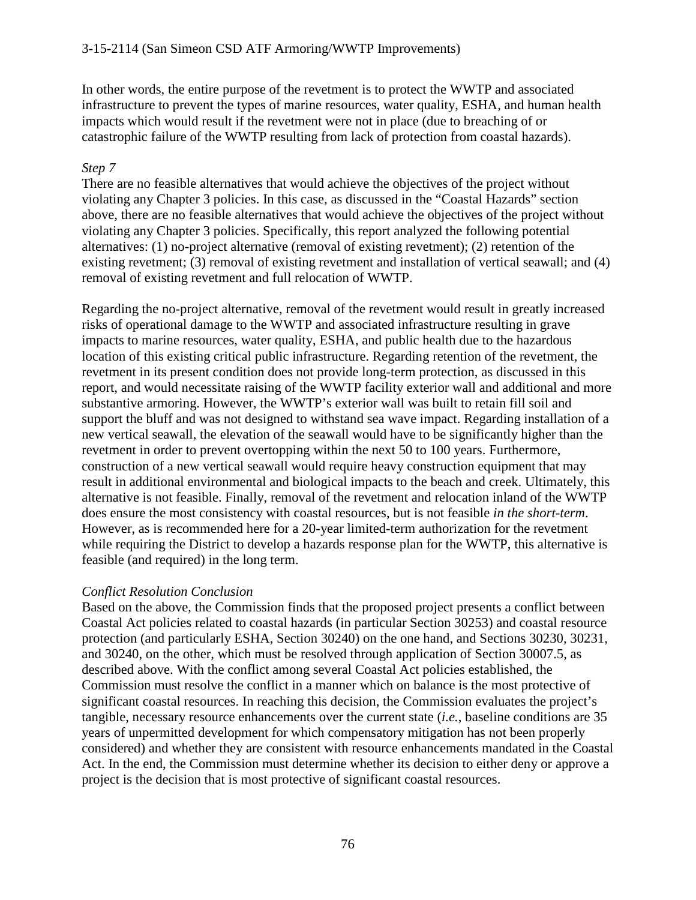In other words, the entire purpose of the revetment is to protect the WWTP and associated infrastructure to prevent the types of marine resources, water quality, ESHA, and human health impacts which would result if the revetment were not in place (due to breaching of or catastrophic failure of the WWTP resulting from lack of protection from coastal hazards).

### *Step 7*

There are no feasible alternatives that would achieve the objectives of the project without violating any Chapter 3 policies. In this case, as discussed in the "Coastal Hazards" section above, there are no feasible alternatives that would achieve the objectives of the project without violating any Chapter 3 policies. Specifically, this report analyzed the following potential alternatives: (1) no-project alternative (removal of existing revetment); (2) retention of the existing revetment; (3) removal of existing revetment and installation of vertical seawall; and (4) removal of existing revetment and full relocation of WWTP.

Regarding the no-project alternative, removal of the revetment would result in greatly increased risks of operational damage to the WWTP and associated infrastructure resulting in grave impacts to marine resources, water quality, ESHA, and public health due to the hazardous location of this existing critical public infrastructure. Regarding retention of the revetment, the revetment in its present condition does not provide long-term protection, as discussed in this report, and would necessitate raising of the WWTP facility exterior wall and additional and more substantive armoring. However, the WWTP's exterior wall was built to retain fill soil and support the bluff and was not designed to withstand sea wave impact. Regarding installation of a new vertical seawall, the elevation of the seawall would have to be significantly higher than the revetment in order to prevent overtopping within the next 50 to 100 years. Furthermore, construction of a new vertical seawall would require heavy construction equipment that may result in additional environmental and biological impacts to the beach and creek. Ultimately, this alternative is not feasible. Finally, removal of the revetment and relocation inland of the WWTP does ensure the most consistency with coastal resources, but is not feasible *in the short-term*. However, as is recommended here for a 20-year limited-term authorization for the revetment while requiring the District to develop a hazards response plan for the WWTP, this alternative is feasible (and required) in the long term.

### *Conflict Resolution Conclusion*

Based on the above, the Commission finds that the proposed project presents a conflict between Coastal Act policies related to coastal hazards (in particular Section 30253) and coastal resource protection (and particularly ESHA, Section 30240) on the one hand, and Sections 30230, 30231, and 30240, on the other, which must be resolved through application of Section 30007.5, as described above. With the conflict among several Coastal Act policies established, the Commission must resolve the conflict in a manner which on balance is the most protective of significant coastal resources. In reaching this decision, the Commission evaluates the project's tangible, necessary resource enhancements over the current state (*i.e.*, baseline conditions are 35 years of unpermitted development for which compensatory mitigation has not been properly considered) and whether they are consistent with resource enhancements mandated in the Coastal Act. In the end, the Commission must determine whether its decision to either deny or approve a project is the decision that is most protective of significant coastal resources.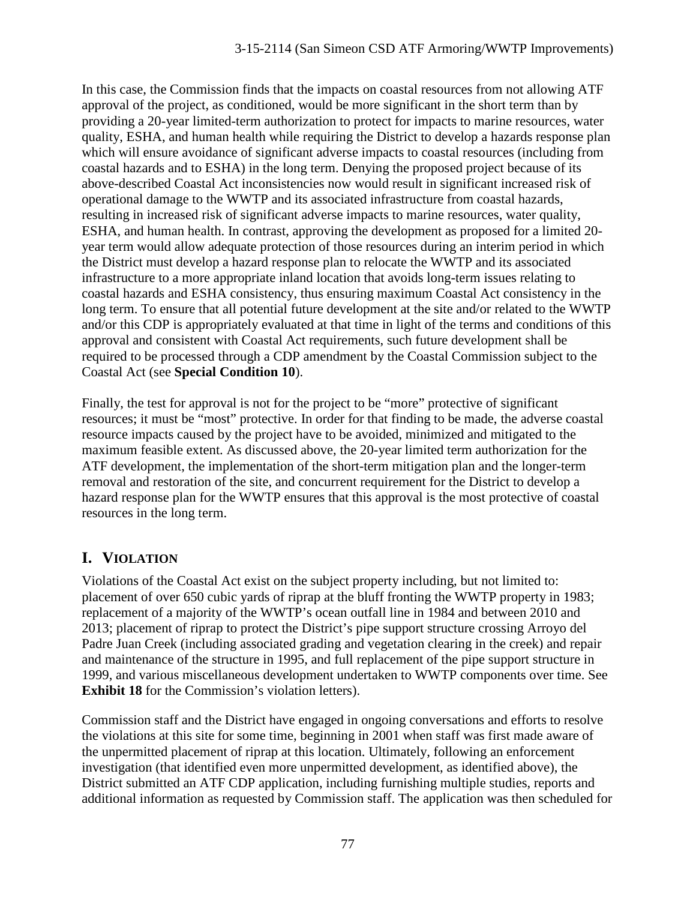In this case, the Commission finds that the impacts on coastal resources from not allowing ATF approval of the project, as conditioned, would be more significant in the short term than by providing a 20-year limited-term authorization to protect for impacts to marine resources, water quality, ESHA, and human health while requiring the District to develop a hazards response plan which will ensure avoidance of significant adverse impacts to coastal resources (including from coastal hazards and to ESHA) in the long term. Denying the proposed project because of its above-described Coastal Act inconsistencies now would result in significant increased risk of operational damage to the WWTP and its associated infrastructure from coastal hazards, resulting in increased risk of significant adverse impacts to marine resources, water quality, ESHA, and human health. In contrast, approving the development as proposed for a limited 20 year term would allow adequate protection of those resources during an interim period in which the District must develop a hazard response plan to relocate the WWTP and its associated infrastructure to a more appropriate inland location that avoids long-term issues relating to coastal hazards and ESHA consistency, thus ensuring maximum Coastal Act consistency in the long term. To ensure that all potential future development at the site and/or related to the WWTP and/or this CDP is appropriately evaluated at that time in light of the terms and conditions of this approval and consistent with Coastal Act requirements, such future development shall be required to be processed through a CDP amendment by the Coastal Commission subject to the Coastal Act (see **Special Condition 10**).

Finally, the test for approval is not for the project to be "more" protective of significant resources; it must be "most" protective. In order for that finding to be made, the adverse coastal resource impacts caused by the project have to be avoided, minimized and mitigated to the maximum feasible extent. As discussed above, the 20-year limited term authorization for the ATF development, the implementation of the short-term mitigation plan and the longer-term removal and restoration of the site, and concurrent requirement for the District to develop a hazard response plan for the WWTP ensures that this approval is the most protective of coastal resources in the long term.

# **I. VIOLATION**

Violations of the Coastal Act exist on the subject property including, but not limited to: placement of over 650 cubic yards of riprap at the bluff fronting the WWTP property in 1983; replacement of a majority of the WWTP's ocean outfall line in 1984 and between 2010 and 2013; placement of riprap to protect the District's pipe support structure crossing Arroyo del Padre Juan Creek (including associated grading and vegetation clearing in the creek) and repair and maintenance of the structure in 1995, and full replacement of the pipe support structure in 1999, and various miscellaneous development undertaken to WWTP components over time. See **Exhibit 18** for the Commission's violation letters).

Commission staff and the District have engaged in ongoing conversations and efforts to resolve the violations at this site for some time, beginning in 2001 when staff was first made aware of the unpermitted placement of riprap at this location. Ultimately, following an enforcement investigation (that identified even more unpermitted development, as identified above), the District submitted an ATF CDP application, including furnishing multiple studies, reports and additional information as requested by Commission staff. The application was then scheduled for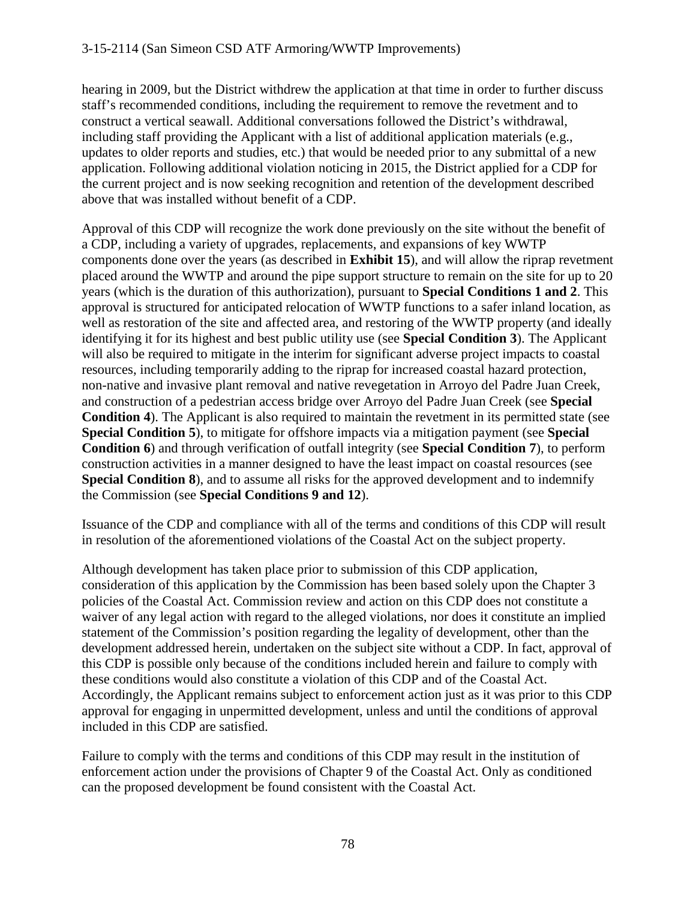hearing in 2009, but the District withdrew the application at that time in order to further discuss staff's recommended conditions, including the requirement to remove the revetment and to construct a vertical seawall. Additional conversations followed the District's withdrawal, including staff providing the Applicant with a list of additional application materials (e.g., updates to older reports and studies, etc.) that would be needed prior to any submittal of a new application. Following additional violation noticing in 2015, the District applied for a CDP for the current project and is now seeking recognition and retention of the development described above that was installed without benefit of a CDP.

Approval of this CDP will recognize the work done previously on the site without the benefit of a CDP, including a variety of upgrades, replacements, and expansions of key WWTP components done over the years (as described in **Exhibit 15**), and will allow the riprap revetment placed around the WWTP and around the pipe support structure to remain on the site for up to 20 years (which is the duration of this authorization), pursuant to **Special Conditions 1 and 2**. This approval is structured for anticipated relocation of WWTP functions to a safer inland location, as well as restoration of the site and affected area, and restoring of the WWTP property (and ideally identifying it for its highest and best public utility use (see **Special Condition 3**). The Applicant will also be required to mitigate in the interim for significant adverse project impacts to coastal resources, including temporarily adding to the riprap for increased coastal hazard protection, non-native and invasive plant removal and native revegetation in Arroyo del Padre Juan Creek, and construction of a pedestrian access bridge over Arroyo del Padre Juan Creek (see **Special Condition 4**). The Applicant is also required to maintain the revetment in its permitted state (see **Special Condition 5**), to mitigate for offshore impacts via a mitigation payment (see **Special Condition 6**) and through verification of outfall integrity (see **Special Condition 7**), to perform construction activities in a manner designed to have the least impact on coastal resources (see **Special Condition 8**), and to assume all risks for the approved development and to indemnify the Commission (see **Special Conditions 9 and 12**).

Issuance of the CDP and compliance with all of the terms and conditions of this CDP will result in resolution of the aforementioned violations of the Coastal Act on the subject property.

Although development has taken place prior to submission of this CDP application, consideration of this application by the Commission has been based solely upon the Chapter 3 policies of the Coastal Act. Commission review and action on this CDP does not constitute a waiver of any legal action with regard to the alleged violations, nor does it constitute an implied statement of the Commission's position regarding the legality of development, other than the development addressed herein, undertaken on the subject site without a CDP. In fact, approval of this CDP is possible only because of the conditions included herein and failure to comply with these conditions would also constitute a violation of this CDP and of the Coastal Act. Accordingly, the Applicant remains subject to enforcement action just as it was prior to this CDP approval for engaging in unpermitted development, unless and until the conditions of approval included in this CDP are satisfied.

Failure to comply with the terms and conditions of this CDP may result in the institution of enforcement action under the provisions of Chapter 9 of the Coastal Act. Only as conditioned can the proposed development be found consistent with the Coastal Act.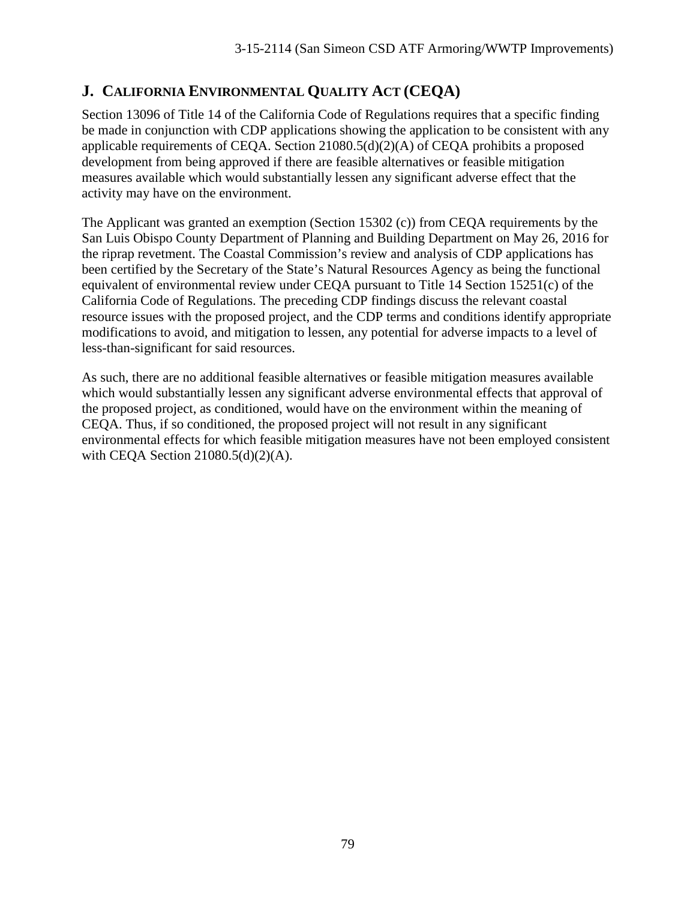# **J. CALIFORNIA ENVIRONMENTAL QUALITY ACT (CEQA)**

Section 13096 of Title 14 of the California Code of Regulations requires that a specific finding be made in conjunction with CDP applications showing the application to be consistent with any applicable requirements of CEQA. Section 21080.5(d)(2)(A) of CEQA prohibits a proposed development from being approved if there are feasible alternatives or feasible mitigation measures available which would substantially lessen any significant adverse effect that the activity may have on the environment.

The Applicant was granted an exemption (Section 15302 (c)) from CEQA requirements by the San Luis Obispo County Department of Planning and Building Department on May 26, 2016 for the riprap revetment. The Coastal Commission's review and analysis of CDP applications has been certified by the Secretary of the State's Natural Resources Agency as being the functional equivalent of environmental review under CEQA pursuant to Title 14 Section 15251(c) of the California Code of Regulations. The preceding CDP findings discuss the relevant coastal resource issues with the proposed project, and the CDP terms and conditions identify appropriate modifications to avoid, and mitigation to lessen, any potential for adverse impacts to a level of less-than-significant for said resources.

As such, there are no additional feasible alternatives or feasible mitigation measures available which would substantially lessen any significant adverse environmental effects that approval of the proposed project, as conditioned, would have on the environment within the meaning of CEQA. Thus, if so conditioned, the proposed project will not result in any significant environmental effects for which feasible mitigation measures have not been employed consistent with CEQA Section 21080.5(d)(2)(A).